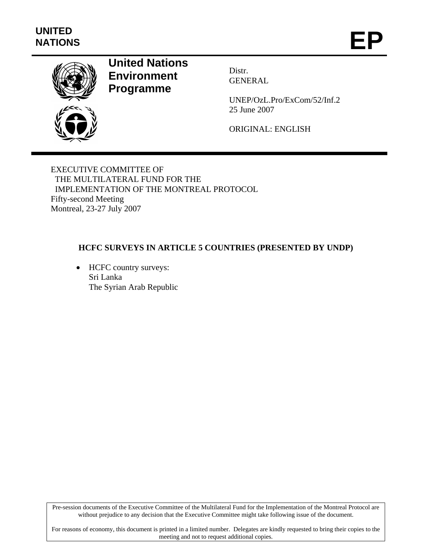

# **United Nations Environment Programme**

Distr. GENERAL

UNEP/OzL.Pro/ExCom/52/Inf.2 25 June 2007

ORIGINAL: ENGLISH

EXECUTIVE COMMITTEE OF THE MULTILATERAL FUND FOR THE IMPLEMENTATION OF THE MONTREAL PROTOCOL Fifty-second Meeting Montreal, 23-27 July 2007

# **HCFC SURVEYS IN ARTICLE 5 COUNTRIES (PRESENTED BY UNDP)**

• HCFC country surveys: Sri Lanka The Syrian Arab Republic

Pre-session documents of the Executive Committee of the Multilateral Fund for the Implementation of the Montreal Protocol are without prejudice to any decision that the Executive Committee might take following issue of the document.

For reasons of economy, this document is printed in a limited number. Delegates are kindly requested to bring their copies to the meeting and not to request additional copies.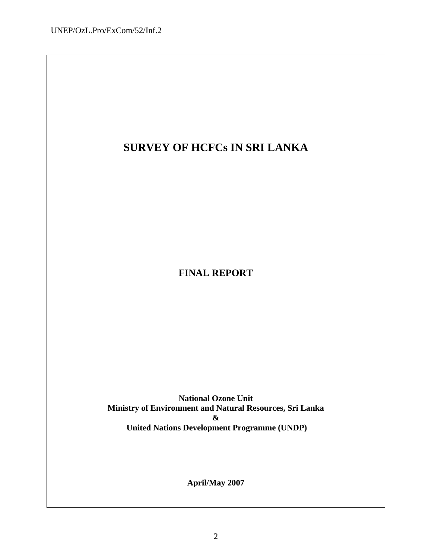# **SURVEY OF HCFCs IN SRI LANKA**

**FINAL REPORT** 

**National Ozone Unit Ministry of Environment and Natural Resources, Sri Lanka & United Nations Development Programme (UNDP)**

**April/May 2007**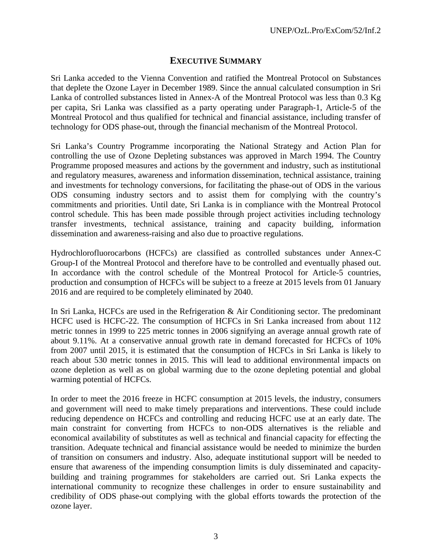# **EXECUTIVE SUMMARY**

Sri Lanka acceded to the Vienna Convention and ratified the Montreal Protocol on Substances that deplete the Ozone Layer in December 1989. Since the annual calculated consumption in Sri Lanka of controlled substances listed in Annex-A of the Montreal Protocol was less than 0.3 Kg per capita, Sri Lanka was classified as a party operating under Paragraph-1, Article-5 of the Montreal Protocol and thus qualified for technical and financial assistance, including transfer of technology for ODS phase-out, through the financial mechanism of the Montreal Protocol.

Sri Lanka's Country Programme incorporating the National Strategy and Action Plan for controlling the use of Ozone Depleting substances was approved in March 1994. The Country Programme proposed measures and actions by the government and industry, such as institutional and regulatory measures, awareness and information dissemination, technical assistance, training and investments for technology conversions, for facilitating the phase-out of ODS in the various ODS consuming industry sectors and to assist them for complying with the country's commitments and priorities. Until date, Sri Lanka is in compliance with the Montreal Protocol control schedule. This has been made possible through project activities including technology transfer investments, technical assistance, training and capacity building, information dissemination and awareness-raising and also due to proactive regulations.

Hydrochlorofluorocarbons (HCFCs) are classified as controlled substances under Annex-C Group-I of the Montreal Protocol and therefore have to be controlled and eventually phased out. In accordance with the control schedule of the Montreal Protocol for Article-5 countries, production and consumption of HCFCs will be subject to a freeze at 2015 levels from 01 January 2016 and are required to be completely eliminated by 2040.

In Sri Lanka, HCFCs are used in the Refrigeration & Air Conditioning sector. The predominant HCFC used is HCFC-22. The consumption of HCFCs in Sri Lanka increased from about 112 metric tonnes in 1999 to 225 metric tonnes in 2006 signifying an average annual growth rate of about 9.11%. At a conservative annual growth rate in demand forecasted for HCFCs of 10% from 2007 until 2015, it is estimated that the consumption of HCFCs in Sri Lanka is likely to reach about 530 metric tonnes in 2015. This will lead to additional environmental impacts on ozone depletion as well as on global warming due to the ozone depleting potential and global warming potential of HCFCs.

In order to meet the 2016 freeze in HCFC consumption at 2015 levels, the industry, consumers and government will need to make timely preparations and interventions. These could include reducing dependence on HCFCs and controlling and reducing HCFC use at an early date. The main constraint for converting from HCFCs to non-ODS alternatives is the reliable and economical availability of substitutes as well as technical and financial capacity for effecting the transition. Adequate technical and financial assistance would be needed to minimize the burden of transition on consumers and industry. Also, adequate institutional support will be needed to ensure that awareness of the impending consumption limits is duly disseminated and capacitybuilding and training programmes for stakeholders are carried out. Sri Lanka expects the international community to recognize these challenges in order to ensure sustainability and credibility of ODS phase-out complying with the global efforts towards the protection of the ozone layer.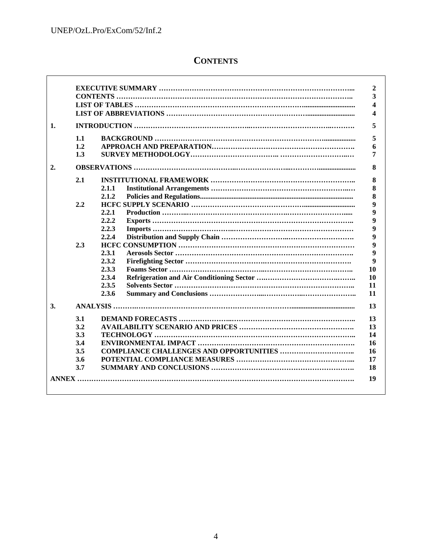$\Gamma$ 

# **CONTENTS**

| 1.               |     |       |
|------------------|-----|-------|
|                  | 1.1 |       |
|                  | 1.2 |       |
|                  | 1.3 |       |
| $\overline{2}$ . |     |       |
|                  | 2.1 |       |
|                  |     | 2.1.1 |
|                  |     | 2.1.2 |
|                  | 2.2 |       |
|                  |     | 2.2.1 |
|                  |     | 2.2.2 |
|                  |     | 2.2.3 |
|                  |     | 2.2.4 |
|                  | 2.3 |       |
|                  |     | 2.3.1 |
|                  |     | 2.3.2 |
|                  |     | 2.3.3 |
|                  |     | 2.3.4 |
|                  |     | 2.3.5 |
|                  |     | 2.3.6 |
| 3.               |     |       |
|                  | 3.1 |       |
|                  | 3.2 |       |
|                  | 3.3 |       |
|                  | 3.4 |       |
|                  | 3.5 |       |
|                  | 3.6 |       |
|                  | 3.7 |       |
|                  |     |       |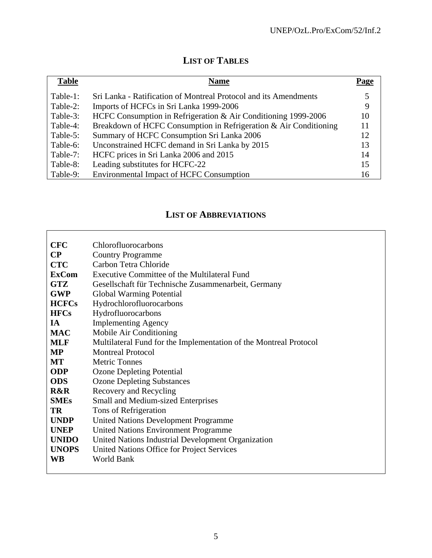# **LIST OF TABLES**

| <b>Table</b> | <b>Name</b>                                                       | Page |
|--------------|-------------------------------------------------------------------|------|
| Table-1:     | Sri Lanka - Ratification of Montreal Protocol and its Amendments  |      |
| Table-2:     | Imports of HCFCs in Sri Lanka 1999-2006                           | 9    |
| Table-3:     | HCFC Consumption in Refrigeration & Air Conditioning 1999-2006    | 10   |
| Table-4:     | Breakdown of HCFC Consumption in Refrigeration & Air Conditioning | 11   |
| Table-5:     | Summary of HCFC Consumption Sri Lanka 2006                        | 12   |
| Table-6:     | Unconstrained HCFC demand in Sri Lanka by 2015                    | 13   |
| Table-7:     | HCFC prices in Sri Lanka 2006 and 2015                            | 14   |
| Table-8:     | Leading substitutes for HCFC-22                                   | 15   |
| Table-9:     | <b>Environmental Impact of HCFC Consumption</b>                   | 16   |

# **LIST OF ABBREVIATIONS**

| <b>CFC</b>     | Chlorofluorocarbons                                               |
|----------------|-------------------------------------------------------------------|
| $\bf CP$       | <b>Country Programme</b>                                          |
| <b>CTC</b>     | Carbon Tetra Chloride                                             |
| <b>ExCom</b>   | Executive Committee of the Multilateral Fund                      |
| <b>GTZ</b>     | Gesellschaft für Technische Zusammenarbeit, Germany               |
| <b>GWP</b>     | <b>Global Warming Potential</b>                                   |
| <b>HCFCs</b>   | Hydrochlorofluorocarbons                                          |
| <b>HFCs</b>    | Hydrofluorocarbons                                                |
| <b>IA</b>      | <b>Implementing Agency</b>                                        |
| <b>MAC</b>     | Mobile Air Conditioning                                           |
| <b>MLF</b>     | Multilateral Fund for the Implementation of the Montreal Protocol |
| <b>MP</b>      | <b>Montreal Protocol</b>                                          |
| MT             | <b>Metric Tonnes</b>                                              |
| <b>ODP</b>     | <b>Ozone Depleting Potential</b>                                  |
| <b>ODS</b>     | <b>Ozone Depleting Substances</b>                                 |
| <b>R&amp;R</b> | Recovery and Recycling                                            |
| <b>SMEs</b>    | Small and Medium-sized Enterprises                                |
| TR             | Tons of Refrigeration                                             |
| <b>UNDP</b>    | <b>United Nations Development Programme</b>                       |
| <b>UNEP</b>    | <b>United Nations Environment Programme</b>                       |
| <b>UNIDO</b>   | United Nations Industrial Development Organization                |
| <b>UNOPS</b>   | United Nations Office for Project Services                        |
| <b>WB</b>      | <b>World Bank</b>                                                 |
|                |                                                                   |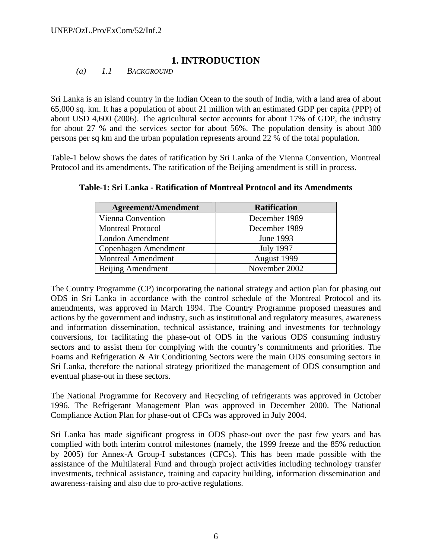# **1. INTRODUCTION**

*(a) 1.1 BACKGROUND* 

Sri Lanka is an island country in the Indian Ocean to the south of India, with a land area of about 65,000 sq. km. It has a population of about 21 million with an estimated GDP per capita (PPP) of about USD 4,600 (2006). The agricultural sector accounts for about 17% of GDP, the industry for about 27 % and the services sector for about 56%. The population density is about 300 persons per sq km and the urban population represents around 22 % of the total population.

Table-1 below shows the dates of ratification by Sri Lanka of the Vienna Convention, Montreal Protocol and its amendments. The ratification of the Beijing amendment is still in process.

| <b>Agreement/Amendment</b> | <b>Ratification</b> |
|----------------------------|---------------------|
| Vienna Convention          | December 1989       |
| <b>Montreal Protocol</b>   | December 1989       |
| London Amendment           | June 1993           |
| Copenhagen Amendment       | <b>July 1997</b>    |
| <b>Montreal Amendment</b>  | August 1999         |
| Beijing Amendment          | November 2002       |

**Table-1: Sri Lanka - Ratification of Montreal Protocol and its Amendments** 

The Country Programme (CP) incorporating the national strategy and action plan for phasing out ODS in Sri Lanka in accordance with the control schedule of the Montreal Protocol and its amendments, was approved in March 1994. The Country Programme proposed measures and actions by the government and industry, such as institutional and regulatory measures, awareness and information dissemination, technical assistance, training and investments for technology conversions, for facilitating the phase-out of ODS in the various ODS consuming industry sectors and to assist them for complying with the country's commitments and priorities. The Foams and Refrigeration & Air Conditioning Sectors were the main ODS consuming sectors in Sri Lanka, therefore the national strategy prioritized the management of ODS consumption and eventual phase-out in these sectors.

The National Programme for Recovery and Recycling of refrigerants was approved in October 1996. The Refrigerant Management Plan was approved in December 2000. The National Compliance Action Plan for phase-out of CFCs was approved in July 2004.

Sri Lanka has made significant progress in ODS phase-out over the past few years and has complied with both interim control milestones (namely, the 1999 freeze and the 85% reduction by 2005) for Annex-A Group-I substances (CFCs). This has been made possible with the assistance of the Multilateral Fund and through project activities including technology transfer investments, technical assistance, training and capacity building, information dissemination and awareness-raising and also due to pro-active regulations.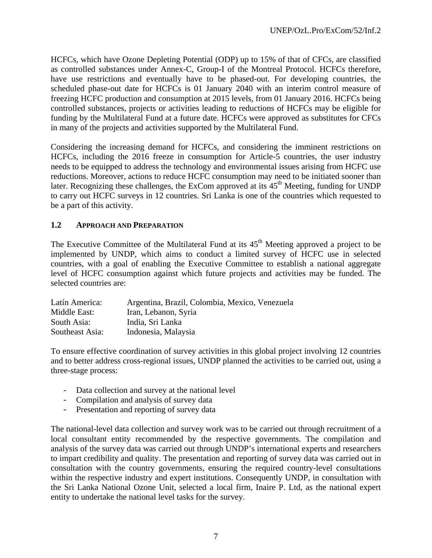HCFCs, which have Ozone Depleting Potential (ODP) up to 15% of that of CFCs, are classified as controlled substances under Annex-C, Group-I of the Montreal Protocol. HCFCs therefore, have use restrictions and eventually have to be phased-out. For developing countries, the scheduled phase-out date for HCFCs is 01 January 2040 with an interim control measure of freezing HCFC production and consumption at 2015 levels, from 01 January 2016. HCFCs being controlled substances, projects or activities leading to reductions of HCFCs may be eligible for funding by the Multilateral Fund at a future date. HCFCs were approved as substitutes for CFCs in many of the projects and activities supported by the Multilateral Fund.

Considering the increasing demand for HCFCs, and considering the imminent restrictions on HCFCs, including the 2016 freeze in consumption for Article-5 countries, the user industry needs to be equipped to address the technology and environmental issues arising from HCFC use reductions. Moreover, actions to reduce HCFC consumption may need to be initiated sooner than later. Recognizing these challenges, the ExCom approved at its  $45<sup>th</sup>$  Meeting, funding for UNDP to carry out HCFC surveys in 12 countries. Sri Lanka is one of the countries which requested to be a part of this activity.

# **1.2 APPROACH AND PREPARATION**

The Executive Committee of the Multilateral Fund at its  $45<sup>th</sup>$  Meeting approved a project to be implemented by UNDP, which aims to conduct a limited survey of HCFC use in selected countries, with a goal of enabling the Executive Committee to establish a national aggregate level of HCFC consumption against which future projects and activities may be funded. The selected countries are:

| Latín America:  | Argentina, Brazil, Colombia, Mexico, Venezuela |
|-----------------|------------------------------------------------|
| Middle East:    | Iran, Lebanon, Syria                           |
| South Asia:     | India, Sri Lanka                               |
| Southeast Asia: | Indonesia, Malaysia                            |

To ensure effective coordination of survey activities in this global project involving 12 countries and to better address cross-regional issues, UNDP planned the activities to be carried out, using a three-stage process:

- Data collection and survey at the national level
- Compilation and analysis of survey data
- Presentation and reporting of survey data

The national-level data collection and survey work was to be carried out through recruitment of a local consultant entity recommended by the respective governments. The compilation and analysis of the survey data was carried out through UNDP's international experts and researchers to impart credibility and quality. The presentation and reporting of survey data was carried out in consultation with the country governments, ensuring the required country-level consultations within the respective industry and expert institutions. Consequently UNDP, in consultation with the Sri Lanka National Ozone Unit, selected a local firm, Inaire P. Ltd, as the national expert entity to undertake the national level tasks for the survey.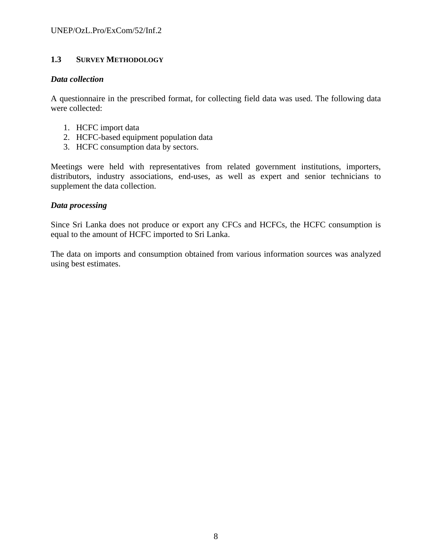# **1.3 SURVEY METHODOLOGY**

#### *Data collection*

A questionnaire in the prescribed format, for collecting field data was used. The following data were collected:

- 1. HCFC import data
- 2. HCFC-based equipment population data
- 3. HCFC consumption data by sectors.

Meetings were held with representatives from related government institutions, importers, distributors, industry associations, end-uses, as well as expert and senior technicians to supplement the data collection.

### *Data processing*

Since Sri Lanka does not produce or export any CFCs and HCFCs, the HCFC consumption is equal to the amount of HCFC imported to Sri Lanka.

The data on imports and consumption obtained from various information sources was analyzed using best estimates.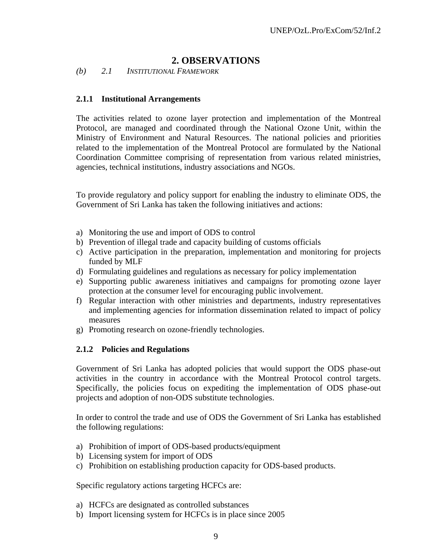# **2. OBSERVATIONS**

*(b) 2.1 INSTITUTIONAL FRAMEWORK* 

#### **2.1.1 Institutional Arrangements**

The activities related to ozone layer protection and implementation of the Montreal Protocol, are managed and coordinated through the National Ozone Unit, within the Ministry of Environment and Natural Resources. The national policies and priorities related to the implementation of the Montreal Protocol are formulated by the National Coordination Committee comprising of representation from various related ministries, agencies, technical institutions, industry associations and NGOs.

To provide regulatory and policy support for enabling the industry to eliminate ODS, the Government of Sri Lanka has taken the following initiatives and actions:

- a) Monitoring the use and import of ODS to control
- b) Prevention of illegal trade and capacity building of customs officials
- c) Active participation in the preparation, implementation and monitoring for projects funded by MLF
- d) Formulating guidelines and regulations as necessary for policy implementation
- e) Supporting public awareness initiatives and campaigns for promoting ozone layer protection at the consumer level for encouraging public involvement.
- f) Regular interaction with other ministries and departments, industry representatives and implementing agencies for information dissemination related to impact of policy measures
- g) Promoting research on ozone-friendly technologies.

#### **2.1.2 Policies and Regulations**

Government of Sri Lanka has adopted policies that would support the ODS phase-out activities in the country in accordance with the Montreal Protocol control targets. Specifically, the policies focus on expediting the implementation of ODS phase-out projects and adoption of non-ODS substitute technologies.

In order to control the trade and use of ODS the Government of Sri Lanka has established the following regulations:

- a) Prohibition of import of ODS-based products/equipment
- b) Licensing system for import of ODS
- c) Prohibition on establishing production capacity for ODS-based products.

Specific regulatory actions targeting HCFCs are:

- a) HCFCs are designated as controlled substances
- b) Import licensing system for HCFCs is in place since 2005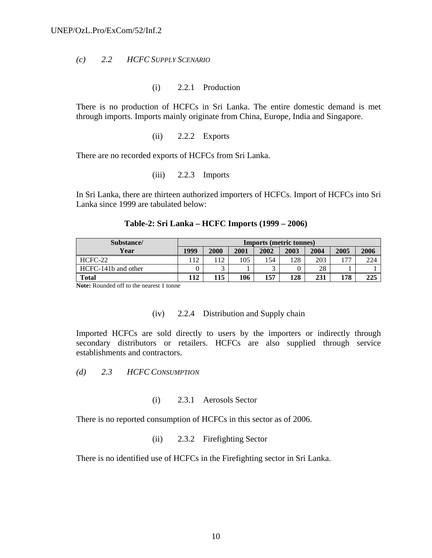#### *(c) 2.2 HCFC SUPPLY SCENARIO*

(i) 2.2.1 Production

There is no production of HCFCs in Sri Lanka. The entire domestic demand is met through imports. Imports mainly originate from China, Europe, India and Singapore.

(ii) 2.2.2 Exports

There are no recorded exports of HCFCs from Sri Lanka.

 $(iii)$  2.2.3 Imports

In Sri Lanka, there are thirteen authorized importers of HCFCs. Import of HCFCs into Sri Lanka since 1999 are tabulated below:

| Substance/          | <b>Imports (metric tonnes)</b> |      |      |            |      |      |      |      |
|---------------------|--------------------------------|------|------|------------|------|------|------|------|
| Year                | 1999                           | 2000 | 2001 | 2002       | 2003 | 2004 | 2005 | 2006 |
| $HCFC-22$           | 112                            | 112  | 105  | 154        | 128  | 203  | 177  | 224  |
| HCFC-141b and other |                                |      |      | $\sqrt{2}$ |      | 28   |      |      |
| <b>Total</b>        | 112                            | 115  | 106  | 157        | 128  | 231  | 178  | 225  |

#### **Table-2: Sri Lanka – HCFC Imports (1999 – 2006)**

**Note:** Rounded off to the nearest 1 tonne

#### (iv) 2.2.4 Distribution and Supply chain

Imported HCFCs are sold directly to users by the importers or indirectly through secondary distributors or retailers. HCFCs are also supplied through service establishments and contractors.

*(d) 2.3 HCFC CONSUMPTION* 

#### (i) 2.3.1 Aerosols Sector

There is no reported consumption of HCFCs in this sector as of 2006.

(ii) 2.3.2 Firefighting Sector

There is no identified use of HCFCs in the Firefighting sector in Sri Lanka.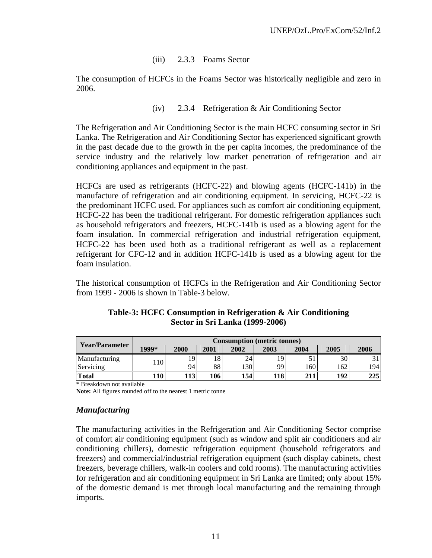### (iii) 2.3.3 Foams Sector

The consumption of HCFCs in the Foams Sector was historically negligible and zero in 2006.

### (iv) 2.3.4 Refrigeration & Air Conditioning Sector

The Refrigeration and Air Conditioning Sector is the main HCFC consuming sector in Sri Lanka. The Refrigeration and Air Conditioning Sector has experienced significant growth in the past decade due to the growth in the per capita incomes, the predominance of the service industry and the relatively low market penetration of refrigeration and air conditioning appliances and equipment in the past.

HCFCs are used as refrigerants (HCFC-22) and blowing agents (HCFC-141b) in the manufacture of refrigeration and air conditioning equipment. In servicing, HCFC-22 is the predominant HCFC used. For appliances such as comfort air conditioning equipment, HCFC-22 has been the traditional refrigerant. For domestic refrigeration appliances such as household refrigerators and freezers, HCFC-141b is used as a blowing agent for the foam insulation. In commercial refrigeration and industrial refrigeration equipment, HCFC-22 has been used both as a traditional refrigerant as well as a replacement refrigerant for CFC-12 and in addition HCFC-141b is used as a blowing agent for the foam insulation.

The historical consumption of HCFCs in the Refrigeration and Air Conditioning Sector from 1999 - 2006 is shown in Table-3 below.

| Year/Parameter | <b>Consumption (metric tonnes)</b> |      |      |      |      |      |      |      |
|----------------|------------------------------------|------|------|------|------|------|------|------|
|                | 1999*                              | 2000 | 2001 | 2002 | 2003 | 2004 | 2005 | 2006 |
| Manufacturing  | 110                                |      | 18   | 24   | 19   |      | 30   |      |
| Servicing      |                                    | 94   | 88   | 130  | 99   | 160  | 162  | 1941 |
| <b>Total</b>   | 110                                | 1131 | 106  | 154  | 118  | 211  | 192  | 225  |

### **Table-3: HCFC Consumption in Refrigeration & Air Conditioning Sector in Sri Lanka (1999-2006)**

\* Breakdown not available

**Note:** All figures rounded off to the nearest 1 metric tonne

### *Manufacturing*

The manufacturing activities in the Refrigeration and Air Conditioning Sector comprise of comfort air conditioning equipment (such as window and split air conditioners and air conditioning chillers), domestic refrigeration equipment (household refrigerators and freezers) and commercial/industrial refrigeration equipment (such display cabinets, chest freezers, beverage chillers, walk-in coolers and cold rooms). The manufacturing activities for refrigeration and air conditioning equipment in Sri Lanka are limited; only about 15% of the domestic demand is met through local manufacturing and the remaining through imports.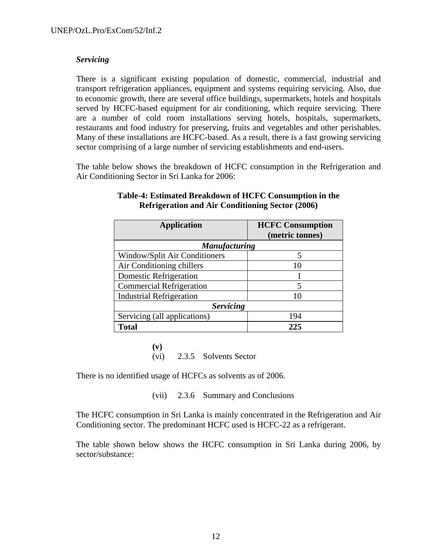### *Servicing*

There is a significant existing population of domestic, commercial, industrial and transport refrigeration appliances, equipment and systems requiring servicing. Also, due to economic growth, there are several office buildings, supermarkets, hotels and hospitals served by HCFC-based equipment for air conditioning, which require servicing. There are a number of cold room installations serving hotels, hospitals, supermarkets, restaurants and food industry for preserving, fruits and vegetables and other perishables. Many of these installations are HCFC-based. As a result, there is a fast growing servicing sector comprising of a large number of servicing establishments and end-users.

The table below shows the breakdown of HCFC consumption in the Refrigeration and Air Conditioning Sector in Sri Lanka for 2006:

| <b>Application</b>              | <b>HCFC Consumption</b> |  |  |  |
|---------------------------------|-------------------------|--|--|--|
|                                 | (metric tonnes)         |  |  |  |
| <b>Manufacturing</b>            |                         |  |  |  |
| Window/Split Air Conditioners   | 5                       |  |  |  |
| Air Conditioning chillers       | 10                      |  |  |  |
| <b>Domestic Refrigeration</b>   |                         |  |  |  |
| <b>Commercial Refrigeration</b> | 5                       |  |  |  |
| <b>Industrial Refrigeration</b> | 10                      |  |  |  |
| <b>Servicing</b>                |                         |  |  |  |
| Servicing (all applications)    | 194                     |  |  |  |
| <b>Total</b>                    | 225                     |  |  |  |

### **Table-4: Estimated Breakdown of HCFC Consumption in the Refrigeration and Air Conditioning Sector (2006)**

**(v)** (vi) 2.3.5 Solvents Sector

There is no identified usage of HCFCs as solvents as of 2006.

(vii) 2.3.6 Summary and Conclusions

The HCFC consumption in Sri Lanka is mainly concentrated in the Refrigeration and Air Conditioning sector. The predominant HCFC used is HCFC-22 as a refrigerant.

The table shown below shows the HCFC consumption in Sri Lanka during 2006, by sector/substance: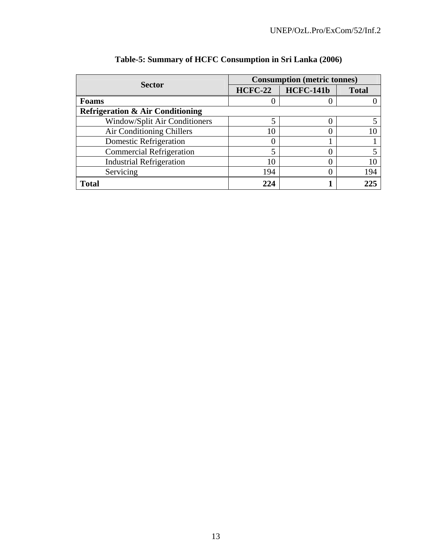|                                             |                | <b>Consumption (metric tonnes)</b> |              |  |  |  |
|---------------------------------------------|----------------|------------------------------------|--------------|--|--|--|
| <b>Sector</b>                               | <b>HCFC-22</b> | <b>HCFC-141b</b>                   | <b>Total</b> |  |  |  |
| Foams                                       |                |                                    |              |  |  |  |
| <b>Refrigeration &amp; Air Conditioning</b> |                |                                    |              |  |  |  |
| Window/Split Air Conditioners               |                |                                    |              |  |  |  |
| Air Conditioning Chillers                   | 10             |                                    |              |  |  |  |
| Domestic Refrigeration                      |                |                                    |              |  |  |  |
| <b>Commercial Refrigeration</b>             |                |                                    |              |  |  |  |
| <b>Industrial Refrigeration</b>             | 10             |                                    |              |  |  |  |
| Servicing                                   | 194            |                                    | 194          |  |  |  |
| <b>Total</b>                                | 224            |                                    | 225          |  |  |  |

# **Table-5: Summary of HCFC Consumption in Sri Lanka (2006)**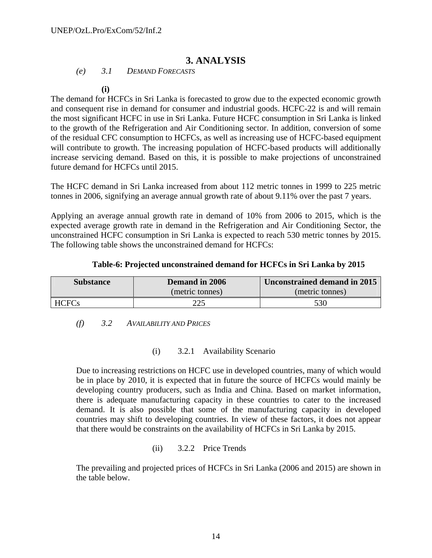# **3. ANALYSIS**

*(e) 3.1 DEMAND FORECASTS* 

**(i)**

The demand for HCFCs in Sri Lanka is forecasted to grow due to the expected economic growth and consequent rise in demand for consumer and industrial goods. HCFC-22 is and will remain the most significant HCFC in use in Sri Lanka. Future HCFC consumption in Sri Lanka is linked to the growth of the Refrigeration and Air Conditioning sector. In addition, conversion of some of the residual CFC consumption to HCFCs, as well as increasing use of HCFC-based equipment will contribute to growth. The increasing population of HCFC-based products will additionally increase servicing demand. Based on this, it is possible to make projections of unconstrained future demand for HCFCs until 2015.

The HCFC demand in Sri Lanka increased from about 112 metric tonnes in 1999 to 225 metric tonnes in 2006, signifying an average annual growth rate of about 9.11% over the past 7 years.

Applying an average annual growth rate in demand of 10% from 2006 to 2015, which is the expected average growth rate in demand in the Refrigeration and Air Conditioning Sector, the unconstrained HCFC consumption in Sri Lanka is expected to reach 530 metric tonnes by 2015. The following table shows the unconstrained demand for HCFCs:

### **Table-6: Projected unconstrained demand for HCFCs in Sri Lanka by 2015**

| <b>Substance</b> | Demand in 2006  | Unconstrained demand in 2015 |  |  |
|------------------|-----------------|------------------------------|--|--|
|                  | (metric tonnes) | (metric tonnes)              |  |  |
| <b>HCFCs</b>     | 225             | 530                          |  |  |

### *(f) 3.2 AVAILABILITY AND PRICES*

# (i) 3.2.1 Availability Scenario

Due to increasing restrictions on HCFC use in developed countries, many of which would be in place by 2010, it is expected that in future the source of HCFCs would mainly be developing country producers, such as India and China. Based on market information, there is adequate manufacturing capacity in these countries to cater to the increased demand. It is also possible that some of the manufacturing capacity in developed countries may shift to developing countries. In view of these factors, it does not appear that there would be constraints on the availability of HCFCs in Sri Lanka by 2015.

(ii) 3.2.2 Price Trends

The prevailing and projected prices of HCFCs in Sri Lanka (2006 and 2015) are shown in the table below.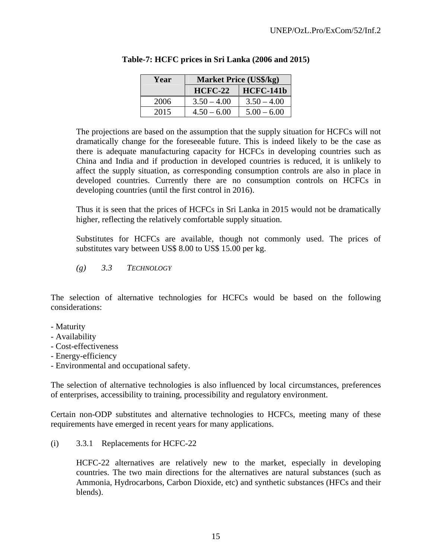| Year | <b>Market Price (US\$/kg)</b> |                  |
|------|-------------------------------|------------------|
|      | <b>HCFC-22</b>                | <b>HCFC-141b</b> |
| 2006 | $3.50 - 4.00$                 | $3.50 - 4.00$    |
| 2015 | $4.50 - 6.00$                 | $5.00 - 6.00$    |

|  |  | Table-7: HCFC prices in Sri Lanka (2006 and 2015) |
|--|--|---------------------------------------------------|
|  |  |                                                   |

The projections are based on the assumption that the supply situation for HCFCs will not dramatically change for the foreseeable future. This is indeed likely to be the case as there is adequate manufacturing capacity for HCFCs in developing countries such as China and India and if production in developed countries is reduced, it is unlikely to affect the supply situation, as corresponding consumption controls are also in place in developed countries. Currently there are no consumption controls on HCFCs in developing countries (until the first control in 2016).

Thus it is seen that the prices of HCFCs in Sri Lanka in 2015 would not be dramatically higher, reflecting the relatively comfortable supply situation.

Substitutes for HCFCs are available, though not commonly used. The prices of substitutes vary between US\$ 8.00 to US\$ 15.00 per kg.

*(g) 3.3 TECHNOLOGY*

The selection of alternative technologies for HCFCs would be based on the following considerations:

- Maturity
- Availability
- Cost-effectiveness
- Energy-efficiency
- Environmental and occupational safety.

The selection of alternative technologies is also influenced by local circumstances, preferences of enterprises, accessibility to training, processibility and regulatory environment.

Certain non-ODP substitutes and alternative technologies to HCFCs, meeting many of these requirements have emerged in recent years for many applications.

(i) 3.3.1 Replacements for HCFC-22

HCFC-22 alternatives are relatively new to the market, especially in developing countries. The two main directions for the alternatives are natural substances (such as Ammonia, Hydrocarbons, Carbon Dioxide, etc) and synthetic substances (HFCs and their blends).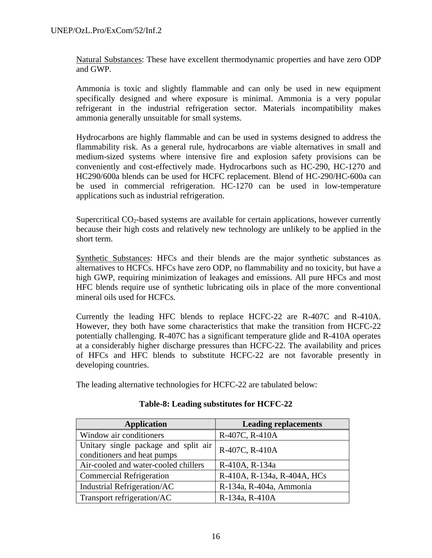Natural Substances: These have excellent thermodynamic properties and have zero ODP and GWP.

Ammonia is toxic and slightly flammable and can only be used in new equipment specifically designed and where exposure is minimal. Ammonia is a very popular refrigerant in the industrial refrigeration sector. Materials incompatibility makes ammonia generally unsuitable for small systems.

Hydrocarbons are highly flammable and can be used in systems designed to address the flammability risk. As a general rule, hydrocarbons are viable alternatives in small and medium-sized systems where intensive fire and explosion safety provisions can be conveniently and cost-effectively made. Hydrocarbons such as HC-290, HC-1270 and HC290/600a blends can be used for HCFC replacement. Blend of HC-290/HC-600a can be used in commercial refrigeration. HC-1270 can be used in low-temperature applications such as industrial refrigeration.

Supercritical  $CO<sub>2</sub>$ -based systems are available for certain applications, however currently because their high costs and relatively new technology are unlikely to be applied in the short term.

Synthetic Substances: HFCs and their blends are the major synthetic substances as alternatives to HCFCs. HFCs have zero ODP, no flammability and no toxicity, but have a high GWP, requiring minimization of leakages and emissions. All pure HFCs and most HFC blends require use of synthetic lubricating oils in place of the more conventional mineral oils used for HCFCs.

Currently the leading HFC blends to replace HCFC-22 are R-407C and R-410A. However, they both have some characteristics that make the transition from HCFC-22 potentially challenging. R-407C has a significant temperature glide and R-410A operates at a considerably higher discharge pressures than HCFC-22. The availability and prices of HFCs and HFC blends to substitute HCFC-22 are not favorable presently in developing countries.

The leading alternative technologies for HCFC-22 are tabulated below:

| <b>Application</b>                                                  | <b>Leading replacements</b> |
|---------------------------------------------------------------------|-----------------------------|
| Window air conditioners                                             | R-407C, R-410A              |
| Unitary single package and split air<br>conditioners and heat pumps | R-407C, R-410A              |
| Air-cooled and water-cooled chillers                                | R-410A, R-134a              |
| <b>Commercial Refrigeration</b>                                     | R-410A, R-134a, R-404A, HCs |
| Industrial Refrigeration/AC                                         | R-134a, R-404a, Ammonia     |
| Transport refrigeration/AC                                          | R-134a, R-410A              |

# **Table-8: Leading substitutes for HCFC-22**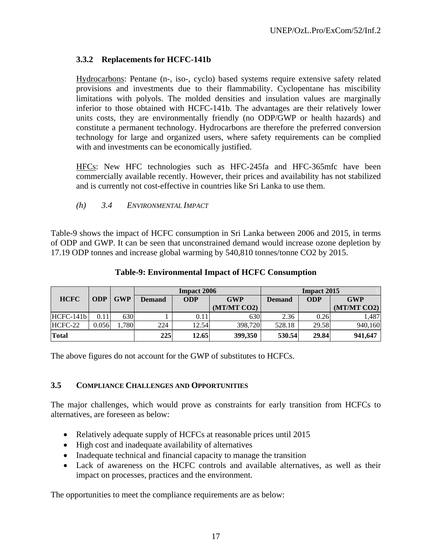# **3.3.2 Replacements for HCFC-141b**

Hydrocarbons: Pentane (n-, iso-, cyclo) based systems require extensive safety related provisions and investments due to their flammability. Cyclopentane has miscibility limitations with polyols. The molded densities and insulation values are marginally inferior to those obtained with HCFC-141b. The advantages are their relatively lower units costs, they are environmentally friendly (no ODP/GWP or health hazards) and constitute a permanent technology. Hydrocarbons are therefore the preferred conversion technology for large and organized users, where safety requirements can be complied with and investments can be economically justified.

HFCs: New HFC technologies such as HFC-245fa and HFC-365mfc have been commercially available recently. However, their prices and availability has not stabilized and is currently not cost-effective in countries like Sri Lanka to use them.

*(h) 3.4 ENVIRONMENTAL IMPACT* 

Table-9 shows the impact of HCFC consumption in Sri Lanka between 2006 and 2015, in terms of ODP and GWP. It can be seen that unconstrained demand would increase ozone depletion by 17.19 ODP tonnes and increase global warming by 540,810 tonnes/tonne CO2 by 2015.

|             |            |            | <b>Impact 2006</b>          |       |             | <b>Impact 2015</b> |            |             |  |
|-------------|------------|------------|-----------------------------|-------|-------------|--------------------|------------|-------------|--|
| <b>HCFC</b> | <b>ODP</b> | <b>GWP</b> | <b>ODP</b><br><b>Demand</b> |       | <b>GWP</b>  | <b>Demand</b>      | <b>ODP</b> | <b>GWP</b>  |  |
|             |            |            |                             |       | (MT/MT CO2) |                    |            | (MT/MT CO2) |  |
| HCFC-141b   | 0.11       | 630        |                             | 0.11  | 630         | 2.36               | 0.26       | 1,487       |  |
| HCFC-22     | 0.056      | .780       | 224                         | 12.54 | 398,720     | 528.18             | 29.58      | 940.160     |  |
| Total       |            |            | 225                         | 12.65 | 399,350     | 530.54             | 29.84      | 941,647     |  |

### **Table-9: Environmental Impact of HCFC Consumption**

The above figures do not account for the GWP of substitutes to HCFCs.

# **3.5 COMPLIANCE CHALLENGES AND OPPORTUNITIES**

The major challenges, which would prove as constraints for early transition from HCFCs to alternatives, are foreseen as below:

- Relatively adequate supply of HCFCs at reasonable prices until 2015
- High cost and inadequate availability of alternatives
- Inadequate technical and financial capacity to manage the transition
- Lack of awareness on the HCFC controls and available alternatives, as well as their impact on processes, practices and the environment.

The opportunities to meet the compliance requirements are as below: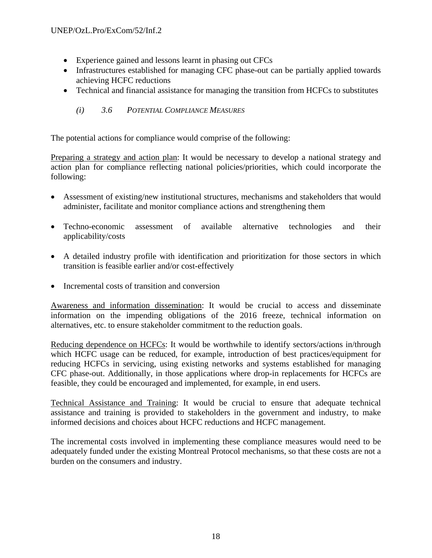- Experience gained and lessons learnt in phasing out CFCs
- Infrastructures established for managing CFC phase-out can be partially applied towards achieving HCFC reductions
- Technical and financial assistance for managing the transition from HCFCs to substitutes
	- *(i) 3.6 POTENTIAL COMPLIANCE MEASURES*

The potential actions for compliance would comprise of the following:

Preparing a strategy and action plan: It would be necessary to develop a national strategy and action plan for compliance reflecting national policies/priorities, which could incorporate the following:

- Assessment of existing/new institutional structures, mechanisms and stakeholders that would administer, facilitate and monitor compliance actions and strengthening them
- Techno-economic assessment of available alternative technologies and their applicability/costs
- A detailed industry profile with identification and prioritization for those sectors in which transition is feasible earlier and/or cost-effectively
- Incremental costs of transition and conversion

Awareness and information dissemination: It would be crucial to access and disseminate information on the impending obligations of the 2016 freeze, technical information on alternatives, etc. to ensure stakeholder commitment to the reduction goals.

Reducing dependence on HCFCs: It would be worthwhile to identify sectors/actions in/through which HCFC usage can be reduced, for example, introduction of best practices/equipment for reducing HCFCs in servicing, using existing networks and systems established for managing CFC phase-out. Additionally, in those applications where drop-in replacements for HCFCs are feasible, they could be encouraged and implemented, for example, in end users.

Technical Assistance and Training: It would be crucial to ensure that adequate technical assistance and training is provided to stakeholders in the government and industry, to make informed decisions and choices about HCFC reductions and HCFC management.

The incremental costs involved in implementing these compliance measures would need to be adequately funded under the existing Montreal Protocol mechanisms, so that these costs are not a burden on the consumers and industry.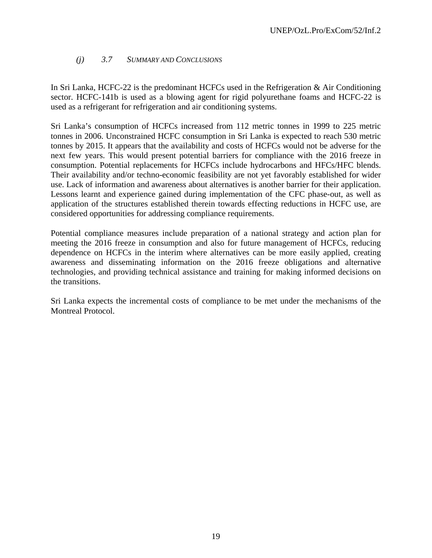# *(j) 3.7 SUMMARY AND CONCLUSIONS*

In Sri Lanka, HCFC-22 is the predominant HCFCs used in the Refrigeration & Air Conditioning sector. HCFC-141b is used as a blowing agent for rigid polyurethane foams and HCFC-22 is used as a refrigerant for refrigeration and air conditioning systems.

Sri Lanka's consumption of HCFCs increased from 112 metric tonnes in 1999 to 225 metric tonnes in 2006. Unconstrained HCFC consumption in Sri Lanka is expected to reach 530 metric tonnes by 2015. It appears that the availability and costs of HCFCs would not be adverse for the next few years. This would present potential barriers for compliance with the 2016 freeze in consumption. Potential replacements for HCFCs include hydrocarbons and HFCs/HFC blends. Their availability and/or techno-economic feasibility are not yet favorably established for wider use. Lack of information and awareness about alternatives is another barrier for their application. Lessons learnt and experience gained during implementation of the CFC phase-out, as well as application of the structures established therein towards effecting reductions in HCFC use, are considered opportunities for addressing compliance requirements.

Potential compliance measures include preparation of a national strategy and action plan for meeting the 2016 freeze in consumption and also for future management of HCFCs, reducing dependence on HCFCs in the interim where alternatives can be more easily applied, creating awareness and disseminating information on the 2016 freeze obligations and alternative technologies, and providing technical assistance and training for making informed decisions on the transitions.

Sri Lanka expects the incremental costs of compliance to be met under the mechanisms of the Montreal Protocol.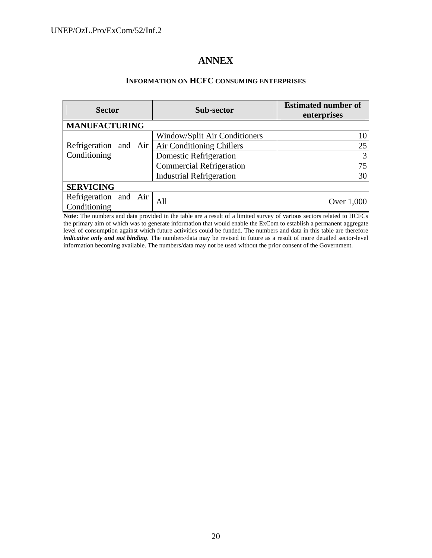# **ANNEX**

### **INFORMATION ON HCFC CONSUMING ENTERPRISES**

| <b>Sector</b>                         |  |  | Sub-sector                      | <b>Estimated number of</b><br>enterprises |  |  |
|---------------------------------------|--|--|---------------------------------|-------------------------------------------|--|--|
| <b>MANUFACTURING</b>                  |  |  |                                 |                                           |  |  |
|                                       |  |  | Window/Split Air Conditioners   | 10                                        |  |  |
| Refrigeration and Air                 |  |  | Air Conditioning Chillers       | 25                                        |  |  |
| Conditioning                          |  |  | <b>Domestic Refrigeration</b>   | 3                                         |  |  |
|                                       |  |  | <b>Commercial Refrigeration</b> | 75                                        |  |  |
|                                       |  |  | <b>Industrial Refrigeration</b> | 30                                        |  |  |
| <b>SERVICING</b>                      |  |  |                                 |                                           |  |  |
| Refrigeration and Air<br>Conditioning |  |  | All                             | Over 1,000                                |  |  |

**Note:** The numbers and data provided in the table are a result of a limited survey of various sectors related to HCFCs the primary aim of which was to generate information that would enable the ExCom to establish a permanent aggregate level of consumption against which future activities could be funded. The numbers and data in this table are therefore *indicative only and not binding*. The numbers/data may be revised in future as a result of more detailed sector-level information becoming available. The numbers/data may not be used without the prior consent of the Government.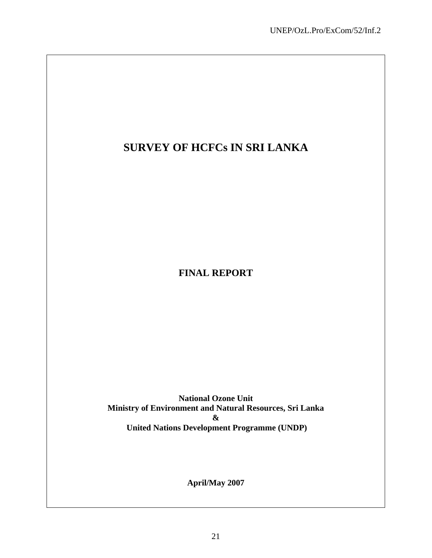# **SURVEY OF HCFCs IN SRI LANKA**

**FINAL REPORT** 

**National Ozone Unit Ministry of Environment and Natural Resources, Sri Lanka & United Nations Development Programme (UNDP)**

**April/May 2007**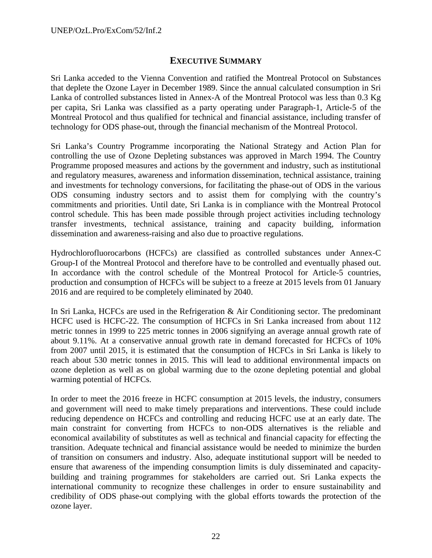# **EXECUTIVE SUMMARY**

Sri Lanka acceded to the Vienna Convention and ratified the Montreal Protocol on Substances that deplete the Ozone Layer in December 1989. Since the annual calculated consumption in Sri Lanka of controlled substances listed in Annex-A of the Montreal Protocol was less than 0.3 Kg per capita, Sri Lanka was classified as a party operating under Paragraph-1, Article-5 of the Montreal Protocol and thus qualified for technical and financial assistance, including transfer of technology for ODS phase-out, through the financial mechanism of the Montreal Protocol.

Sri Lanka's Country Programme incorporating the National Strategy and Action Plan for controlling the use of Ozone Depleting substances was approved in March 1994. The Country Programme proposed measures and actions by the government and industry, such as institutional and regulatory measures, awareness and information dissemination, technical assistance, training and investments for technology conversions, for facilitating the phase-out of ODS in the various ODS consuming industry sectors and to assist them for complying with the country's commitments and priorities. Until date, Sri Lanka is in compliance with the Montreal Protocol control schedule. This has been made possible through project activities including technology transfer investments, technical assistance, training and capacity building, information dissemination and awareness-raising and also due to proactive regulations.

Hydrochlorofluorocarbons (HCFCs) are classified as controlled substances under Annex-C Group-I of the Montreal Protocol and therefore have to be controlled and eventually phased out. In accordance with the control schedule of the Montreal Protocol for Article-5 countries, production and consumption of HCFCs will be subject to a freeze at 2015 levels from 01 January 2016 and are required to be completely eliminated by 2040.

In Sri Lanka, HCFCs are used in the Refrigeration & Air Conditioning sector. The predominant HCFC used is HCFC-22. The consumption of HCFCs in Sri Lanka increased from about 112 metric tonnes in 1999 to 225 metric tonnes in 2006 signifying an average annual growth rate of about 9.11%. At a conservative annual growth rate in demand forecasted for HCFCs of 10% from 2007 until 2015, it is estimated that the consumption of HCFCs in Sri Lanka is likely to reach about 530 metric tonnes in 2015. This will lead to additional environmental impacts on ozone depletion as well as on global warming due to the ozone depleting potential and global warming potential of HCFCs.

In order to meet the 2016 freeze in HCFC consumption at 2015 levels, the industry, consumers and government will need to make timely preparations and interventions. These could include reducing dependence on HCFCs and controlling and reducing HCFC use at an early date. The main constraint for converting from HCFCs to non-ODS alternatives is the reliable and economical availability of substitutes as well as technical and financial capacity for effecting the transition. Adequate technical and financial assistance would be needed to minimize the burden of transition on consumers and industry. Also, adequate institutional support will be needed to ensure that awareness of the impending consumption limits is duly disseminated and capacitybuilding and training programmes for stakeholders are carried out. Sri Lanka expects the international community to recognize these challenges in order to ensure sustainability and credibility of ODS phase-out complying with the global efforts towards the protection of the ozone layer.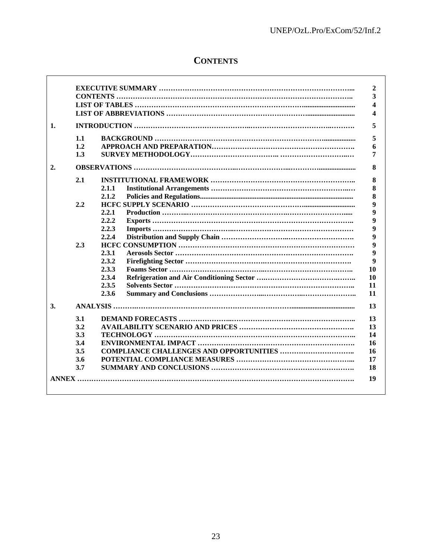# **CONTENTS**

 $\mathsf{r}$ 

| 1.1 |       |
|-----|-------|
| 1.2 |       |
| 1.3 |       |
|     |       |
| 2.1 |       |
|     | 2.1.1 |
|     | 2.1.2 |
| 2.2 |       |
|     | 2.2.1 |
|     | 2.2.2 |
|     | 2.2.3 |
|     | 2.2.4 |
| 2.3 |       |
|     | 2.3.1 |
|     | 2.3.2 |
|     | 2.3.3 |
|     | 2.3.4 |
|     | 2.3.5 |
|     | 2.3.6 |
|     |       |
| 3.1 |       |
| 3.2 |       |
| 3.3 |       |
| 3.4 |       |
| 3.5 |       |
| 3.6 |       |
| 3.7 |       |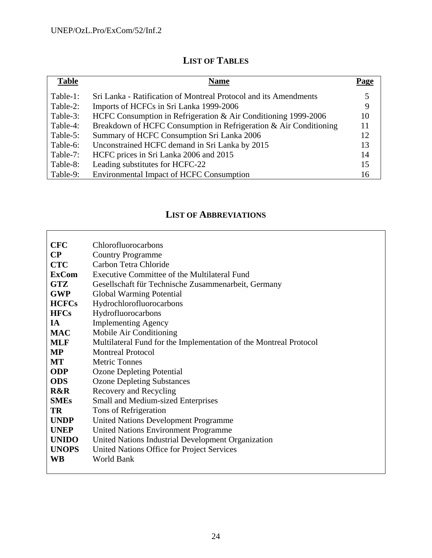| <b>Table</b> | <b>Name</b>                                                       | Page |
|--------------|-------------------------------------------------------------------|------|
| Table-1:     | Sri Lanka - Ratification of Montreal Protocol and its Amendments  |      |
| Table-2:     | Imports of HCFCs in Sri Lanka 1999-2006                           | 9    |
| Table-3:     | HCFC Consumption in Refrigeration & Air Conditioning 1999-2006    | 10   |
| Table-4:     | Breakdown of HCFC Consumption in Refrigeration & Air Conditioning | 11   |
| Table-5:     | Summary of HCFC Consumption Sri Lanka 2006                        | 12   |
| Table-6:     | Unconstrained HCFC demand in Sri Lanka by 2015                    | 13   |
| Table-7:     | HCFC prices in Sri Lanka 2006 and 2015                            | 14   |
| Table-8:     | Leading substitutes for HCFC-22                                   | 15   |
| Table-9:     | <b>Environmental Impact of HCFC Consumption</b>                   | 16   |

# **LIST OF ABBREVIATIONS**

| <b>CFC</b>   | Chlorofluorocarbons                                               |
|--------------|-------------------------------------------------------------------|
| $\bf CP$     | <b>Country Programme</b>                                          |
| <b>CTC</b>   | Carbon Tetra Chloride                                             |
| <b>ExCom</b> | Executive Committee of the Multilateral Fund                      |
| <b>GTZ</b>   | Gesellschaft für Technische Zusammenarbeit, Germany               |
| <b>GWP</b>   | <b>Global Warming Potential</b>                                   |
| <b>HCFCs</b> | Hydrochlorofluorocarbons                                          |
| <b>HFCs</b>  | Hydrofluorocarbons                                                |
| <b>IA</b>    | <b>Implementing Agency</b>                                        |
| <b>MAC</b>   | Mobile Air Conditioning                                           |
| <b>MLF</b>   | Multilateral Fund for the Implementation of the Montreal Protocol |
| <b>MP</b>    | <b>Montreal Protocol</b>                                          |
| MT           | <b>Metric Tonnes</b>                                              |
| <b>ODP</b>   | <b>Ozone Depleting Potential</b>                                  |
| <b>ODS</b>   | <b>Ozone Depleting Substances</b>                                 |
| R&R          | Recovery and Recycling                                            |
| <b>SMEs</b>  | <b>Small and Medium-sized Enterprises</b>                         |
| <b>TR</b>    | Tons of Refrigeration                                             |
| <b>UNDP</b>  | <b>United Nations Development Programme</b>                       |
| <b>UNEP</b>  | <b>United Nations Environment Programme</b>                       |
| <b>UNIDO</b> | United Nations Industrial Development Organization                |
| <b>UNOPS</b> | United Nations Office for Project Services                        |
| <b>WB</b>    | <b>World Bank</b>                                                 |
|              |                                                                   |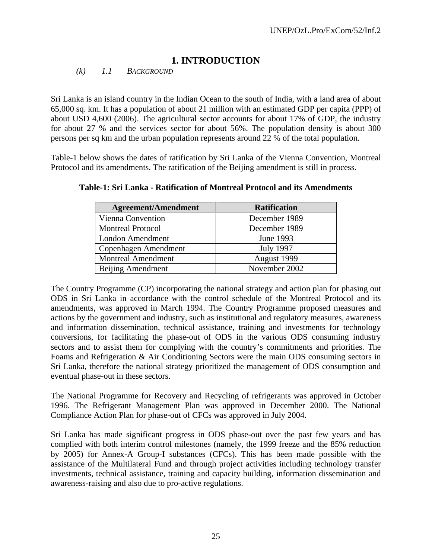# **1. INTRODUCTION**

*(k) 1.1 BACKGROUND* 

Sri Lanka is an island country in the Indian Ocean to the south of India, with a land area of about 65,000 sq. km. It has a population of about 21 million with an estimated GDP per capita (PPP) of about USD 4,600 (2006). The agricultural sector accounts for about 17% of GDP, the industry for about 27 % and the services sector for about 56%. The population density is about 300 persons per sq km and the urban population represents around 22 % of the total population.

Table-1 below shows the dates of ratification by Sri Lanka of the Vienna Convention, Montreal Protocol and its amendments. The ratification of the Beijing amendment is still in process.

| <b>Agreement/Amendment</b> | <b>Ratification</b> |
|----------------------------|---------------------|
| Vienna Convention          | December 1989       |
| <b>Montreal Protocol</b>   | December 1989       |
| London Amendment           | June 1993           |
| Copenhagen Amendment       | <b>July 1997</b>    |
| <b>Montreal Amendment</b>  | August 1999         |
| Beijing Amendment          | November 2002       |

**Table-1: Sri Lanka - Ratification of Montreal Protocol and its Amendments** 

The Country Programme (CP) incorporating the national strategy and action plan for phasing out ODS in Sri Lanka in accordance with the control schedule of the Montreal Protocol and its amendments, was approved in March 1994. The Country Programme proposed measures and actions by the government and industry, such as institutional and regulatory measures, awareness and information dissemination, technical assistance, training and investments for technology conversions, for facilitating the phase-out of ODS in the various ODS consuming industry sectors and to assist them for complying with the country's commitments and priorities. The Foams and Refrigeration & Air Conditioning Sectors were the main ODS consuming sectors in Sri Lanka, therefore the national strategy prioritized the management of ODS consumption and eventual phase-out in these sectors.

The National Programme for Recovery and Recycling of refrigerants was approved in October 1996. The Refrigerant Management Plan was approved in December 2000. The National Compliance Action Plan for phase-out of CFCs was approved in July 2004.

Sri Lanka has made significant progress in ODS phase-out over the past few years and has complied with both interim control milestones (namely, the 1999 freeze and the 85% reduction by 2005) for Annex-A Group-I substances (CFCs). This has been made possible with the assistance of the Multilateral Fund and through project activities including technology transfer investments, technical assistance, training and capacity building, information dissemination and awareness-raising and also due to pro-active regulations.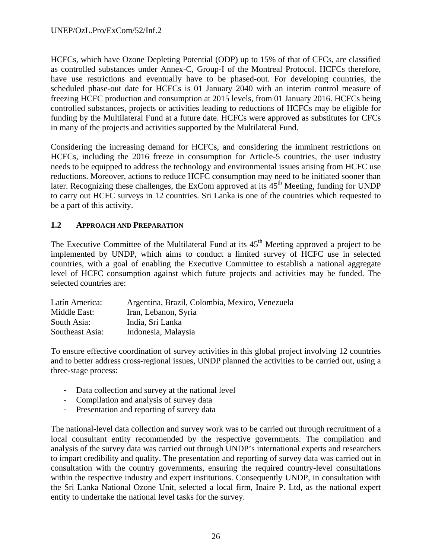HCFCs, which have Ozone Depleting Potential (ODP) up to 15% of that of CFCs, are classified as controlled substances under Annex-C, Group-I of the Montreal Protocol. HCFCs therefore, have use restrictions and eventually have to be phased-out. For developing countries, the scheduled phase-out date for HCFCs is 01 January 2040 with an interim control measure of freezing HCFC production and consumption at 2015 levels, from 01 January 2016. HCFCs being controlled substances, projects or activities leading to reductions of HCFCs may be eligible for funding by the Multilateral Fund at a future date. HCFCs were approved as substitutes for CFCs in many of the projects and activities supported by the Multilateral Fund.

Considering the increasing demand for HCFCs, and considering the imminent restrictions on HCFCs, including the 2016 freeze in consumption for Article-5 countries, the user industry needs to be equipped to address the technology and environmental issues arising from HCFC use reductions. Moreover, actions to reduce HCFC consumption may need to be initiated sooner than later. Recognizing these challenges, the ExCom approved at its  $45<sup>th</sup>$  Meeting, funding for UNDP to carry out HCFC surveys in 12 countries. Sri Lanka is one of the countries which requested to be a part of this activity.

# **1.2 APPROACH AND PREPARATION**

The Executive Committee of the Multilateral Fund at its  $45<sup>th</sup>$  Meeting approved a project to be implemented by UNDP, which aims to conduct a limited survey of HCFC use in selected countries, with a goal of enabling the Executive Committee to establish a national aggregate level of HCFC consumption against which future projects and activities may be funded. The selected countries are:

| Latín America:  | Argentina, Brazil, Colombia, Mexico, Venezuela |
|-----------------|------------------------------------------------|
| Middle East:    | Iran, Lebanon, Syria                           |
| South Asia:     | India, Sri Lanka                               |
| Southeast Asia: | Indonesia, Malaysia                            |

To ensure effective coordination of survey activities in this global project involving 12 countries and to better address cross-regional issues, UNDP planned the activities to be carried out, using a three-stage process:

- Data collection and survey at the national level
- Compilation and analysis of survey data
- Presentation and reporting of survey data

The national-level data collection and survey work was to be carried out through recruitment of a local consultant entity recommended by the respective governments. The compilation and analysis of the survey data was carried out through UNDP's international experts and researchers to impart credibility and quality. The presentation and reporting of survey data was carried out in consultation with the country governments, ensuring the required country-level consultations within the respective industry and expert institutions. Consequently UNDP, in consultation with the Sri Lanka National Ozone Unit, selected a local firm, Inaire P. Ltd, as the national expert entity to undertake the national level tasks for the survey.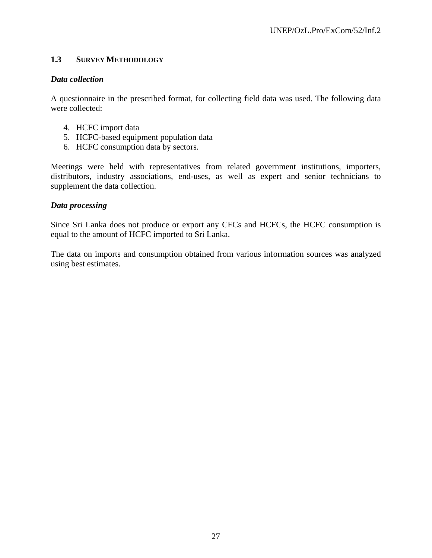# **1.3 SURVEY METHODOLOGY**

# *Data collection*

A questionnaire in the prescribed format, for collecting field data was used. The following data were collected:

- 4. HCFC import data
- 5. HCFC-based equipment population data
- 6. HCFC consumption data by sectors.

Meetings were held with representatives from related government institutions, importers, distributors, industry associations, end-uses, as well as expert and senior technicians to supplement the data collection.

# *Data processing*

Since Sri Lanka does not produce or export any CFCs and HCFCs, the HCFC consumption is equal to the amount of HCFC imported to Sri Lanka.

The data on imports and consumption obtained from various information sources was analyzed using best estimates.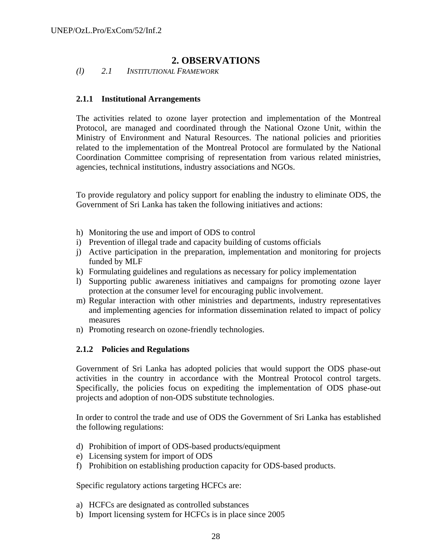# **2. OBSERVATIONS**

*(l) 2.1 INSTITUTIONAL FRAMEWORK* 

# **2.1.1 Institutional Arrangements**

The activities related to ozone layer protection and implementation of the Montreal Protocol, are managed and coordinated through the National Ozone Unit, within the Ministry of Environment and Natural Resources. The national policies and priorities related to the implementation of the Montreal Protocol are formulated by the National Coordination Committee comprising of representation from various related ministries, agencies, technical institutions, industry associations and NGOs.

To provide regulatory and policy support for enabling the industry to eliminate ODS, the Government of Sri Lanka has taken the following initiatives and actions:

- h) Monitoring the use and import of ODS to control
- i) Prevention of illegal trade and capacity building of customs officials
- j) Active participation in the preparation, implementation and monitoring for projects funded by MLF
- k) Formulating guidelines and regulations as necessary for policy implementation
- l) Supporting public awareness initiatives and campaigns for promoting ozone layer protection at the consumer level for encouraging public involvement.
- m) Regular interaction with other ministries and departments, industry representatives and implementing agencies for information dissemination related to impact of policy measures
- n) Promoting research on ozone-friendly technologies.

# **2.1.2 Policies and Regulations**

Government of Sri Lanka has adopted policies that would support the ODS phase-out activities in the country in accordance with the Montreal Protocol control targets. Specifically, the policies focus on expediting the implementation of ODS phase-out projects and adoption of non-ODS substitute technologies.

In order to control the trade and use of ODS the Government of Sri Lanka has established the following regulations:

- d) Prohibition of import of ODS-based products/equipment
- e) Licensing system for import of ODS
- f) Prohibition on establishing production capacity for ODS-based products.

Specific regulatory actions targeting HCFCs are:

- a) HCFCs are designated as controlled substances
- b) Import licensing system for HCFCs is in place since 2005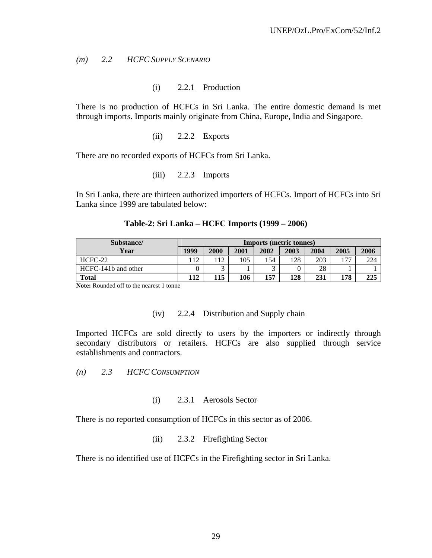*(m) 2.2 HCFC SUPPLY SCENARIO* 

(i) 2.2.1 Production

There is no production of HCFCs in Sri Lanka. The entire domestic demand is met through imports. Imports mainly originate from China, Europe, India and Singapore.

(ii) 2.2.2 Exports

There are no recorded exports of HCFCs from Sri Lanka.

(iii) 2.2.3 Imports

In Sri Lanka, there are thirteen authorized importers of HCFCs. Import of HCFCs into Sri Lanka since 1999 are tabulated below:

| Substance/          | <b>Imports (metric tonnes)</b> |      |      |            |      |      |      |      |
|---------------------|--------------------------------|------|------|------------|------|------|------|------|
| Year                | 1999                           | 2000 | 2001 | 2002       | 2003 | 2004 | 2005 | 2006 |
| HCFC-22             | 112                            | 112  | 105  | 154        | 128  | 203  | 177  | 224  |
| HCFC-141b and other |                                |      |      | $\sqrt{2}$ |      | 28   |      |      |
| <b>Total</b>        | 112                            | 115  | 106  | 157        | 128  | 231  | 178  | 225  |

#### **Table-2: Sri Lanka – HCFC Imports (1999 – 2006)**

**Note:** Rounded off to the nearest 1 tonne

#### (iv) 2.2.4 Distribution and Supply chain

Imported HCFCs are sold directly to users by the importers or indirectly through secondary distributors or retailers. HCFCs are also supplied through service establishments and contractors.

*(n) 2.3 HCFC CONSUMPTION* 

### (i) 2.3.1 Aerosols Sector

There is no reported consumption of HCFCs in this sector as of 2006.

(ii) 2.3.2 Firefighting Sector

There is no identified use of HCFCs in the Firefighting sector in Sri Lanka.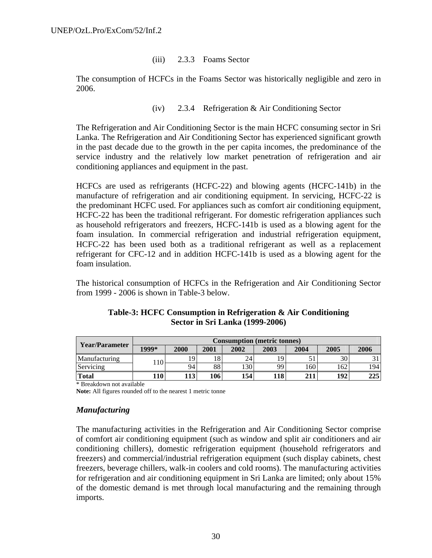### (iii) 2.3.3 Foams Sector

The consumption of HCFCs in the Foams Sector was historically negligible and zero in 2006.

## (iv) 2.3.4 Refrigeration & Air Conditioning Sector

The Refrigeration and Air Conditioning Sector is the main HCFC consuming sector in Sri Lanka. The Refrigeration and Air Conditioning Sector has experienced significant growth in the past decade due to the growth in the per capita incomes, the predominance of the service industry and the relatively low market penetration of refrigeration and air conditioning appliances and equipment in the past.

HCFCs are used as refrigerants (HCFC-22) and blowing agents (HCFC-141b) in the manufacture of refrigeration and air conditioning equipment. In servicing, HCFC-22 is the predominant HCFC used. For appliances such as comfort air conditioning equipment, HCFC-22 has been the traditional refrigerant. For domestic refrigeration appliances such as household refrigerators and freezers, HCFC-141b is used as a blowing agent for the foam insulation. In commercial refrigeration and industrial refrigeration equipment, HCFC-22 has been used both as a traditional refrigerant as well as a replacement refrigerant for CFC-12 and in addition HCFC-141b is used as a blowing agent for the foam insulation.

The historical consumption of HCFCs in the Refrigeration and Air Conditioning Sector from 1999 - 2006 is shown in Table-3 below.

| Year/Parameter | <b>Consumption (metric tonnes)</b> |      |      |      |      |      |      |      |  |
|----------------|------------------------------------|------|------|------|------|------|------|------|--|
|                | 1999*                              | 2000 | 2001 | 2002 | 2003 | 2004 | 2005 | 2006 |  |
| Manufacturing  | 110                                |      | 18   | 24   | 19   |      | 30   |      |  |
| Servicing      |                                    | 94   | 88   | 130  | 99   | .60  | 162  | 1941 |  |
| <b>Total</b>   | 10                                 | 113  | 106  | 154  | 118  | 211  | 192  | 225  |  |

### **Table-3: HCFC Consumption in Refrigeration & Air Conditioning Sector in Sri Lanka (1999-2006)**

\* Breakdown not available

**Note:** All figures rounded off to the nearest 1 metric tonne

### *Manufacturing*

The manufacturing activities in the Refrigeration and Air Conditioning Sector comprise of comfort air conditioning equipment (such as window and split air conditioners and air conditioning chillers), domestic refrigeration equipment (household refrigerators and freezers) and commercial/industrial refrigeration equipment (such display cabinets, chest freezers, beverage chillers, walk-in coolers and cold rooms). The manufacturing activities for refrigeration and air conditioning equipment in Sri Lanka are limited; only about 15% of the domestic demand is met through local manufacturing and the remaining through imports.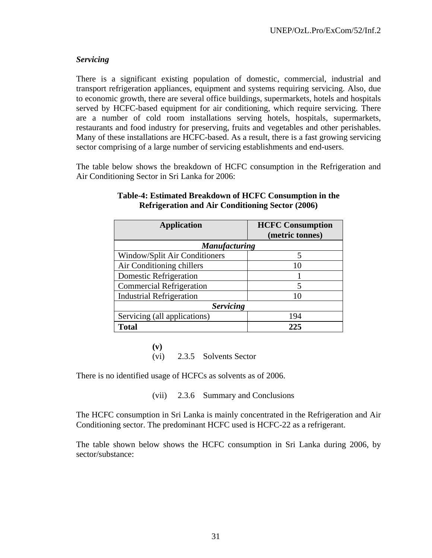# *Servicing*

There is a significant existing population of domestic, commercial, industrial and transport refrigeration appliances, equipment and systems requiring servicing. Also, due to economic growth, there are several office buildings, supermarkets, hotels and hospitals served by HCFC-based equipment for air conditioning, which require servicing. There are a number of cold room installations serving hotels, hospitals, supermarkets, restaurants and food industry for preserving, fruits and vegetables and other perishables. Many of these installations are HCFC-based. As a result, there is a fast growing servicing sector comprising of a large number of servicing establishments and end-users.

The table below shows the breakdown of HCFC consumption in the Refrigeration and Air Conditioning Sector in Sri Lanka for 2006:

| <b>Application</b>              | <b>HCFC Consumption</b> |
|---------------------------------|-------------------------|
|                                 | (metric tonnes)         |
| <b>Manufacturing</b>            |                         |
| Window/Split Air Conditioners   | 5                       |
| Air Conditioning chillers       | 10                      |
| <b>Domestic Refrigeration</b>   |                         |
| <b>Commercial Refrigeration</b> | 5                       |
| <b>Industrial Refrigeration</b> | 10                      |
| <b>Servicing</b>                |                         |
| Servicing (all applications)    | 194                     |
| <b>Total</b>                    | 225                     |

### **Table-4: Estimated Breakdown of HCFC Consumption in the Refrigeration and Air Conditioning Sector (2006)**

**(v)** (vi) 2.3.5 Solvents Sector

There is no identified usage of HCFCs as solvents as of 2006.

(vii) 2.3.6 Summary and Conclusions

The HCFC consumption in Sri Lanka is mainly concentrated in the Refrigeration and Air Conditioning sector. The predominant HCFC used is HCFC-22 as a refrigerant.

The table shown below shows the HCFC consumption in Sri Lanka during 2006, by sector/substance: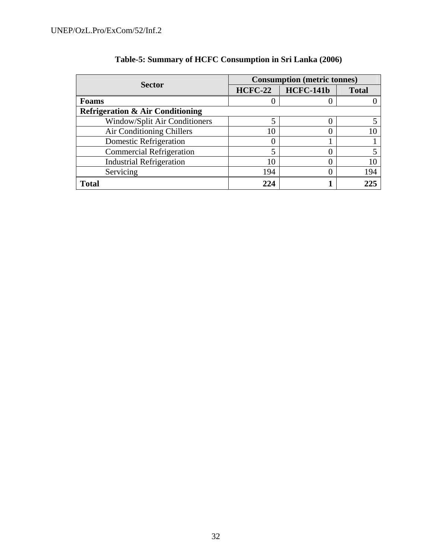|                                             | <b>Consumption (metric tonnes)</b> |                  |              |  |
|---------------------------------------------|------------------------------------|------------------|--------------|--|
| <b>Sector</b>                               | <b>HCFC-22</b>                     | <b>HCFC-141b</b> | <b>Total</b> |  |
| <b>Foams</b>                                |                                    |                  |              |  |
| <b>Refrigeration &amp; Air Conditioning</b> |                                    |                  |              |  |
| <b>Window/Split Air Conditioners</b>        | 5                                  |                  |              |  |
| Air Conditioning Chillers                   | 10                                 |                  |              |  |
| <b>Domestic Refrigeration</b>               |                                    |                  |              |  |
| <b>Commercial Refrigeration</b>             |                                    |                  |              |  |
| <b>Industrial Refrigeration</b>             | 10                                 |                  |              |  |
| Servicing                                   | 194                                |                  | 194          |  |
| <b>Total</b>                                | 224                                |                  | 225          |  |

# **Table-5: Summary of HCFC Consumption in Sri Lanka (2006)**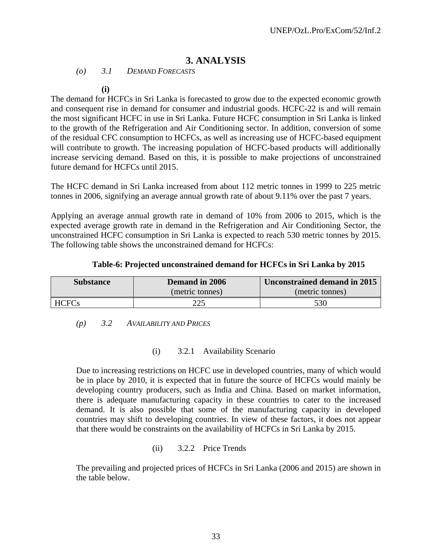# **3. ANALYSIS**

*(o) 3.1 DEMAND FORECASTS* 

**(i)**

The demand for HCFCs in Sri Lanka is forecasted to grow due to the expected economic growth and consequent rise in demand for consumer and industrial goods. HCFC-22 is and will remain the most significant HCFC in use in Sri Lanka. Future HCFC consumption in Sri Lanka is linked to the growth of the Refrigeration and Air Conditioning sector. In addition, conversion of some of the residual CFC consumption to HCFCs, as well as increasing use of HCFC-based equipment will contribute to growth. The increasing population of HCFC-based products will additionally increase servicing demand. Based on this, it is possible to make projections of unconstrained future demand for HCFCs until 2015.

The HCFC demand in Sri Lanka increased from about 112 metric tonnes in 1999 to 225 metric tonnes in 2006, signifying an average annual growth rate of about 9.11% over the past 7 years.

Applying an average annual growth rate in demand of 10% from 2006 to 2015, which is the expected average growth rate in demand in the Refrigeration and Air Conditioning Sector, the unconstrained HCFC consumption in Sri Lanka is expected to reach 530 metric tonnes by 2015. The following table shows the unconstrained demand for HCFCs:

### **Table-6: Projected unconstrained demand for HCFCs in Sri Lanka by 2015**

| <b>Substance</b> | Demand in 2006  | Unconstrained demand in 2015 |  |  |
|------------------|-----------------|------------------------------|--|--|
|                  | (metric tonnes) | (metric tonnes)              |  |  |
| <b>HCFCs</b>     | 225             | 530                          |  |  |

### *(p) 3.2 AVAILABILITY AND PRICES*

### (i) 3.2.1 Availability Scenario

Due to increasing restrictions on HCFC use in developed countries, many of which would be in place by 2010, it is expected that in future the source of HCFCs would mainly be developing country producers, such as India and China. Based on market information, there is adequate manufacturing capacity in these countries to cater to the increased demand. It is also possible that some of the manufacturing capacity in developed countries may shift to developing countries. In view of these factors, it does not appear that there would be constraints on the availability of HCFCs in Sri Lanka by 2015.

### (ii) 3.2.2 Price Trends

The prevailing and projected prices of HCFCs in Sri Lanka (2006 and 2015) are shown in the table below.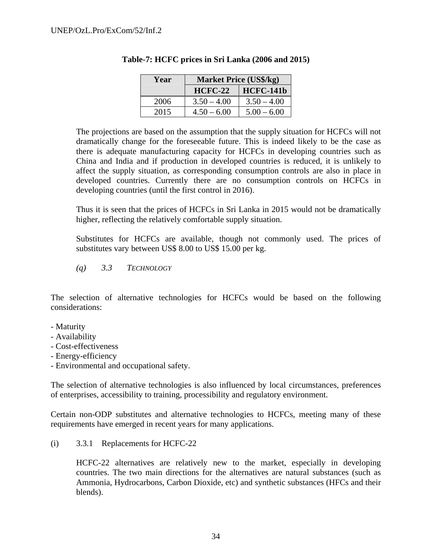| Year | <b>Market Price (US\$/kg)</b> |                  |  |  |
|------|-------------------------------|------------------|--|--|
|      | $HCFC-22$                     | <b>HCFC-141b</b> |  |  |
| 2006 | $3.50 - 4.00$                 | $3.50 - 4.00$    |  |  |
| 2015 | $4.50 - 6.00$                 | $5.00 - 6.00$    |  |  |

### **Table-7: HCFC prices in Sri Lanka (2006 and 2015)**

The projections are based on the assumption that the supply situation for HCFCs will not dramatically change for the foreseeable future. This is indeed likely to be the case as there is adequate manufacturing capacity for HCFCs in developing countries such as China and India and if production in developed countries is reduced, it is unlikely to affect the supply situation, as corresponding consumption controls are also in place in developed countries. Currently there are no consumption controls on HCFCs in developing countries (until the first control in 2016).

Thus it is seen that the prices of HCFCs in Sri Lanka in 2015 would not be dramatically higher, reflecting the relatively comfortable supply situation.

Substitutes for HCFCs are available, though not commonly used. The prices of substitutes vary between US\$ 8.00 to US\$ 15.00 per kg.

*(q) 3.3 TECHNOLOGY*

The selection of alternative technologies for HCFCs would be based on the following considerations:

- Maturity
- Availability
- Cost-effectiveness
- Energy-efficiency
- Environmental and occupational safety.

The selection of alternative technologies is also influenced by local circumstances, preferences of enterprises, accessibility to training, processibility and regulatory environment.

Certain non-ODP substitutes and alternative technologies to HCFCs, meeting many of these requirements have emerged in recent years for many applications.

(i) 3.3.1 Replacements for HCFC-22

HCFC-22 alternatives are relatively new to the market, especially in developing countries. The two main directions for the alternatives are natural substances (such as Ammonia, Hydrocarbons, Carbon Dioxide, etc) and synthetic substances (HFCs and their blends).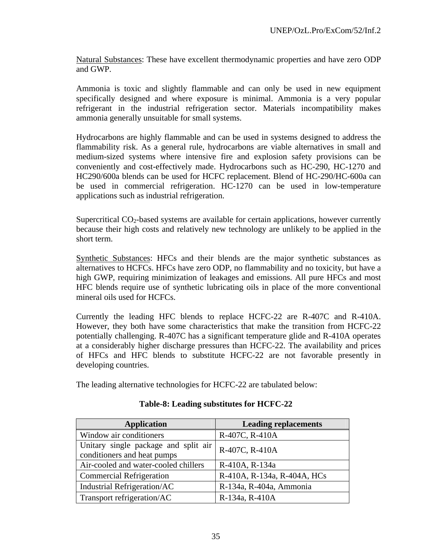Natural Substances: These have excellent thermodynamic properties and have zero ODP and GWP.

Ammonia is toxic and slightly flammable and can only be used in new equipment specifically designed and where exposure is minimal. Ammonia is a very popular refrigerant in the industrial refrigeration sector. Materials incompatibility makes ammonia generally unsuitable for small systems.

Hydrocarbons are highly flammable and can be used in systems designed to address the flammability risk. As a general rule, hydrocarbons are viable alternatives in small and medium-sized systems where intensive fire and explosion safety provisions can be conveniently and cost-effectively made. Hydrocarbons such as HC-290, HC-1270 and HC290/600a blends can be used for HCFC replacement. Blend of HC-290/HC-600a can be used in commercial refrigeration. HC-1270 can be used in low-temperature applications such as industrial refrigeration.

Supercritical  $CO<sub>2</sub>$ -based systems are available for certain applications, however currently because their high costs and relatively new technology are unlikely to be applied in the short term.

Synthetic Substances: HFCs and their blends are the major synthetic substances as alternatives to HCFCs. HFCs have zero ODP, no flammability and no toxicity, but have a high GWP, requiring minimization of leakages and emissions. All pure HFCs and most HFC blends require use of synthetic lubricating oils in place of the more conventional mineral oils used for HCFCs.

Currently the leading HFC blends to replace HCFC-22 are R-407C and R-410A. However, they both have some characteristics that make the transition from HCFC-22 potentially challenging. R-407C has a significant temperature glide and R-410A operates at a considerably higher discharge pressures than HCFC-22. The availability and prices of HFCs and HFC blends to substitute HCFC-22 are not favorable presently in developing countries.

The leading alternative technologies for HCFC-22 are tabulated below:

| <b>Application</b>                                                  | <b>Leading replacements</b> |  |  |
|---------------------------------------------------------------------|-----------------------------|--|--|
| Window air conditioners                                             | R-407C, R-410A              |  |  |
| Unitary single package and split air<br>conditioners and heat pumps | R-407C, R-410A              |  |  |
| Air-cooled and water-cooled chillers                                | R-410A, R-134a              |  |  |
| <b>Commercial Refrigeration</b>                                     | R-410A, R-134a, R-404A, HCs |  |  |
| Industrial Refrigeration/AC                                         | R-134a, R-404a, Ammonia     |  |  |
| Transport refrigeration/AC                                          | R-134a, R-410A              |  |  |

### **Table-8: Leading substitutes for HCFC-22**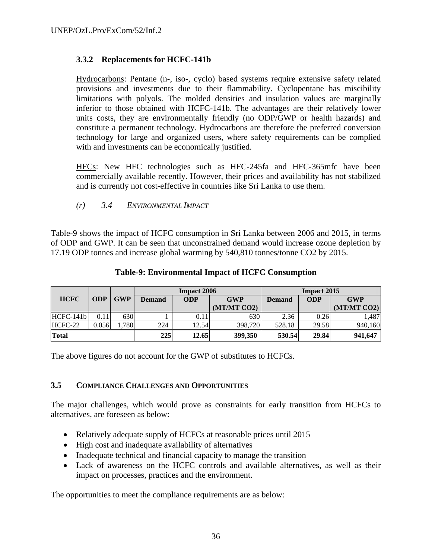# **3.3.2 Replacements for HCFC-141b**

Hydrocarbons: Pentane (n-, iso-, cyclo) based systems require extensive safety related provisions and investments due to their flammability. Cyclopentane has miscibility limitations with polyols. The molded densities and insulation values are marginally inferior to those obtained with HCFC-141b. The advantages are their relatively lower units costs, they are environmentally friendly (no ODP/GWP or health hazards) and constitute a permanent technology. Hydrocarbons are therefore the preferred conversion technology for large and organized users, where safety requirements can be complied with and investments can be economically justified.

HFCs: New HFC technologies such as HFC-245fa and HFC-365mfc have been commercially available recently. However, their prices and availability has not stabilized and is currently not cost-effective in countries like Sri Lanka to use them.

*(r) 3.4 ENVIRONMENTAL IMPACT* 

Table-9 shows the impact of HCFC consumption in Sri Lanka between 2006 and 2015, in terms of ODP and GWP. It can be seen that unconstrained demand would increase ozone depletion by 17.19 ODP tonnes and increase global warming by 540,810 tonnes/tonne CO2 by 2015.

|              |            |            |               | <b>Impact 2006</b> |             | <b>Impact 2015</b> |            |             |
|--------------|------------|------------|---------------|--------------------|-------------|--------------------|------------|-------------|
| <b>HCFC</b>  | <b>ODP</b> | <b>GWP</b> | <b>Demand</b> | <b>ODP</b>         | <b>GWP</b>  | <b>Demand</b>      | <b>ODP</b> | <b>GWP</b>  |
|              |            |            |               |                    | (MT/MT CO2) |                    |            | (MT/MT CO2) |
| $HCFC-141b$  | 0.11       | 630        |               | 0.11               | 630         | 2.36               | 0.26       | ,487        |
| HCFC-22      | 0.056      | .780       | 224           | 12.54              | 398,720     | 528.18             | 29.58      | 940,160     |
| <b>Total</b> |            |            | 225           | 12.65              | 399,350     | 530.54             | 29.84      | 941,647     |

#### **Table-9: Environmental Impact of HCFC Consumption**

The above figures do not account for the GWP of substitutes to HCFCs.

### **3.5 COMPLIANCE CHALLENGES AND OPPORTUNITIES**

The major challenges, which would prove as constraints for early transition from HCFCs to alternatives, are foreseen as below:

- Relatively adequate supply of HCFCs at reasonable prices until 2015
- High cost and inadequate availability of alternatives
- Inadequate technical and financial capacity to manage the transition
- Lack of awareness on the HCFC controls and available alternatives, as well as their impact on processes, practices and the environment.

The opportunities to meet the compliance requirements are as below: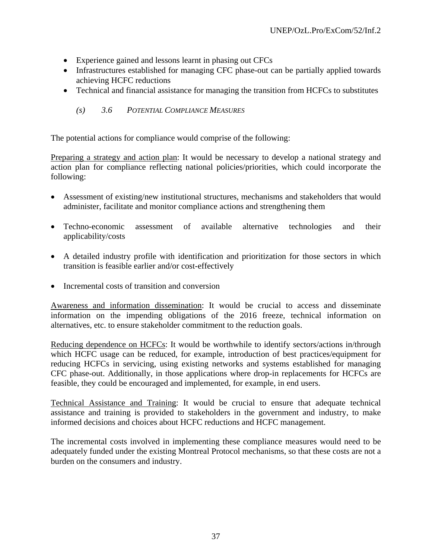- Experience gained and lessons learnt in phasing out CFCs
- Infrastructures established for managing CFC phase-out can be partially applied towards achieving HCFC reductions
- Technical and financial assistance for managing the transition from HCFCs to substitutes

## *(s) 3.6 POTENTIAL COMPLIANCE MEASURES*

The potential actions for compliance would comprise of the following:

Preparing a strategy and action plan: It would be necessary to develop a national strategy and action plan for compliance reflecting national policies/priorities, which could incorporate the following:

- Assessment of existing/new institutional structures, mechanisms and stakeholders that would administer, facilitate and monitor compliance actions and strengthening them
- Techno-economic assessment of available alternative technologies and their applicability/costs
- A detailed industry profile with identification and prioritization for those sectors in which transition is feasible earlier and/or cost-effectively
- Incremental costs of transition and conversion

Awareness and information dissemination: It would be crucial to access and disseminate information on the impending obligations of the 2016 freeze, technical information on alternatives, etc. to ensure stakeholder commitment to the reduction goals.

Reducing dependence on HCFCs: It would be worthwhile to identify sectors/actions in/through which HCFC usage can be reduced, for example, introduction of best practices/equipment for reducing HCFCs in servicing, using existing networks and systems established for managing CFC phase-out. Additionally, in those applications where drop-in replacements for HCFCs are feasible, they could be encouraged and implemented, for example, in end users.

Technical Assistance and Training: It would be crucial to ensure that adequate technical assistance and training is provided to stakeholders in the government and industry, to make informed decisions and choices about HCFC reductions and HCFC management.

The incremental costs involved in implementing these compliance measures would need to be adequately funded under the existing Montreal Protocol mechanisms, so that these costs are not a burden on the consumers and industry.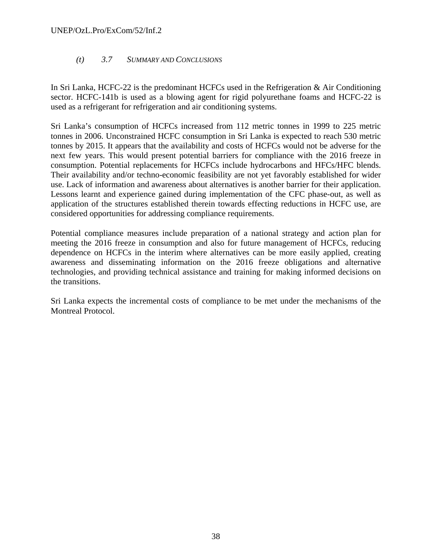### UNEP/OzL.Pro/ExCom/52/Inf.2

## *(t) 3.7 SUMMARY AND CONCLUSIONS*

In Sri Lanka, HCFC-22 is the predominant HCFCs used in the Refrigeration & Air Conditioning sector. HCFC-141b is used as a blowing agent for rigid polyurethane foams and HCFC-22 is used as a refrigerant for refrigeration and air conditioning systems.

Sri Lanka's consumption of HCFCs increased from 112 metric tonnes in 1999 to 225 metric tonnes in 2006. Unconstrained HCFC consumption in Sri Lanka is expected to reach 530 metric tonnes by 2015. It appears that the availability and costs of HCFCs would not be adverse for the next few years. This would present potential barriers for compliance with the 2016 freeze in consumption. Potential replacements for HCFCs include hydrocarbons and HFCs/HFC blends. Their availability and/or techno-economic feasibility are not yet favorably established for wider use. Lack of information and awareness about alternatives is another barrier for their application. Lessons learnt and experience gained during implementation of the CFC phase-out, as well as application of the structures established therein towards effecting reductions in HCFC use, are considered opportunities for addressing compliance requirements.

Potential compliance measures include preparation of a national strategy and action plan for meeting the 2016 freeze in consumption and also for future management of HCFCs, reducing dependence on HCFCs in the interim where alternatives can be more easily applied, creating awareness and disseminating information on the 2016 freeze obligations and alternative technologies, and providing technical assistance and training for making informed decisions on the transitions.

Sri Lanka expects the incremental costs of compliance to be met under the mechanisms of the Montreal Protocol.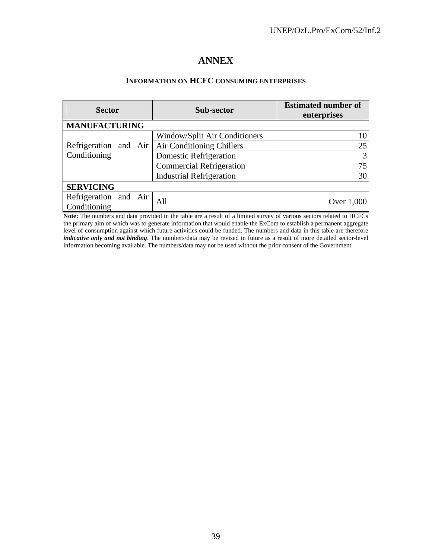## **ANNEX**

#### **INFORMATION ON HCFC CONSUMING ENTERPRISES**

| <b>Sector</b>                         |  | Sub-sector                      | <b>Estimated number of</b><br>enterprises |
|---------------------------------------|--|---------------------------------|-------------------------------------------|
| <b>MANUFACTURING</b>                  |  |                                 |                                           |
|                                       |  | Window/Split Air Conditioners   | 10                                        |
| Refrigeration and Air                 |  | Air Conditioning Chillers       | 25                                        |
| Conditioning                          |  | Domestic Refrigeration          | 3                                         |
|                                       |  | <b>Commercial Refrigeration</b> | 75                                        |
|                                       |  | <b>Industrial Refrigeration</b> | 30                                        |
| <b>SERVICING</b>                      |  |                                 |                                           |
| Refrigeration and Air<br>Conditioning |  | All                             | Over 1,000                                |

**Note:** The numbers and data provided in the table are a result of a limited survey of various sectors related to HCFCs the primary aim of which was to generate information that would enable the ExCom to establish a permanent aggregate level of consumption against which future activities could be funded. The numbers and data in this table are therefore *indicative only and not binding*. The numbers/data may be revised in future as a result of more detailed sector-level information becoming available. The numbers/data may not be used without the prior consent of the Government.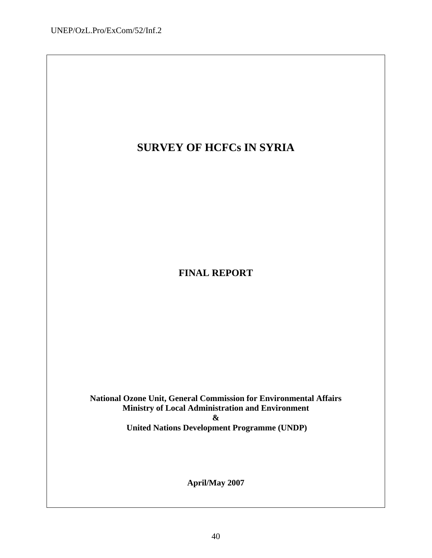# **SURVEY OF HCFCs IN SYRIA**

**FINAL REPORT** 

**National Ozone Unit, General Commission for Environmental Affairs Ministry of Local Administration and Environment & United Nations Development Programme (UNDP)**

**April/May 2007**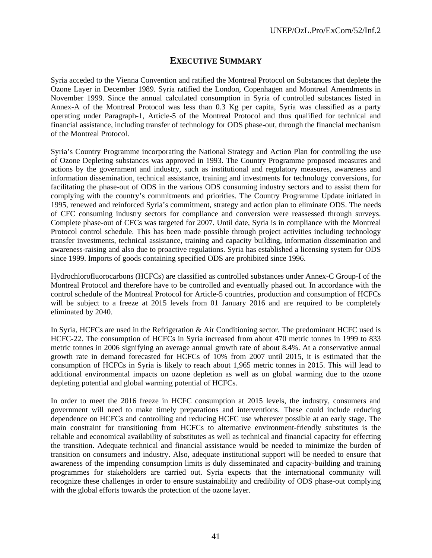## **EXECUTIVE SUMMARY**

Syria acceded to the Vienna Convention and ratified the Montreal Protocol on Substances that deplete the Ozone Layer in December 1989. Syria ratified the London, Copenhagen and Montreal Amendments in November 1999. Since the annual calculated consumption in Syria of controlled substances listed in Annex-A of the Montreal Protocol was less than 0.3 Kg per capita, Syria was classified as a party operating under Paragraph-1, Article-5 of the Montreal Protocol and thus qualified for technical and financial assistance, including transfer of technology for ODS phase-out, through the financial mechanism of the Montreal Protocol.

Syria's Country Programme incorporating the National Strategy and Action Plan for controlling the use of Ozone Depleting substances was approved in 1993. The Country Programme proposed measures and actions by the government and industry, such as institutional and regulatory measures, awareness and information dissemination, technical assistance, training and investments for technology conversions, for facilitating the phase-out of ODS in the various ODS consuming industry sectors and to assist them for complying with the country's commitments and priorities. The Country Programme Update initiated in 1995, renewed and reinforced Syria's commitment, strategy and action plan to eliminate ODS. The needs of CFC consuming industry sectors for compliance and conversion were reassessed through surveys. Complete phase-out of CFCs was targeted for 2007. Until date, Syria is in compliance with the Montreal Protocol control schedule. This has been made possible through project activities including technology transfer investments, technical assistance, training and capacity building, information dissemination and awareness-raising and also due to proactive regulations. Syria has established a licensing system for ODS since 1999. Imports of goods containing specified ODS are prohibited since 1996.

Hydrochlorofluorocarbons (HCFCs) are classified as controlled substances under Annex-C Group-I of the Montreal Protocol and therefore have to be controlled and eventually phased out. In accordance with the control schedule of the Montreal Protocol for Article-5 countries, production and consumption of HCFCs will be subject to a freeze at 2015 levels from 01 January 2016 and are required to be completely eliminated by 2040.

In Syria, HCFCs are used in the Refrigeration & Air Conditioning sector. The predominant HCFC used is HCFC-22. The consumption of HCFCs in Syria increased from about 470 metric tonnes in 1999 to 833 metric tonnes in 2006 signifying an average annual growth rate of about 8.4%. At a conservative annual growth rate in demand forecasted for HCFCs of 10% from 2007 until 2015, it is estimated that the consumption of HCFCs in Syria is likely to reach about 1,965 metric tonnes in 2015. This will lead to additional environmental impacts on ozone depletion as well as on global warming due to the ozone depleting potential and global warming potential of HCFCs.

In order to meet the 2016 freeze in HCFC consumption at 2015 levels, the industry, consumers and government will need to make timely preparations and interventions. These could include reducing dependence on HCFCs and controlling and reducing HCFC use wherever possible at an early stage. The main constraint for transitioning from HCFCs to alternative environment-friendly substitutes is the reliable and economical availability of substitutes as well as technical and financial capacity for effecting the transition. Adequate technical and financial assistance would be needed to minimize the burden of transition on consumers and industry. Also, adequate institutional support will be needed to ensure that awareness of the impending consumption limits is duly disseminated and capacity-building and training programmes for stakeholders are carried out. Syria expects that the international community will recognize these challenges in order to ensure sustainability and credibility of ODS phase-out complying with the global efforts towards the protection of the ozone layer.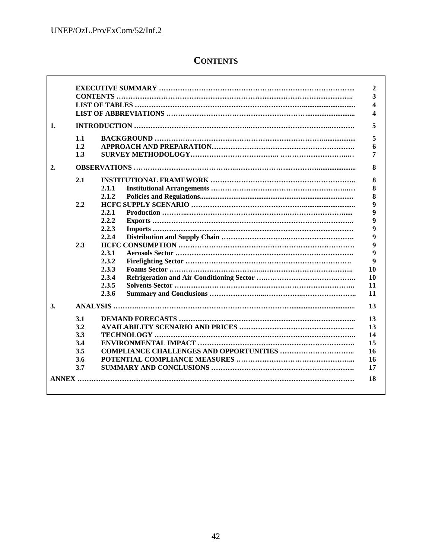$\Gamma$ 

# **CONTENTS**

| 1.1<br>1.2<br>1.3<br>2.1<br>2.2<br>2.3<br>3.1<br>3.2<br>3.3<br>3.4 |       |
|--------------------------------------------------------------------|-------|
|                                                                    |       |
|                                                                    |       |
|                                                                    |       |
|                                                                    |       |
|                                                                    |       |
|                                                                    |       |
|                                                                    |       |
|                                                                    |       |
|                                                                    | 2.1.1 |
|                                                                    | 2.1.2 |
|                                                                    |       |
|                                                                    | 2.2.1 |
|                                                                    | 2.2.2 |
|                                                                    | 2.2.3 |
|                                                                    | 2.2.4 |
|                                                                    |       |
|                                                                    | 2.3.1 |
|                                                                    | 2.3.2 |
|                                                                    | 2.3.3 |
|                                                                    | 2.3.4 |
|                                                                    | 2.3.5 |
|                                                                    | 2.3.6 |
|                                                                    |       |
|                                                                    |       |
|                                                                    |       |
|                                                                    |       |
|                                                                    |       |
| 3.5                                                                |       |
| 3.6                                                                |       |
| 3.7                                                                |       |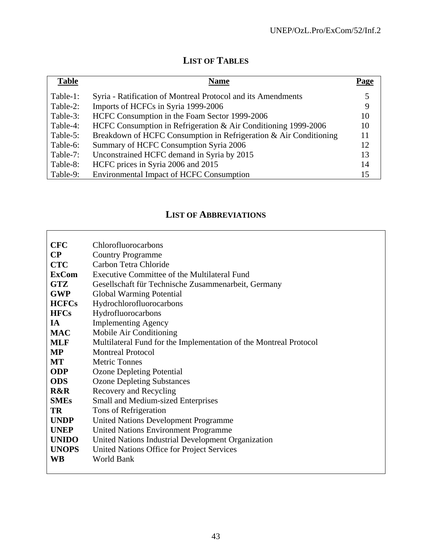# **LIST OF TABLES**

| <b>Table</b> | <b>Name</b>                                                       | Page |
|--------------|-------------------------------------------------------------------|------|
| Table-1:     | Syria - Ratification of Montreal Protocol and its Amendments      |      |
| Table-2:     | Imports of HCFCs in Syria 1999-2006                               | 9    |
| Table-3:     | HCFC Consumption in the Foam Sector 1999-2006                     | 10   |
| Table-4:     | HCFC Consumption in Refrigeration & Air Conditioning 1999-2006    | 10   |
| Table-5:     | Breakdown of HCFC Consumption in Refrigeration & Air Conditioning | 11   |
| Table-6:     | Summary of HCFC Consumption Syria 2006                            | 12   |
| Table-7:     | Unconstrained HCFC demand in Syria by 2015                        | 13   |
| Table-8:     | HCFC prices in Syria 2006 and 2015                                | 14   |
| Table-9:     | <b>Environmental Impact of HCFC Consumption</b>                   | 15   |

# **LIST OF ABBREVIATIONS**

| <b>CFC</b>     | Chlorofluorocarbons                                               |
|----------------|-------------------------------------------------------------------|
| $\bf CP$       | <b>Country Programme</b>                                          |
| <b>CTC</b>     | Carbon Tetra Chloride                                             |
| <b>ExCom</b>   | Executive Committee of the Multilateral Fund                      |
| <b>GTZ</b>     | Gesellschaft für Technische Zusammenarbeit, Germany               |
| <b>GWP</b>     | <b>Global Warming Potential</b>                                   |
| <b>HCFCs</b>   | Hydrochlorofluorocarbons                                          |
| <b>HFCs</b>    | Hydrofluorocarbons                                                |
| <b>IA</b>      | <b>Implementing Agency</b>                                        |
| <b>MAC</b>     | Mobile Air Conditioning                                           |
| <b>MLF</b>     | Multilateral Fund for the Implementation of the Montreal Protocol |
| <b>MP</b>      | <b>Montreal Protocol</b>                                          |
| MT             | <b>Metric Tonnes</b>                                              |
| <b>ODP</b>     | <b>Ozone Depleting Potential</b>                                  |
| <b>ODS</b>     | <b>Ozone Depleting Substances</b>                                 |
| <b>R&amp;R</b> | Recovery and Recycling                                            |
| <b>SMEs</b>    | Small and Medium-sized Enterprises                                |
| TR             | Tons of Refrigeration                                             |
| <b>UNDP</b>    | <b>United Nations Development Programme</b>                       |
| <b>UNEP</b>    | <b>United Nations Environment Programme</b>                       |
| <b>UNIDO</b>   | United Nations Industrial Development Organization                |
| <b>UNOPS</b>   | United Nations Office for Project Services                        |
| <b>WB</b>      | <b>World Bank</b>                                                 |
|                |                                                                   |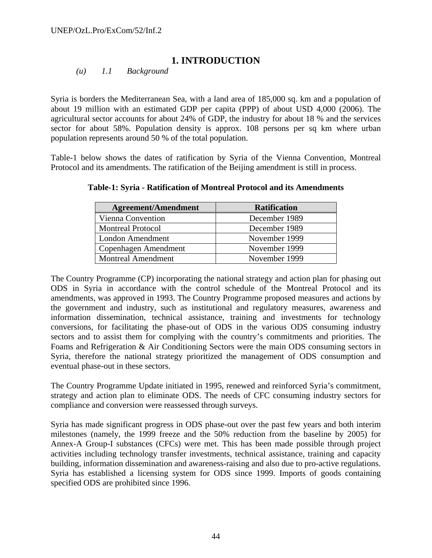## **1. INTRODUCTION**

*(u) 1.1 Background* 

Syria is borders the Mediterranean Sea, with a land area of 185,000 sq. km and a population of about 19 million with an estimated GDP per capita (PPP) of about USD 4,000 (2006). The agricultural sector accounts for about 24% of GDP, the industry for about 18 % and the services sector for about 58%. Population density is approx. 108 persons per sq km where urban population represents around 50 % of the total population.

Table-1 below shows the dates of ratification by Syria of the Vienna Convention, Montreal Protocol and its amendments. The ratification of the Beijing amendment is still in process.

| <b>Agreement/Amendment</b> | <b>Ratification</b> |
|----------------------------|---------------------|
| Vienna Convention          | December 1989       |
| <b>Montreal Protocol</b>   | December 1989       |
| London Amendment           | November 1999       |
| Copenhagen Amendment       | November 1999       |
| <b>Montreal Amendment</b>  | November 1999       |

**Table-1: Syria - Ratification of Montreal Protocol and its Amendments** 

The Country Programme (CP) incorporating the national strategy and action plan for phasing out ODS in Syria in accordance with the control schedule of the Montreal Protocol and its amendments, was approved in 1993. The Country Programme proposed measures and actions by the government and industry, such as institutional and regulatory measures, awareness and information dissemination, technical assistance, training and investments for technology conversions, for facilitating the phase-out of ODS in the various ODS consuming industry sectors and to assist them for complying with the country's commitments and priorities. The Foams and Refrigeration & Air Conditioning Sectors were the main ODS consuming sectors in Syria, therefore the national strategy prioritized the management of ODS consumption and eventual phase-out in these sectors.

The Country Programme Update initiated in 1995, renewed and reinforced Syria's commitment, strategy and action plan to eliminate ODS. The needs of CFC consuming industry sectors for compliance and conversion were reassessed through surveys.

Syria has made significant progress in ODS phase-out over the past few years and both interim milestones (namely, the 1999 freeze and the 50% reduction from the baseline by 2005) for Annex-A Group-I substances (CFCs) were met. This has been made possible through project activities including technology transfer investments, technical assistance, training and capacity building, information dissemination and awareness-raising and also due to pro-active regulations. Syria has established a licensing system for ODS since 1999. Imports of goods containing specified ODS are prohibited since 1996.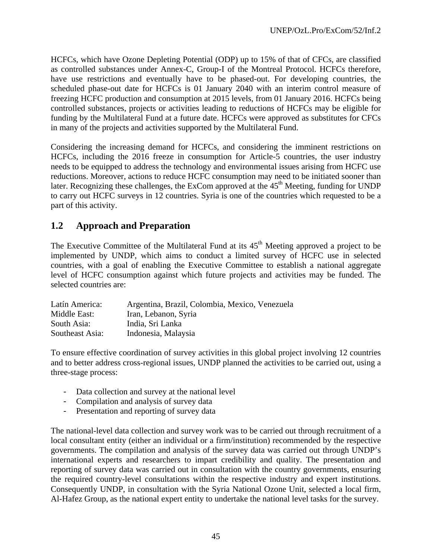HCFCs, which have Ozone Depleting Potential (ODP) up to 15% of that of CFCs, are classified as controlled substances under Annex-C, Group-I of the Montreal Protocol. HCFCs therefore, have use restrictions and eventually have to be phased-out. For developing countries, the scheduled phase-out date for HCFCs is 01 January 2040 with an interim control measure of freezing HCFC production and consumption at 2015 levels, from 01 January 2016. HCFCs being controlled substances, projects or activities leading to reductions of HCFCs may be eligible for funding by the Multilateral Fund at a future date. HCFCs were approved as substitutes for CFCs in many of the projects and activities supported by the Multilateral Fund.

Considering the increasing demand for HCFCs, and considering the imminent restrictions on HCFCs, including the 2016 freeze in consumption for Article-5 countries, the user industry needs to be equipped to address the technology and environmental issues arising from HCFC use reductions. Moreover, actions to reduce HCFC consumption may need to be initiated sooner than later. Recognizing these challenges, the ExCom approved at the 45<sup>th</sup> Meeting, funding for UNDP to carry out HCFC surveys in 12 countries. Syria is one of the countries which requested to be a part of this activity.

# **1.2 Approach and Preparation**

The Executive Committee of the Multilateral Fund at its  $45<sup>th</sup>$  Meeting approved a project to be implemented by UNDP, which aims to conduct a limited survey of HCFC use in selected countries, with a goal of enabling the Executive Committee to establish a national aggregate level of HCFC consumption against which future projects and activities may be funded. The selected countries are:

| Latín America:  | Argentina, Brazil, Colombia, Mexico, Venezuela |
|-----------------|------------------------------------------------|
| Middle East:    | Iran, Lebanon, Syria                           |
| South Asia:     | India, Sri Lanka                               |
| Southeast Asia: | Indonesia, Malaysia                            |

To ensure effective coordination of survey activities in this global project involving 12 countries and to better address cross-regional issues, UNDP planned the activities to be carried out, using a three-stage process:

- Data collection and survey at the national level
- Compilation and analysis of survey data
- Presentation and reporting of survey data

The national-level data collection and survey work was to be carried out through recruitment of a local consultant entity (either an individual or a firm/institution) recommended by the respective governments. The compilation and analysis of the survey data was carried out through UNDP's international experts and researchers to impart credibility and quality. The presentation and reporting of survey data was carried out in consultation with the country governments, ensuring the required country-level consultations within the respective industry and expert institutions. Consequently UNDP, in consultation with the Syria National Ozone Unit, selected a local firm, Al-Hafez Group, as the national expert entity to undertake the national level tasks for the survey.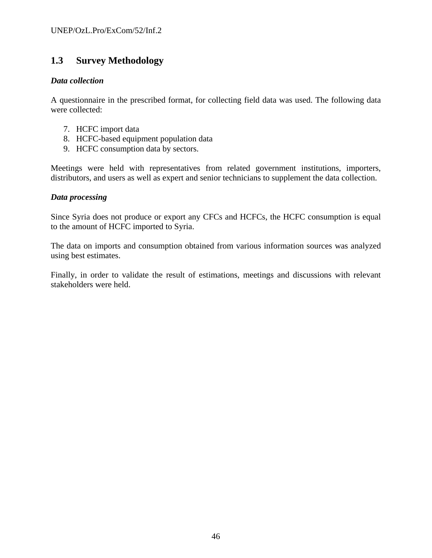# **1.3 Survey Methodology**

#### *Data collection*

A questionnaire in the prescribed format, for collecting field data was used. The following data were collected:

- 7. HCFC import data
- 8. HCFC-based equipment population data
- 9. HCFC consumption data by sectors.

Meetings were held with representatives from related government institutions, importers, distributors, and users as well as expert and senior technicians to supplement the data collection.

#### *Data processing*

Since Syria does not produce or export any CFCs and HCFCs, the HCFC consumption is equal to the amount of HCFC imported to Syria.

The data on imports and consumption obtained from various information sources was analyzed using best estimates.

Finally, in order to validate the result of estimations, meetings and discussions with relevant stakeholders were held.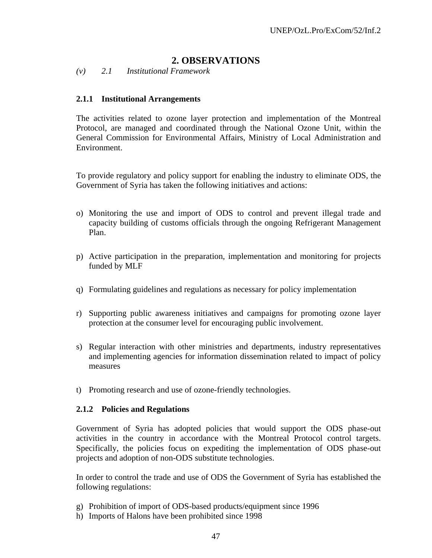## **2. OBSERVATIONS**

*(v) 2.1 Institutional Framework* 

### **2.1.1 Institutional Arrangements**

The activities related to ozone layer protection and implementation of the Montreal Protocol, are managed and coordinated through the National Ozone Unit, within the General Commission for Environmental Affairs, Ministry of Local Administration and Environment.

To provide regulatory and policy support for enabling the industry to eliminate ODS, the Government of Syria has taken the following initiatives and actions:

- o) Monitoring the use and import of ODS to control and prevent illegal trade and capacity building of customs officials through the ongoing Refrigerant Management Plan.
- p) Active participation in the preparation, implementation and monitoring for projects funded by MLF
- q) Formulating guidelines and regulations as necessary for policy implementation
- r) Supporting public awareness initiatives and campaigns for promoting ozone layer protection at the consumer level for encouraging public involvement.
- s) Regular interaction with other ministries and departments, industry representatives and implementing agencies for information dissemination related to impact of policy measures
- t) Promoting research and use of ozone-friendly technologies.

#### **2.1.2 Policies and Regulations**

Government of Syria has adopted policies that would support the ODS phase-out activities in the country in accordance with the Montreal Protocol control targets. Specifically, the policies focus on expediting the implementation of ODS phase-out projects and adoption of non-ODS substitute technologies.

In order to control the trade and use of ODS the Government of Syria has established the following regulations:

- g) Prohibition of import of ODS-based products/equipment since 1996
- h) Imports of Halons have been prohibited since 1998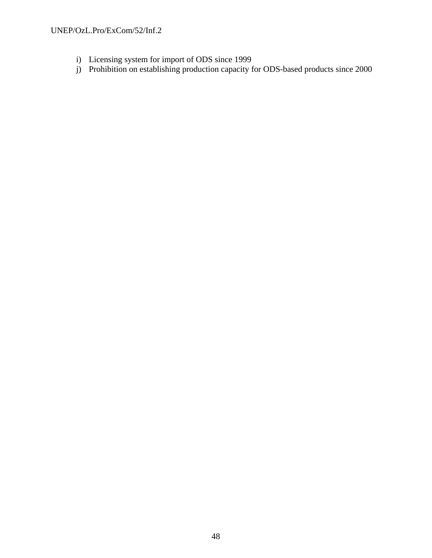- i) Licensing system for import of ODS since 1999
- j) Prohibition on establishing production capacity for ODS-based products since 2000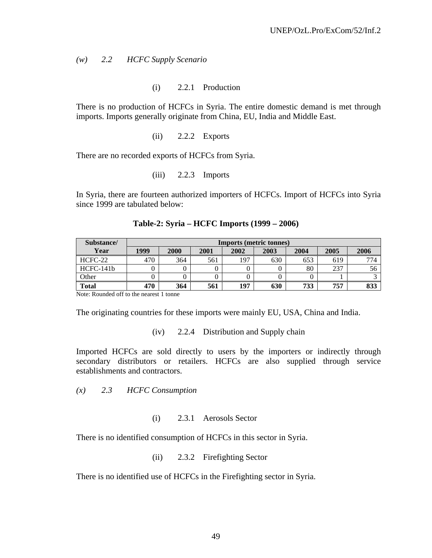*(w) 2.2 HCFC Supply Scenario* 

(i) 2.2.1 Production

There is no production of HCFCs in Syria. The entire domestic demand is met through imports. Imports generally originate from China, EU, India and Middle East.

(ii) 2.2.2 Exports

There are no recorded exports of HCFCs from Syria.

(iii) 2.2.3 Imports

In Syria, there are fourteen authorized importers of HCFCs. Import of HCFCs into Syria since 1999 are tabulated below:

| Substance/   | <b>Imports (metric tonnes)</b> |      |      |      |      |      |      |      |
|--------------|--------------------------------|------|------|------|------|------|------|------|
| Year         | 1999                           | 2000 | 2001 | 2002 | 2003 | 2004 | 2005 | 2006 |
| HCFC-22      | 470                            | 364  | 561  | 197  | 630  | 653  | 619  | 774  |
| HCFC-141b    |                                |      |      |      |      | 80   | 237  | 56   |
| Other        |                                |      |      |      |      |      |      |      |
| <b>Total</b> | 470                            | 364  | 561  | 197  | 630  | 733  | 757  | 833  |

**Table-2: Syria – HCFC Imports (1999 – 2006)** 

Note: Rounded off to the nearest 1 tonne

The originating countries for these imports were mainly EU, USA, China and India.

(iv) 2.2.4 Distribution and Supply chain

Imported HCFCs are sold directly to users by the importers or indirectly through secondary distributors or retailers. HCFCs are also supplied through service establishments and contractors.

*(x) 2.3 HCFC Consumption* 

(i) 2.3.1 Aerosols Sector

There is no identified consumption of HCFCs in this sector in Syria.

(ii) 2.3.2 Firefighting Sector

There is no identified use of HCFCs in the Firefighting sector in Syria.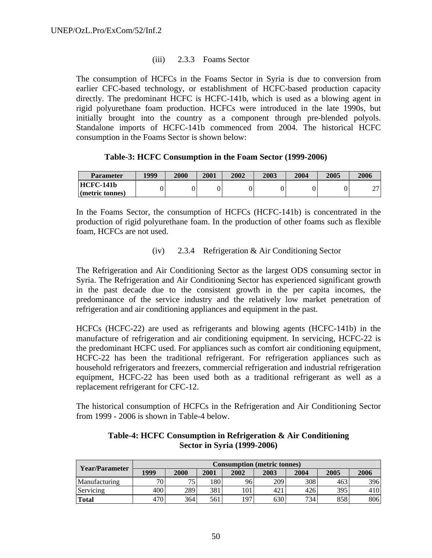## (iii) 2.3.3 Foams Sector

The consumption of HCFCs in the Foams Sector in Syria is due to conversion from earlier CFC-based technology, or establishment of HCFC-based production capacity directly. The predominant HCFC is HCFC-141b, which is used as a blowing agent in rigid polyurethane foam production. HCFCs were introduced in the late 1990s, but initially brought into the country as a component through pre-blended polyols. Standalone imports of HCFC-141b commenced from 2004. The historical HCFC consumption in the Foams Sector is shown below:

## **Table-3: HCFC Consumption in the Foam Sector (1999-2006)**

| <b>Parameter</b>               | 1999 | 2000 | 2001 | 2002 | 2003 | 2004 | 2005 | 2006   |
|--------------------------------|------|------|------|------|------|------|------|--------|
| HCFC-141b                      |      |      |      |      |      |      |      | $\sim$ |
| $\blacksquare$ (metric tonnes) |      |      |      |      |      |      |      | ∼      |

In the Foams Sector, the consumption of HCFCs (HCFC-141b) is concentrated in the production of rigid polyurethane foam. In the production of other foams such as flexible foam, HCFCs are not used.

## (iv) 2.3.4 Refrigeration & Air Conditioning Sector

The Refrigeration and Air Conditioning Sector as the largest ODS consuming sector in Syria. The Refrigeration and Air Conditioning Sector has experienced significant growth in the past decade due to the consistent growth in the per capita incomes, the predominance of the service industry and the relatively low market penetration of refrigeration and air conditioning appliances and equipment in the past.

HCFCs (HCFC-22) are used as refrigerants and blowing agents (HCFC-141b) in the manufacture of refrigeration and air conditioning equipment. In servicing, HCFC-22 is the predominant HCFC used. For appliances such as comfort air conditioning equipment, HCFC-22 has been the traditional refrigerant. For refrigeration appliances such as household refrigerators and freezers, commercial refrigeration and industrial refrigeration equipment, HCFC-22 has been used both as a traditional refrigerant as well as a replacement refrigerant for CFC-12.

The historical consumption of HCFCs in the Refrigeration and Air Conditioning Sector from 1999 - 2006 is shown in Table-4 below.

|                | <b>Consumption (metric tonnes)</b> |      |      |      |      |      |      |      |  |
|----------------|------------------------------------|------|------|------|------|------|------|------|--|
| Year/Parameter | 1999                               | 2000 | 2001 | 2002 | 2003 | 2004 | 2005 | 2006 |  |
| Manufacturing  | 70                                 | 75   | 180  | 96   | 209  | 308  | 463  | 396  |  |
| Servicing      | 400                                | 289  | 381  | 101  | 421  | 426  | 395  | 410  |  |
| <b>Total</b>   | 470                                | 364  | 561  | 197  | 630  | 734  | 858  | 806  |  |

## **Table-4: HCFC Consumption in Refrigeration & Air Conditioning Sector in Syria (1999-2006)**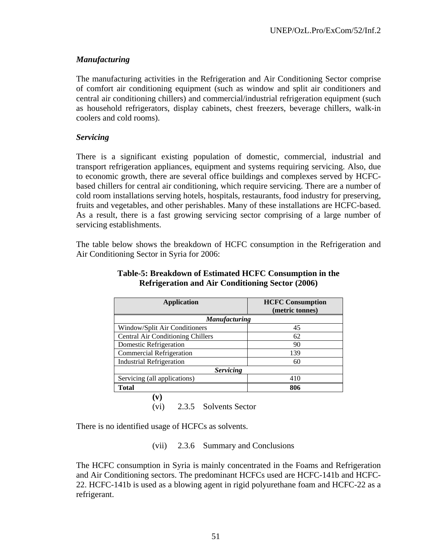## *Manufacturing*

The manufacturing activities in the Refrigeration and Air Conditioning Sector comprise of comfort air conditioning equipment (such as window and split air conditioners and central air conditioning chillers) and commercial/industrial refrigeration equipment (such as household refrigerators, display cabinets, chest freezers, beverage chillers, walk-in coolers and cold rooms).

## *Servicing*

There is a significant existing population of domestic, commercial, industrial and transport refrigeration appliances, equipment and systems requiring servicing. Also, due to economic growth, there are several office buildings and complexes served by HCFCbased chillers for central air conditioning, which require servicing. There are a number of cold room installations serving hotels, hospitals, restaurants, food industry for preserving, fruits and vegetables, and other perishables. Many of these installations are HCFC-based. As a result, there is a fast growing servicing sector comprising of a large number of servicing establishments.

The table below shows the breakdown of HCFC consumption in the Refrigeration and Air Conditioning Sector in Syria for 2006:

| <b>Application</b>                       | <b>HCFC Consumption</b> |  |  |
|------------------------------------------|-------------------------|--|--|
|                                          | (metric tonnes)         |  |  |
| <b>Manufacturing</b>                     |                         |  |  |
| Window/Split Air Conditioners            | 45                      |  |  |
| <b>Central Air Conditioning Chillers</b> | 62                      |  |  |
| Domestic Refrigeration                   | 90                      |  |  |
| <b>Commercial Refrigeration</b>          | 139                     |  |  |
| <b>Industrial Refrigeration</b>          | 60                      |  |  |
| <b>Servicing</b>                         |                         |  |  |
| Servicing (all applications)             | 410                     |  |  |
| <b>Total</b>                             | 806                     |  |  |
|                                          |                         |  |  |

## **Table-5: Breakdown of Estimated HCFC Consumption in the Refrigeration and Air Conditioning Sector (2006)**

There is no identified usage of HCFCs as solvents.

(vii) 2.3.6 Summary and Conclusions

(vi) 2.3.5 Solvents Sector

The HCFC consumption in Syria is mainly concentrated in the Foams and Refrigeration and Air Conditioning sectors. The predominant HCFCs used are HCFC-141b and HCFC-22. HCFC-141b is used as a blowing agent in rigid polyurethane foam and HCFC-22 as a refrigerant.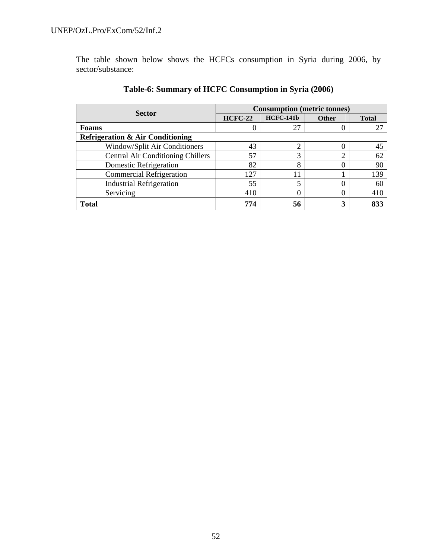The table shown below shows the HCFCs consumption in Syria during 2006, by sector/substance:

| <b>Sector</b>                               | <b>Consumption (metric tonnes)</b> |                  |              |              |  |  |
|---------------------------------------------|------------------------------------|------------------|--------------|--------------|--|--|
|                                             | <b>HCFC-22</b>                     | <b>HCFC-141b</b> | <b>Other</b> | <b>Total</b> |  |  |
| Foams                                       |                                    | 27               | O            | 27           |  |  |
| <b>Refrigeration &amp; Air Conditioning</b> |                                    |                  |              |              |  |  |
| Window/Split Air Conditioners               | 43                                 |                  |              | 45           |  |  |
| <b>Central Air Conditioning Chillers</b>    | 57                                 | っ                | ◠            | 62           |  |  |
| Domestic Refrigeration                      | 82                                 | 8                | 0            | 90           |  |  |
| <b>Commercial Refrigeration</b>             | 127                                |                  |              | 139          |  |  |
| <b>Industrial Refrigeration</b>             | 55                                 |                  |              | 60           |  |  |
| Servicing                                   | 410                                |                  |              | 410          |  |  |
| <b>Total</b>                                | 774                                | 56               | 3            | 833          |  |  |

## **Table-6: Summary of HCFC Consumption in Syria (2006)**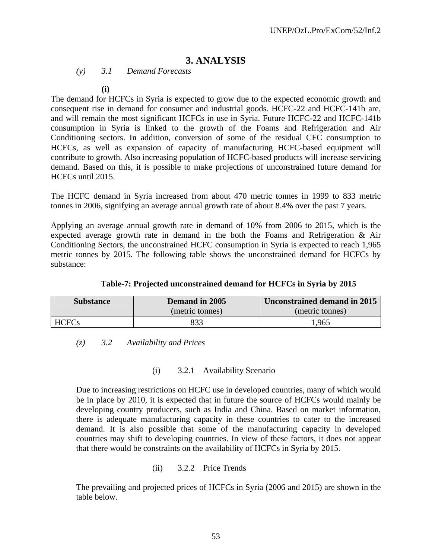## **3. ANALYSIS**

*(y) 3.1 Demand Forecasts* 

**(i)**

The demand for HCFCs in Syria is expected to grow due to the expected economic growth and consequent rise in demand for consumer and industrial goods. HCFC-22 and HCFC-141b are, and will remain the most significant HCFCs in use in Syria. Future HCFC-22 and HCFC-141b consumption in Syria is linked to the growth of the Foams and Refrigeration and Air Conditioning sectors. In addition, conversion of some of the residual CFC consumption to HCFCs, as well as expansion of capacity of manufacturing HCFC-based equipment will contribute to growth. Also increasing population of HCFC-based products will increase servicing demand. Based on this, it is possible to make projections of unconstrained future demand for HCFCs until 2015.

The HCFC demand in Syria increased from about 470 metric tonnes in 1999 to 833 metric tonnes in 2006, signifying an average annual growth rate of about 8.4% over the past 7 years.

Applying an average annual growth rate in demand of 10% from 2006 to 2015, which is the expected average growth rate in demand in the both the Foams and Refrigeration & Air Conditioning Sectors, the unconstrained HCFC consumption in Syria is expected to reach 1,965 metric tonnes by 2015. The following table shows the unconstrained demand for HCFCs by substance:

| <b>Substance</b> | Demand in 2005  | Unconstrained demand in 2015 |
|------------------|-----------------|------------------------------|
|                  | (metric tonnes) | (metric tonnes)              |
| HCFCs            | 833             | .965                         |

| Table-7: Projected unconstrained demand for HCFCs in Syria by 2015 |  |  |  |
|--------------------------------------------------------------------|--|--|--|

*(z) 3.2 Availability and Prices* 

(i) 3.2.1 Availability Scenario

Due to increasing restrictions on HCFC use in developed countries, many of which would be in place by 2010, it is expected that in future the source of HCFCs would mainly be developing country producers, such as India and China. Based on market information, there is adequate manufacturing capacity in these countries to cater to the increased demand. It is also possible that some of the manufacturing capacity in developed countries may shift to developing countries. In view of these factors, it does not appear that there would be constraints on the availability of HCFCs in Syria by 2015.

(ii) 3.2.2 Price Trends

The prevailing and projected prices of HCFCs in Syria (2006 and 2015) are shown in the table below.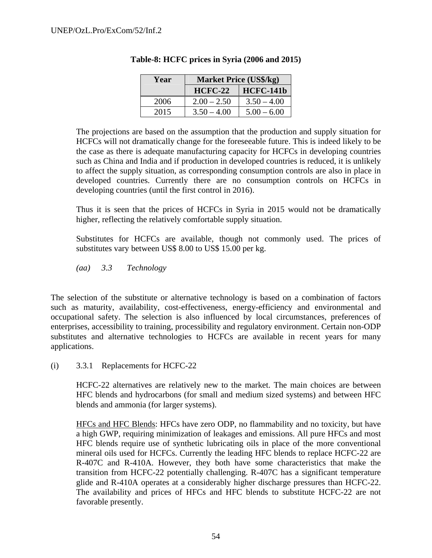| Year | <b>Market Price (US\$/kg)</b> |                  |  |  |  |  |
|------|-------------------------------|------------------|--|--|--|--|
|      | <b>HCFC-22</b>                | <b>HCFC-141b</b> |  |  |  |  |
| 2006 | $2.00 - 2.50$                 | $3.50 - 4.00$    |  |  |  |  |
| 2015 | $3.50 - 4.00$                 | $5.00 - 6.00$    |  |  |  |  |

## **Table-8: HCFC prices in Syria (2006 and 2015)**

The projections are based on the assumption that the production and supply situation for HCFCs will not dramatically change for the foreseeable future. This is indeed likely to be the case as there is adequate manufacturing capacity for HCFCs in developing countries such as China and India and if production in developed countries is reduced, it is unlikely to affect the supply situation, as corresponding consumption controls are also in place in developed countries. Currently there are no consumption controls on HCFCs in developing countries (until the first control in 2016).

Thus it is seen that the prices of HCFCs in Syria in 2015 would not be dramatically higher, reflecting the relatively comfortable supply situation.

Substitutes for HCFCs are available, though not commonly used. The prices of substitutes vary between US\$ 8.00 to US\$ 15.00 per kg.

*(aa) 3.3 Technology* 

The selection of the substitute or alternative technology is based on a combination of factors such as maturity, availability, cost-effectiveness, energy-efficiency and environmental and occupational safety. The selection is also influenced by local circumstances, preferences of enterprises, accessibility to training, processibility and regulatory environment. Certain non-ODP substitutes and alternative technologies to HCFCs are available in recent years for many applications.

(i) 3.3.1 Replacements for HCFC-22

HCFC-22 alternatives are relatively new to the market. The main choices are between HFC blends and hydrocarbons (for small and medium sized systems) and between HFC blends and ammonia (for larger systems).

HFCs and HFC Blends: HFCs have zero ODP, no flammability and no toxicity, but have a high GWP, requiring minimization of leakages and emissions. All pure HFCs and most HFC blends require use of synthetic lubricating oils in place of the more conventional mineral oils used for HCFCs. Currently the leading HFC blends to replace HCFC-22 are R-407C and R-410A. However, they both have some characteristics that make the transition from HCFC-22 potentially challenging. R-407C has a significant temperature glide and R-410A operates at a considerably higher discharge pressures than HCFC-22. The availability and prices of HFCs and HFC blends to substitute HCFC-22 are not favorable presently.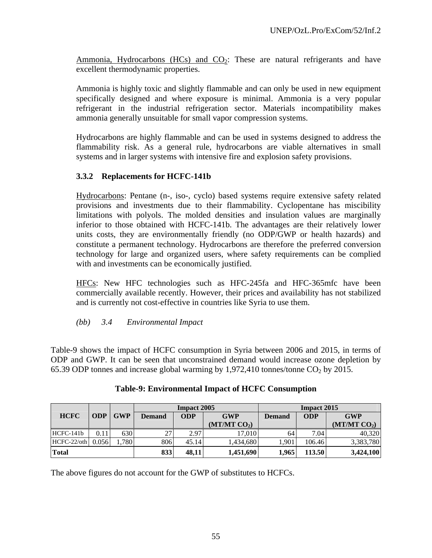Ammonia, Hydrocarbons (HCs) and  $CO<sub>2</sub>$ : These are natural refrigerants and have excellent thermodynamic properties.

Ammonia is highly toxic and slightly flammable and can only be used in new equipment specifically designed and where exposure is minimal. Ammonia is a very popular refrigerant in the industrial refrigeration sector. Materials incompatibility makes ammonia generally unsuitable for small vapor compression systems.

Hydrocarbons are highly flammable and can be used in systems designed to address the flammability risk. As a general rule, hydrocarbons are viable alternatives in small systems and in larger systems with intensive fire and explosion safety provisions.

## **3.3.2 Replacements for HCFC-141b**

Hydrocarbons: Pentane (n-, iso-, cyclo) based systems require extensive safety related provisions and investments due to their flammability. Cyclopentane has miscibility limitations with polyols. The molded densities and insulation values are marginally inferior to those obtained with HCFC-141b. The advantages are their relatively lower units costs, they are environmentally friendly (no ODP/GWP or health hazards) and constitute a permanent technology. Hydrocarbons are therefore the preferred conversion technology for large and organized users, where safety requirements can be complied with and investments can be economically justified.

HFCs: New HFC technologies such as HFC-245fa and HFC-365mfc have been commercially available recently. However, their prices and availability has not stabilized and is currently not cost-effective in countries like Syria to use them.

*(bb) 3.4 Environmental Impact* 

Table-9 shows the impact of HCFC consumption in Syria between 2006 and 2015, in terms of ODP and GWP. It can be seen that unconstrained demand would increase ozone depletion by 65.39 ODP tonnes and increase global warming by 1,972,410 tonnes/tonne  $CO<sub>2</sub>$  by 2015.

|              |            |            |                             | <b>Impact 2005</b> |                          | <b>Impact 2015</b> |            |                          |  |
|--------------|------------|------------|-----------------------------|--------------------|--------------------------|--------------------|------------|--------------------------|--|
| <b>HCFC</b>  | <b>ODP</b> | <b>GWP</b> | <b>ODP</b><br><b>Demand</b> |                    | <b>GWP</b>               | <b>Demand</b>      | <b>ODP</b> | <b>GWP</b>               |  |
|              |            |            |                             |                    | (MT/MT CO <sub>2</sub> ) |                    |            | (MT/MT CO <sub>2</sub> ) |  |
| $HCFC-141b$  | 0.11       | 630        | 27                          | 2.97               | 17.010                   | 64                 | 7.04       | 40.320                   |  |
| HCFC-22/oth  | 0.056      | 1,780      | 806                         | 45.14              | ,434,680                 | 1,901              | 106.46     | 3,383,780                |  |
| <b>Total</b> |            |            | 833                         | 48,11              | 1,451,690                | 1.965              | 113.50     | 3,424,100                |  |

## **Table-9: Environmental Impact of HCFC Consumption**

The above figures do not account for the GWP of substitutes to HCFCs.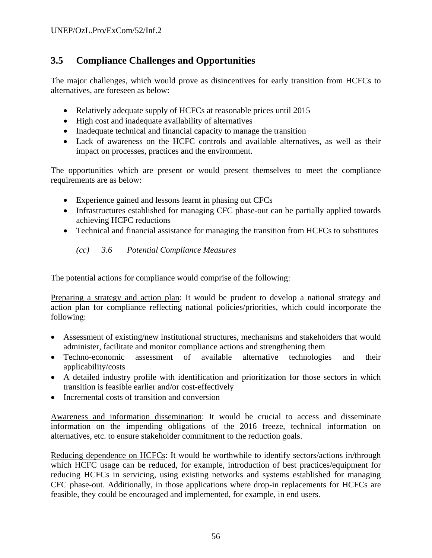# **3.5 Compliance Challenges and Opportunities**

The major challenges, which would prove as disincentives for early transition from HCFCs to alternatives, are foreseen as below:

- Relatively adequate supply of HCFCs at reasonable prices until 2015
- High cost and inadequate availability of alternatives
- Inadequate technical and financial capacity to manage the transition
- Lack of awareness on the HCFC controls and available alternatives, as well as their impact on processes, practices and the environment.

The opportunities which are present or would present themselves to meet the compliance requirements are as below:

- Experience gained and lessons learnt in phasing out CFCs
- Infrastructures established for managing CFC phase-out can be partially applied towards achieving HCFC reductions
- Technical and financial assistance for managing the transition from HCFCs to substitutes

*(cc) 3.6 Potential Compliance Measures* 

The potential actions for compliance would comprise of the following:

Preparing a strategy and action plan: It would be prudent to develop a national strategy and action plan for compliance reflecting national policies/priorities, which could incorporate the following:

- Assessment of existing/new institutional structures, mechanisms and stakeholders that would administer, facilitate and monitor compliance actions and strengthening them
- Techno-economic assessment of available alternative technologies and their applicability/costs
- A detailed industry profile with identification and prioritization for those sectors in which transition is feasible earlier and/or cost-effectively
- Incremental costs of transition and conversion

Awareness and information dissemination: It would be crucial to access and disseminate information on the impending obligations of the 2016 freeze, technical information on alternatives, etc. to ensure stakeholder commitment to the reduction goals.

Reducing dependence on HCFCs: It would be worthwhile to identify sectors/actions in/through which HCFC usage can be reduced, for example, introduction of best practices/equipment for reducing HCFCs in servicing, using existing networks and systems established for managing CFC phase-out. Additionally, in those applications where drop-in replacements for HCFCs are feasible, they could be encouraged and implemented, for example, in end users.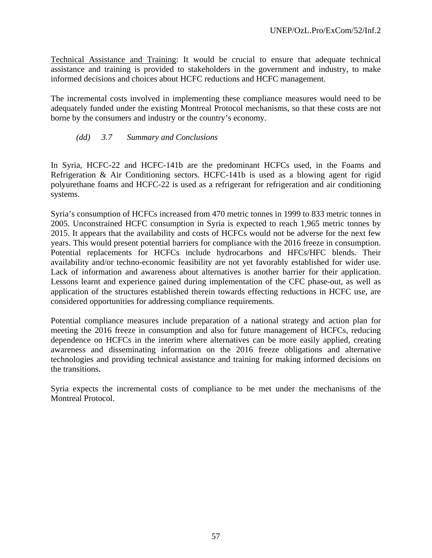Technical Assistance and Training: It would be crucial to ensure that adequate technical assistance and training is provided to stakeholders in the government and industry, to make informed decisions and choices about HCFC reductions and HCFC management.

The incremental costs involved in implementing these compliance measures would need to be adequately funded under the existing Montreal Protocol mechanisms, so that these costs are not borne by the consumers and industry or the country's economy.

#### *(dd) 3.7 Summary and Conclusions*

In Syria, HCFC-22 and HCFC-141b are the predominant HCFCs used, in the Foams and Refrigeration & Air Conditioning sectors. HCFC-141b is used as a blowing agent for rigid polyurethane foams and HCFC-22 is used as a refrigerant for refrigeration and air conditioning systems.

Syria's consumption of HCFCs increased from 470 metric tonnes in 1999 to 833 metric tonnes in 2005. Unconstrained HCFC consumption in Syria is expected to reach 1,965 metric tonnes by 2015. It appears that the availability and costs of HCFCs would not be adverse for the next few years. This would present potential barriers for compliance with the 2016 freeze in consumption. Potential replacements for HCFCs include hydrocarbons and HFCs/HFC blends. Their availability and/or techno-economic feasibility are not yet favorably established for wider use. Lack of information and awareness about alternatives is another barrier for their application. Lessons learnt and experience gained during implementation of the CFC phase-out, as well as application of the structures established therein towards effecting reductions in HCFC use, are considered opportunities for addressing compliance requirements.

Potential compliance measures include preparation of a national strategy and action plan for meeting the 2016 freeze in consumption and also for future management of HCFCs, reducing dependence on HCFCs in the interim where alternatives can be more easily applied, creating awareness and disseminating information on the 2016 freeze obligations and alternative technologies and providing technical assistance and training for making informed decisions on the transitions.

Syria expects the incremental costs of compliance to be met under the mechanisms of the Montreal Protocol.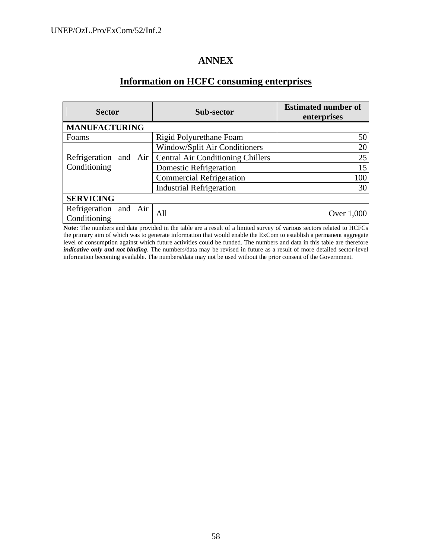## **ANNEX**

# **Information on HCFC consuming enterprises**

| <b>Sector</b>                         | Sub-sector                               | <b>Estimated number of</b><br>enterprises |
|---------------------------------------|------------------------------------------|-------------------------------------------|
| <b>MANUFACTURING</b>                  |                                          |                                           |
| Foams                                 | Rigid Polyurethane Foam                  | 50                                        |
|                                       | Window/Split Air Conditioners            | 20                                        |
| Refrigeration and Air                 | <b>Central Air Conditioning Chillers</b> | 25                                        |
| Conditioning                          | Domestic Refrigeration                   | 15                                        |
|                                       | <b>Commercial Refrigeration</b>          | 100                                       |
|                                       | <b>Industrial Refrigeration</b>          | 30                                        |
| <b>SERVICING</b>                      |                                          |                                           |
| Refrigeration and Air<br>Conditioning | All                                      | Over 1,000                                |

**Note:** The numbers and data provided in the table are a result of a limited survey of various sectors related to HCFCs the primary aim of which was to generate information that would enable the ExCom to establish a permanent aggregate level of consumption against which future activities could be funded. The numbers and data in this table are therefore *indicative only and not binding*. The numbers/data may be revised in future as a result of more detailed sector-level information becoming available. The numbers/data may not be used without the prior consent of the Government.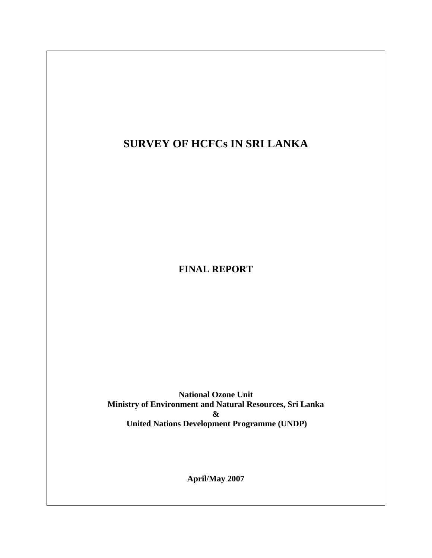**SURVEY OF HCFCs IN SRI LANKA** 

**FINAL REPORT** 

**National Ozone Unit Ministry of Environment and Natural Resources, Sri Lanka & United Nations Development Programme (UNDP)**

**April/May 2007**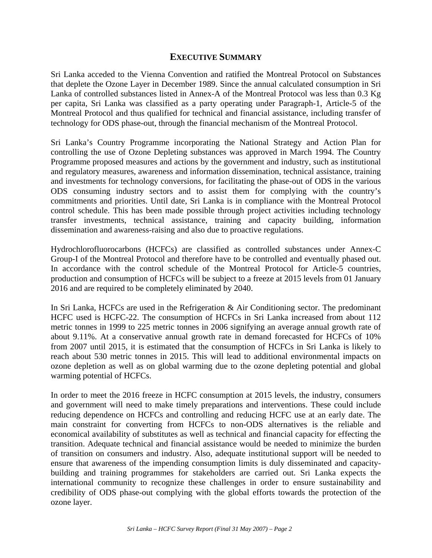## **EXECUTIVE SUMMARY**

Sri Lanka acceded to the Vienna Convention and ratified the Montreal Protocol on Substances that deplete the Ozone Layer in December 1989. Since the annual calculated consumption in Sri Lanka of controlled substances listed in Annex-A of the Montreal Protocol was less than 0.3 Kg per capita, Sri Lanka was classified as a party operating under Paragraph-1, Article-5 of the Montreal Protocol and thus qualified for technical and financial assistance, including transfer of technology for ODS phase-out, through the financial mechanism of the Montreal Protocol.

Sri Lanka's Country Programme incorporating the National Strategy and Action Plan for controlling the use of Ozone Depleting substances was approved in March 1994. The Country Programme proposed measures and actions by the government and industry, such as institutional and regulatory measures, awareness and information dissemination, technical assistance, training and investments for technology conversions, for facilitating the phase-out of ODS in the various ODS consuming industry sectors and to assist them for complying with the country's commitments and priorities. Until date, Sri Lanka is in compliance with the Montreal Protocol control schedule. This has been made possible through project activities including technology transfer investments, technical assistance, training and capacity building, information dissemination and awareness-raising and also due to proactive regulations.

Hydrochlorofluorocarbons (HCFCs) are classified as controlled substances under Annex-C Group-I of the Montreal Protocol and therefore have to be controlled and eventually phased out. In accordance with the control schedule of the Montreal Protocol for Article-5 countries, production and consumption of HCFCs will be subject to a freeze at 2015 levels from 01 January 2016 and are required to be completely eliminated by 2040.

In Sri Lanka, HCFCs are used in the Refrigeration & Air Conditioning sector. The predominant HCFC used is HCFC-22. The consumption of HCFCs in Sri Lanka increased from about 112 metric tonnes in 1999 to 225 metric tonnes in 2006 signifying an average annual growth rate of about 9.11%. At a conservative annual growth rate in demand forecasted for HCFCs of 10% from 2007 until 2015, it is estimated that the consumption of HCFCs in Sri Lanka is likely to reach about 530 metric tonnes in 2015. This will lead to additional environmental impacts on ozone depletion as well as on global warming due to the ozone depleting potential and global warming potential of HCFCs.

In order to meet the 2016 freeze in HCFC consumption at 2015 levels, the industry, consumers and government will need to make timely preparations and interventions. These could include reducing dependence on HCFCs and controlling and reducing HCFC use at an early date. The main constraint for converting from HCFCs to non-ODS alternatives is the reliable and economical availability of substitutes as well as technical and financial capacity for effecting the transition. Adequate technical and financial assistance would be needed to minimize the burden of transition on consumers and industry. Also, adequate institutional support will be needed to ensure that awareness of the impending consumption limits is duly disseminated and capacitybuilding and training programmes for stakeholders are carried out. Sri Lanka expects the international community to recognize these challenges in order to ensure sustainability and credibility of ODS phase-out complying with the global efforts towards the protection of the ozone layer.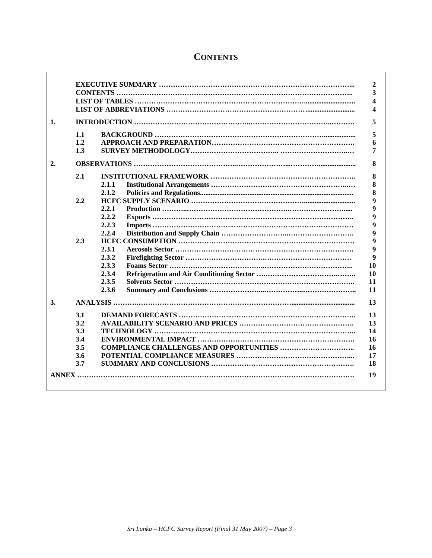|                  |     |       | 2                       |
|------------------|-----|-------|-------------------------|
|                  |     |       | 3                       |
|                  |     |       | 4                       |
|                  |     |       | $\overline{\mathbf{4}}$ |
| 1.               |     |       | 5                       |
|                  | 1.1 |       | 5                       |
|                  | 1.2 |       | 6                       |
|                  | 1.3 |       | 7                       |
| $\overline{2}$ . |     |       | 8                       |
|                  | 2.1 |       | 8                       |
|                  |     | 2.1.1 | 8                       |
|                  |     | 2.1.2 | 8                       |
|                  | 2.2 |       | 9                       |
|                  |     | 2.2.1 | 9                       |
|                  |     | 2.2.2 | 9                       |
|                  |     | 2.2.3 | 9                       |
|                  |     | 2.2.4 | 9                       |
|                  | 2.3 |       | 9                       |
|                  |     | 2.3.1 | $\boldsymbol{9}$        |
|                  |     | 2.3.2 | $\boldsymbol{9}$        |
|                  |     | 2.3.3 | 10                      |
|                  |     | 2.3.4 | 10                      |
|                  |     | 2.3.5 | 11                      |
|                  |     | 2.3.6 | 11                      |
| 3.               |     |       | 13                      |
|                  | 3.1 |       | 13                      |
|                  | 3.2 |       | 13                      |
|                  | 3.3 |       | 14                      |
|                  | 3.4 |       | 16                      |
|                  | 3.5 |       | 16                      |
|                  | 3.6 |       | 17                      |
|                  | 3.7 |       | 18                      |
|                  |     |       |                         |
|                  |     |       | 19                      |
|                  |     |       |                         |

# **CONTENTS**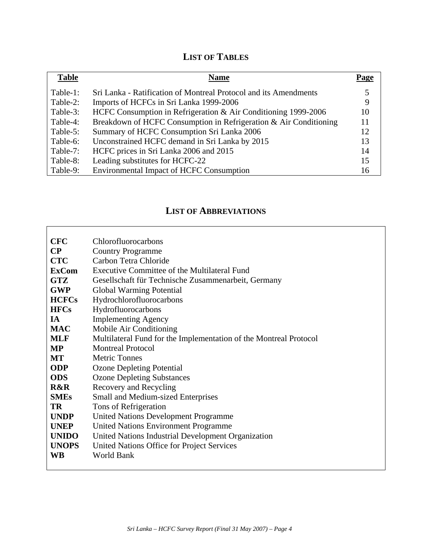# **LIST OF TABLES**

| <b>Table</b> | <b>Name</b>                                                       | Page |
|--------------|-------------------------------------------------------------------|------|
| Table-1:     | Sri Lanka - Ratification of Montreal Protocol and its Amendments  |      |
| Table-2:     | Imports of HCFCs in Sri Lanka 1999-2006                           | 9    |
| Table-3:     | HCFC Consumption in Refrigeration & Air Conditioning 1999-2006    | 10   |
| Table-4:     | Breakdown of HCFC Consumption in Refrigeration & Air Conditioning | 11   |
| Table-5:     | Summary of HCFC Consumption Sri Lanka 2006                        | 12   |
| Table-6:     | Unconstrained HCFC demand in Sri Lanka by 2015                    | 13   |
| Table-7:     | HCFC prices in Sri Lanka 2006 and 2015                            | 14   |
| Table-8:     | Leading substitutes for HCFC-22                                   | 15   |
| Table-9:     | <b>Environmental Impact of HCFC Consumption</b>                   | 16   |

# **LIST OF ABBREVIATIONS**

| <b>CFC</b>   | Chlorofluorocarbons                                               |
|--------------|-------------------------------------------------------------------|
| $\bf CP$     | <b>Country Programme</b>                                          |
| <b>CTC</b>   | Carbon Tetra Chloride                                             |
| <b>ExCom</b> | Executive Committee of the Multilateral Fund                      |
| <b>GTZ</b>   | Gesellschaft für Technische Zusammenarbeit, Germany               |
| <b>GWP</b>   | Global Warming Potential                                          |
| <b>HCFCs</b> | Hydrochlorofluorocarbons                                          |
| <b>HFCs</b>  | Hydrofluorocarbons                                                |
| IA           | <b>Implementing Agency</b>                                        |
| <b>MAC</b>   | Mobile Air Conditioning                                           |
| <b>MLF</b>   | Multilateral Fund for the Implementation of the Montreal Protocol |
| <b>MP</b>    | <b>Montreal Protocol</b>                                          |
| <b>MT</b>    | <b>Metric Tonnes</b>                                              |
| <b>ODP</b>   | <b>Ozone Depleting Potential</b>                                  |
| <b>ODS</b>   | <b>Ozone Depleting Substances</b>                                 |
| R&R          | Recovery and Recycling                                            |
| <b>SMEs</b>  | <b>Small and Medium-sized Enterprises</b>                         |
| <b>TR</b>    | Tons of Refrigeration                                             |
| <b>UNDP</b>  | <b>United Nations Development Programme</b>                       |
| <b>UNEP</b>  | <b>United Nations Environment Programme</b>                       |
| <b>UNIDO</b> | United Nations Industrial Development Organization                |
| <b>UNOPS</b> | United Nations Office for Project Services                        |
| <b>WB</b>    | <b>World Bank</b>                                                 |
|              |                                                                   |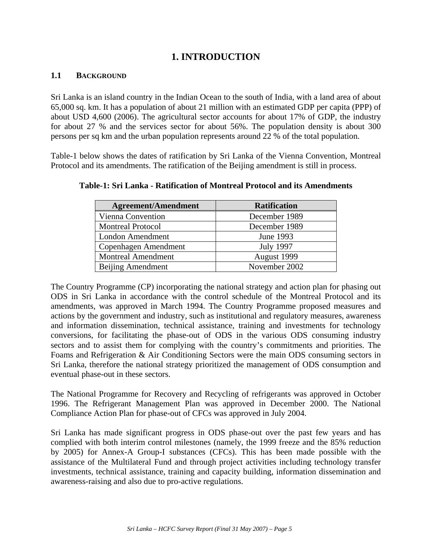# **1. INTRODUCTION**

## **1.1 BACKGROUND**

Sri Lanka is an island country in the Indian Ocean to the south of India, with a land area of about 65,000 sq. km. It has a population of about 21 million with an estimated GDP per capita (PPP) of about USD 4,600 (2006). The agricultural sector accounts for about 17% of GDP, the industry for about 27 % and the services sector for about 56%. The population density is about 300 persons per sq km and the urban population represents around 22 % of the total population.

Table-1 below shows the dates of ratification by Sri Lanka of the Vienna Convention, Montreal Protocol and its amendments. The ratification of the Beijing amendment is still in process.

| <b>Agreement/Amendment</b> | <b>Ratification</b> |
|----------------------------|---------------------|
| Vienna Convention          | December 1989       |
| <b>Montreal Protocol</b>   | December 1989       |
| London Amendment           | June 1993           |
| Copenhagen Amendment       | <b>July 1997</b>    |
| <b>Montreal Amendment</b>  | August 1999         |
| Beijing Amendment          | November 2002       |

**Table-1: Sri Lanka - Ratification of Montreal Protocol and its Amendments** 

The Country Programme (CP) incorporating the national strategy and action plan for phasing out ODS in Sri Lanka in accordance with the control schedule of the Montreal Protocol and its amendments, was approved in March 1994. The Country Programme proposed measures and actions by the government and industry, such as institutional and regulatory measures, awareness and information dissemination, technical assistance, training and investments for technology conversions, for facilitating the phase-out of ODS in the various ODS consuming industry sectors and to assist them for complying with the country's commitments and priorities. The Foams and Refrigeration & Air Conditioning Sectors were the main ODS consuming sectors in Sri Lanka, therefore the national strategy prioritized the management of ODS consumption and eventual phase-out in these sectors.

The National Programme for Recovery and Recycling of refrigerants was approved in October 1996. The Refrigerant Management Plan was approved in December 2000. The National Compliance Action Plan for phase-out of CFCs was approved in July 2004.

Sri Lanka has made significant progress in ODS phase-out over the past few years and has complied with both interim control milestones (namely, the 1999 freeze and the 85% reduction by 2005) for Annex-A Group-I substances (CFCs). This has been made possible with the assistance of the Multilateral Fund and through project activities including technology transfer investments, technical assistance, training and capacity building, information dissemination and awareness-raising and also due to pro-active regulations.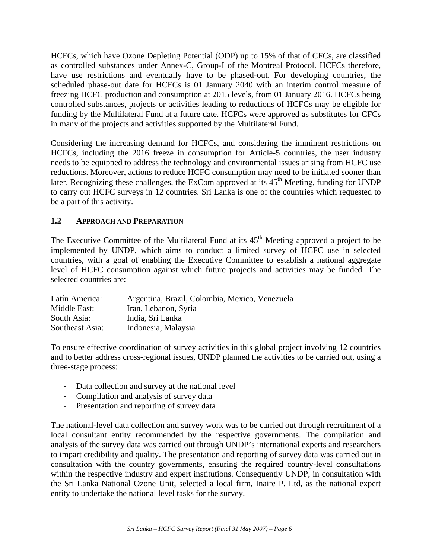HCFCs, which have Ozone Depleting Potential (ODP) up to 15% of that of CFCs, are classified as controlled substances under Annex-C, Group-I of the Montreal Protocol. HCFCs therefore, have use restrictions and eventually have to be phased-out. For developing countries, the scheduled phase-out date for HCFCs is 01 January 2040 with an interim control measure of freezing HCFC production and consumption at 2015 levels, from 01 January 2016. HCFCs being controlled substances, projects or activities leading to reductions of HCFCs may be eligible for funding by the Multilateral Fund at a future date. HCFCs were approved as substitutes for CFCs in many of the projects and activities supported by the Multilateral Fund.

Considering the increasing demand for HCFCs, and considering the imminent restrictions on HCFCs, including the 2016 freeze in consumption for Article-5 countries, the user industry needs to be equipped to address the technology and environmental issues arising from HCFC use reductions. Moreover, actions to reduce HCFC consumption may need to be initiated sooner than later. Recognizing these challenges, the ExCom approved at its  $45<sup>th</sup>$  Meeting, funding for UNDP to carry out HCFC surveys in 12 countries. Sri Lanka is one of the countries which requested to be a part of this activity.

## **1.2 APPROACH AND PREPARATION**

The Executive Committee of the Multilateral Fund at its  $45<sup>th</sup>$  Meeting approved a project to be implemented by UNDP, which aims to conduct a limited survey of HCFC use in selected countries, with a goal of enabling the Executive Committee to establish a national aggregate level of HCFC consumption against which future projects and activities may be funded. The selected countries are:

| Latín America:  | Argentina, Brazil, Colombia, Mexico, Venezuela |
|-----------------|------------------------------------------------|
| Middle East:    | Iran, Lebanon, Syria                           |
| South Asia:     | India, Sri Lanka                               |
| Southeast Asia: | Indonesia, Malaysia                            |

To ensure effective coordination of survey activities in this global project involving 12 countries and to better address cross-regional issues, UNDP planned the activities to be carried out, using a three-stage process:

- Data collection and survey at the national level
- Compilation and analysis of survey data
- Presentation and reporting of survey data

The national-level data collection and survey work was to be carried out through recruitment of a local consultant entity recommended by the respective governments. The compilation and analysis of the survey data was carried out through UNDP's international experts and researchers to impart credibility and quality. The presentation and reporting of survey data was carried out in consultation with the country governments, ensuring the required country-level consultations within the respective industry and expert institutions. Consequently UNDP, in consultation with the Sri Lanka National Ozone Unit, selected a local firm, Inaire P. Ltd, as the national expert entity to undertake the national level tasks for the survey.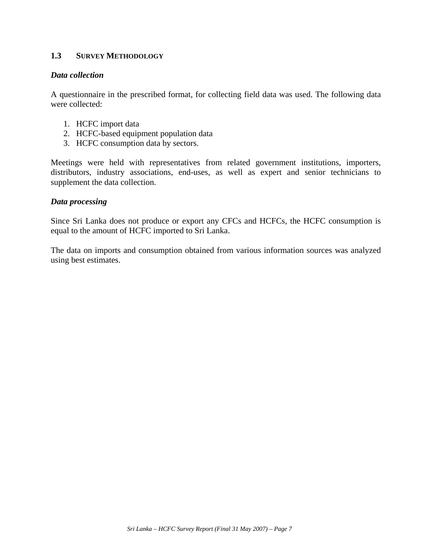## **1.3 SURVEY METHODOLOGY**

#### *Data collection*

A questionnaire in the prescribed format, for collecting field data was used. The following data were collected:

- 1. HCFC import data
- 2. HCFC-based equipment population data
- 3. HCFC consumption data by sectors.

Meetings were held with representatives from related government institutions, importers, distributors, industry associations, end-uses, as well as expert and senior technicians to supplement the data collection.

#### *Data processing*

Since Sri Lanka does not produce or export any CFCs and HCFCs, the HCFC consumption is equal to the amount of HCFC imported to Sri Lanka.

The data on imports and consumption obtained from various information sources was analyzed using best estimates.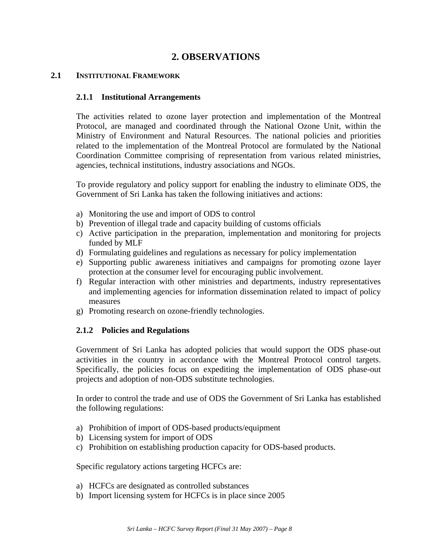## **2. OBSERVATIONS**

#### **2.1 INSTITUTIONAL FRAMEWORK**

#### **2.1.1 Institutional Arrangements**

The activities related to ozone layer protection and implementation of the Montreal Protocol, are managed and coordinated through the National Ozone Unit, within the Ministry of Environment and Natural Resources. The national policies and priorities related to the implementation of the Montreal Protocol are formulated by the National Coordination Committee comprising of representation from various related ministries, agencies, technical institutions, industry associations and NGOs.

To provide regulatory and policy support for enabling the industry to eliminate ODS, the Government of Sri Lanka has taken the following initiatives and actions:

- a) Monitoring the use and import of ODS to control
- b) Prevention of illegal trade and capacity building of customs officials
- c) Active participation in the preparation, implementation and monitoring for projects funded by MLF
- d) Formulating guidelines and regulations as necessary for policy implementation
- e) Supporting public awareness initiatives and campaigns for promoting ozone layer protection at the consumer level for encouraging public involvement.
- f) Regular interaction with other ministries and departments, industry representatives and implementing agencies for information dissemination related to impact of policy measures
- g) Promoting research on ozone-friendly technologies.

#### **2.1.2 Policies and Regulations**

Government of Sri Lanka has adopted policies that would support the ODS phase-out activities in the country in accordance with the Montreal Protocol control targets. Specifically, the policies focus on expediting the implementation of ODS phase-out projects and adoption of non-ODS substitute technologies.

In order to control the trade and use of ODS the Government of Sri Lanka has established the following regulations:

- a) Prohibition of import of ODS-based products/equipment
- b) Licensing system for import of ODS
- c) Prohibition on establishing production capacity for ODS-based products.

Specific regulatory actions targeting HCFCs are:

- a) HCFCs are designated as controlled substances
- b) Import licensing system for HCFCs is in place since 2005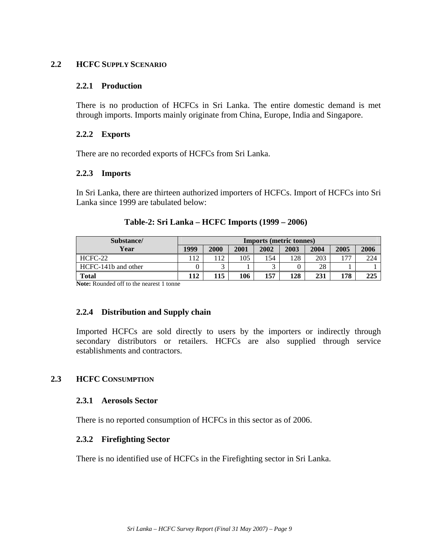#### **2.2 HCFC SUPPLY SCENARIO**

#### **2.2.1 Production**

There is no production of HCFCs in Sri Lanka. The entire domestic demand is met through imports. Imports mainly originate from China, Europe, India and Singapore.

#### **2.2.2 Exports**

There are no recorded exports of HCFCs from Sri Lanka.

#### **2.2.3 Imports**

In Sri Lanka, there are thirteen authorized importers of HCFCs. Import of HCFCs into Sri Lanka since 1999 are tabulated below:

| Substance/          | <b>Imports (metric tonnes)</b> |      |      |      |      |      |      |      |
|---------------------|--------------------------------|------|------|------|------|------|------|------|
| Year                | 1999                           | 2000 | 2001 | 2002 | 2003 | 2004 | 2005 | 2006 |
| $HCFC-22$           | 112                            | 12   | 105  | 154  | 128  | 203  | 77   | 224  |
| HCFC-141b and other |                                |      |      |      |      | 28   |      |      |
| Total               | 112                            | 115  | 106  | 157  | 128  | 231  | 178  | 225  |

#### **Table-2: Sri Lanka – HCFC Imports (1999 – 2006)**

**Note:** Rounded off to the nearest 1 tonne

#### **2.2.4 Distribution and Supply chain**

Imported HCFCs are sold directly to users by the importers or indirectly through secondary distributors or retailers. HCFCs are also supplied through service establishments and contractors.

#### **2.3 HCFC CONSUMPTION**

#### **2.3.1 Aerosols Sector**

There is no reported consumption of HCFCs in this sector as of 2006.

#### **2.3.2 Firefighting Sector**

There is no identified use of HCFCs in the Firefighting sector in Sri Lanka.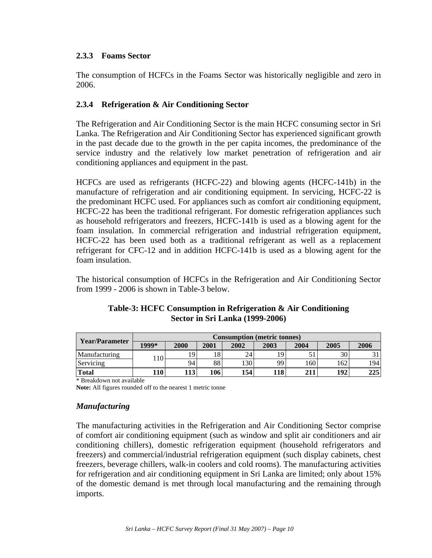## **2.3.3 Foams Sector**

The consumption of HCFCs in the Foams Sector was historically negligible and zero in 2006.

## **2.3.4 Refrigeration & Air Conditioning Sector**

The Refrigeration and Air Conditioning Sector is the main HCFC consuming sector in Sri Lanka. The Refrigeration and Air Conditioning Sector has experienced significant growth in the past decade due to the growth in the per capita incomes, the predominance of the service industry and the relatively low market penetration of refrigeration and air conditioning appliances and equipment in the past.

HCFCs are used as refrigerants (HCFC-22) and blowing agents (HCFC-141b) in the manufacture of refrigeration and air conditioning equipment. In servicing, HCFC-22 is the predominant HCFC used. For appliances such as comfort air conditioning equipment, HCFC-22 has been the traditional refrigerant. For domestic refrigeration appliances such as household refrigerators and freezers, HCFC-141b is used as a blowing agent for the foam insulation. In commercial refrigeration and industrial refrigeration equipment, HCFC-22 has been used both as a traditional refrigerant as well as a replacement refrigerant for CFC-12 and in addition HCFC-141b is used as a blowing agent for the foam insulation.

The historical consumption of HCFCs in the Refrigeration and Air Conditioning Sector from 1999 - 2006 is shown in Table-3 below.

| Year/Parameter | <b>Consumption (metric tonnes)</b> |          |      |      |      |      |      |      |
|----------------|------------------------------------|----------|------|------|------|------|------|------|
|                | 1999*                              | 2000     | 2001 | 2002 | 2003 | 2004 | 2005 | 2006 |
| Manufacturing  | $1 \Omega$                         | $\Omega$ | 18   | 24   | 19   | ر ر  | 30   |      |
| Servicing      | 1 I U                              | 94       | 88   | .30  | 99   | 160  | 162  | 194  |
| <b>Total</b>   | 110                                | 113'     | 106  | 154  | 18   | 211  | 192  | 225  |

## **Table-3: HCFC Consumption in Refrigeration & Air Conditioning Sector in Sri Lanka (1999-2006)**

\* Breakdown not available

**Note:** All figures rounded off to the nearest 1 metric tonne

#### *Manufacturing*

The manufacturing activities in the Refrigeration and Air Conditioning Sector comprise of comfort air conditioning equipment (such as window and split air conditioners and air conditioning chillers), domestic refrigeration equipment (household refrigerators and freezers) and commercial/industrial refrigeration equipment (such display cabinets, chest freezers, beverage chillers, walk-in coolers and cold rooms). The manufacturing activities for refrigeration and air conditioning equipment in Sri Lanka are limited; only about 15% of the domestic demand is met through local manufacturing and the remaining through imports.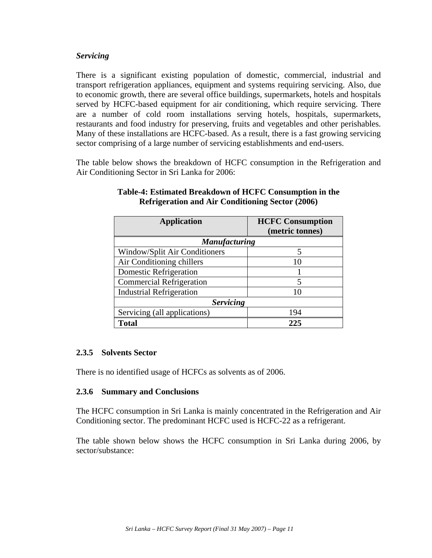### *Servicing*

There is a significant existing population of domestic, commercial, industrial and transport refrigeration appliances, equipment and systems requiring servicing. Also, due to economic growth, there are several office buildings, supermarkets, hotels and hospitals served by HCFC-based equipment for air conditioning, which require servicing. There are a number of cold room installations serving hotels, hospitals, supermarkets, restaurants and food industry for preserving, fruits and vegetables and other perishables. Many of these installations are HCFC-based. As a result, there is a fast growing servicing sector comprising of a large number of servicing establishments and end-users.

The table below shows the breakdown of HCFC consumption in the Refrigeration and Air Conditioning Sector in Sri Lanka for 2006:

| <b>Application</b>                   | <b>HCFC</b> Consumption<br>(metric tonnes) |
|--------------------------------------|--------------------------------------------|
| <b>Manufacturing</b>                 |                                            |
| <b>Window/Split Air Conditioners</b> | 5                                          |
| Air Conditioning chillers            | 10                                         |
| <b>Domestic Refrigeration</b>        |                                            |
| <b>Commercial Refrigeration</b>      | 5                                          |
| <b>Industrial Refrigeration</b>      | 10                                         |
| <b>Servicing</b>                     |                                            |
| Servicing (all applications)         | 194                                        |
| <b>Total</b>                         | 225                                        |

## **Table-4: Estimated Breakdown of HCFC Consumption in the Refrigeration and Air Conditioning Sector (2006)**

## **2.3.5 Solvents Sector**

There is no identified usage of HCFCs as solvents as of 2006.

#### **2.3.6 Summary and Conclusions**

The HCFC consumption in Sri Lanka is mainly concentrated in the Refrigeration and Air Conditioning sector. The predominant HCFC used is HCFC-22 as a refrigerant.

The table shown below shows the HCFC consumption in Sri Lanka during 2006, by sector/substance: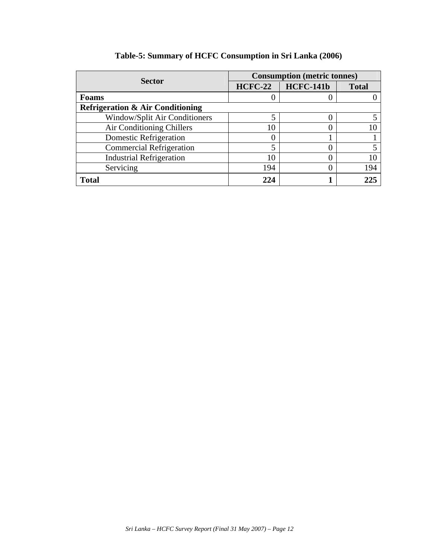|                                             | <b>Consumption (metric tonnes)</b> |                  |              |  |  |  |
|---------------------------------------------|------------------------------------|------------------|--------------|--|--|--|
| <b>Sector</b>                               | <b>HCFC-22</b>                     | <b>HCFC-141b</b> | <b>Total</b> |  |  |  |
| <b>Foams</b>                                |                                    |                  |              |  |  |  |
| <b>Refrigeration &amp; Air Conditioning</b> |                                    |                  |              |  |  |  |
| Window/Split Air Conditioners               | 5                                  |                  |              |  |  |  |
| Air Conditioning Chillers                   | 10                                 |                  |              |  |  |  |
| Domestic Refrigeration                      | 0                                  |                  |              |  |  |  |
| <b>Commercial Refrigeration</b>             | 5                                  |                  |              |  |  |  |
| <b>Industrial Refrigeration</b>             | 10                                 |                  |              |  |  |  |
| Servicing                                   | 194                                |                  | 194          |  |  |  |
| <b>Total</b>                                | 22.4                               |                  |              |  |  |  |

# **Table-5: Summary of HCFC Consumption in Sri Lanka (2006)**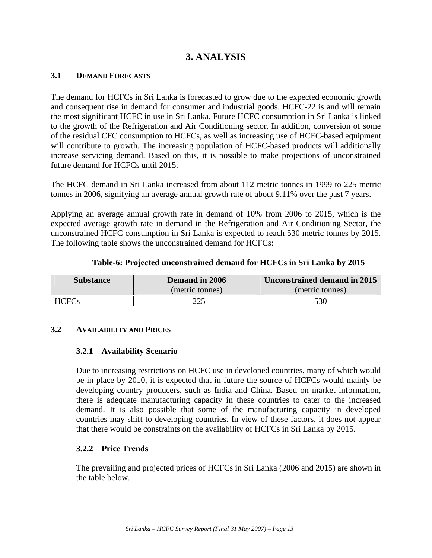# **3. ANALYSIS**

### **3.1 DEMAND FORECASTS**

The demand for HCFCs in Sri Lanka is forecasted to grow due to the expected economic growth and consequent rise in demand for consumer and industrial goods. HCFC-22 is and will remain the most significant HCFC in use in Sri Lanka. Future HCFC consumption in Sri Lanka is linked to the growth of the Refrigeration and Air Conditioning sector. In addition, conversion of some of the residual CFC consumption to HCFCs, as well as increasing use of HCFC-based equipment will contribute to growth. The increasing population of HCFC-based products will additionally increase servicing demand. Based on this, it is possible to make projections of unconstrained future demand for HCFCs until 2015.

The HCFC demand in Sri Lanka increased from about 112 metric tonnes in 1999 to 225 metric tonnes in 2006, signifying an average annual growth rate of about 9.11% over the past 7 years.

Applying an average annual growth rate in demand of 10% from 2006 to 2015, which is the expected average growth rate in demand in the Refrigeration and Air Conditioning Sector, the unconstrained HCFC consumption in Sri Lanka is expected to reach 530 metric tonnes by 2015. The following table shows the unconstrained demand for HCFCs:

|  |  | Table-6: Projected unconstrained demand for HCFCs in Sri Lanka by 2015 |  |  |  |
|--|--|------------------------------------------------------------------------|--|--|--|
|--|--|------------------------------------------------------------------------|--|--|--|

| <b>Substance</b> | Demand in 2006  | Unconstrained demand in 2015 |  |
|------------------|-----------------|------------------------------|--|
|                  | (metric tonnes) | (metric tonnes)              |  |
| HCFCs            |                 | 530                          |  |

#### **3.2 AVAILABILITY AND PRICES**

#### **3.2.1 Availability Scenario**

Due to increasing restrictions on HCFC use in developed countries, many of which would be in place by 2010, it is expected that in future the source of HCFCs would mainly be developing country producers, such as India and China. Based on market information, there is adequate manufacturing capacity in these countries to cater to the increased demand. It is also possible that some of the manufacturing capacity in developed countries may shift to developing countries. In view of these factors, it does not appear that there would be constraints on the availability of HCFCs in Sri Lanka by 2015.

#### **3.2.2 Price Trends**

The prevailing and projected prices of HCFCs in Sri Lanka (2006 and 2015) are shown in the table below.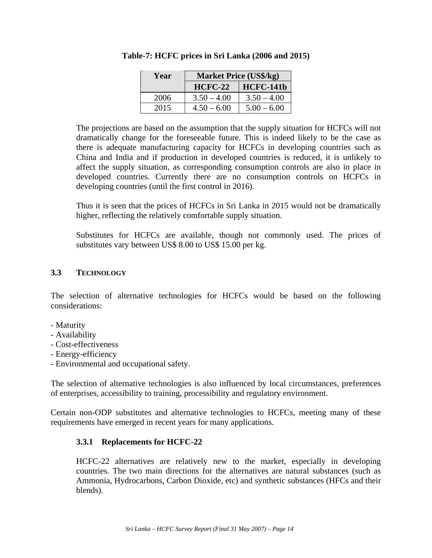| Year | <b>Market Price (US\$/kg)</b> |                  |  |
|------|-------------------------------|------------------|--|
|      | $HCFC-22$                     | <b>HCFC-141b</b> |  |
| 2006 | $3.50 - 4.00$                 | $3.50 - 4.00$    |  |
| 2015 | $4.50 - 6.00$                 | $5.00 - 6.00$    |  |

### **Table-7: HCFC prices in Sri Lanka (2006 and 2015)**

The projections are based on the assumption that the supply situation for HCFCs will not dramatically change for the foreseeable future. This is indeed likely to be the case as there is adequate manufacturing capacity for HCFCs in developing countries such as China and India and if production in developed countries is reduced, it is unlikely to affect the supply situation, as corresponding consumption controls are also in place in developed countries. Currently there are no consumption controls on HCFCs in developing countries (until the first control in 2016).

Thus it is seen that the prices of HCFCs in Sri Lanka in 2015 would not be dramatically higher, reflecting the relatively comfortable supply situation.

Substitutes for HCFCs are available, though not commonly used. The prices of substitutes vary between US\$ 8.00 to US\$ 15.00 per kg.

## **3.3 TECHNOLOGY**

The selection of alternative technologies for HCFCs would be based on the following considerations:

- Maturity
- Availability
- Cost-effectiveness
- Energy-efficiency
- Environmental and occupational safety.

The selection of alternative technologies is also influenced by local circumstances, preferences of enterprises, accessibility to training, processibility and regulatory environment.

Certain non-ODP substitutes and alternative technologies to HCFCs, meeting many of these requirements have emerged in recent years for many applications.

## **3.3.1 Replacements for HCFC-22**

HCFC-22 alternatives are relatively new to the market, especially in developing countries. The two main directions for the alternatives are natural substances (such as Ammonia, Hydrocarbons, Carbon Dioxide, etc) and synthetic substances (HFCs and their blends).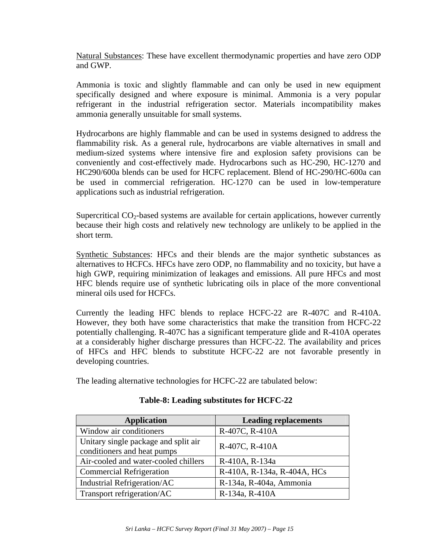Natural Substances: These have excellent thermodynamic properties and have zero ODP and GWP.

Ammonia is toxic and slightly flammable and can only be used in new equipment specifically designed and where exposure is minimal. Ammonia is a very popular refrigerant in the industrial refrigeration sector. Materials incompatibility makes ammonia generally unsuitable for small systems.

Hydrocarbons are highly flammable and can be used in systems designed to address the flammability risk. As a general rule, hydrocarbons are viable alternatives in small and medium-sized systems where intensive fire and explosion safety provisions can be conveniently and cost-effectively made. Hydrocarbons such as HC-290, HC-1270 and HC290/600a blends can be used for HCFC replacement. Blend of HC-290/HC-600a can be used in commercial refrigeration. HC-1270 can be used in low-temperature applications such as industrial refrigeration.

Supercritical  $CO<sub>2</sub>$ -based systems are available for certain applications, however currently because their high costs and relatively new technology are unlikely to be applied in the short term.

Synthetic Substances: HFCs and their blends are the major synthetic substances as alternatives to HCFCs. HFCs have zero ODP, no flammability and no toxicity, but have a high GWP, requiring minimization of leakages and emissions. All pure HFCs and most HFC blends require use of synthetic lubricating oils in place of the more conventional mineral oils used for HCFCs.

Currently the leading HFC blends to replace HCFC-22 are R-407C and R-410A. However, they both have some characteristics that make the transition from HCFC-22 potentially challenging. R-407C has a significant temperature glide and R-410A operates at a considerably higher discharge pressures than HCFC-22. The availability and prices of HFCs and HFC blends to substitute HCFC-22 are not favorable presently in developing countries.

The leading alternative technologies for HCFC-22 are tabulated below:

| <b>Application</b>                                                  | <b>Leading replacements</b> |
|---------------------------------------------------------------------|-----------------------------|
| Window air conditioners                                             | R-407C, R-410A              |
| Unitary single package and split air<br>conditioners and heat pumps | R-407C, R-410A              |
| Air-cooled and water-cooled chillers                                | R-410A, R-134a              |
| <b>Commercial Refrigeration</b>                                     | R-410A, R-134a, R-404A, HCs |
| Industrial Refrigeration/AC                                         | R-134a, R-404a, Ammonia     |
| Transport refrigeration/AC                                          | R-134a, R-410A              |

#### **Table-8: Leading substitutes for HCFC-22**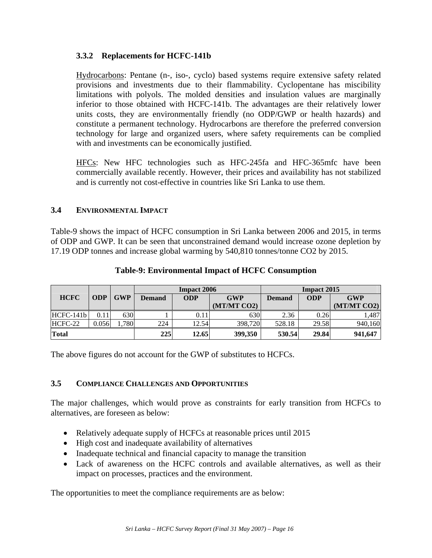### **3.3.2 Replacements for HCFC-141b**

Hydrocarbons: Pentane (n-, iso-, cyclo) based systems require extensive safety related provisions and investments due to their flammability. Cyclopentane has miscibility limitations with polyols. The molded densities and insulation values are marginally inferior to those obtained with HCFC-141b. The advantages are their relatively lower units costs, they are environmentally friendly (no ODP/GWP or health hazards) and constitute a permanent technology. Hydrocarbons are therefore the preferred conversion technology for large and organized users, where safety requirements can be complied with and investments can be economically justified.

HFCs: New HFC technologies such as HFC-245fa and HFC-365mfc have been commercially available recently. However, their prices and availability has not stabilized and is currently not cost-effective in countries like Sri Lanka to use them.

### **3.4 ENVIRONMENTAL IMPACT**

Table-9 shows the impact of HCFC consumption in Sri Lanka between 2006 and 2015, in terms of ODP and GWP. It can be seen that unconstrained demand would increase ozone depletion by 17.19 ODP tonnes and increase global warming by 540,810 tonnes/tonne CO2 by 2015.

|             |            |            | <b>Impact 2006</b>                 |       | <b>Impact 2015</b>          |        |            |             |
|-------------|------------|------------|------------------------------------|-------|-----------------------------|--------|------------|-------------|
| <b>HCFC</b> | <b>ODP</b> | <b>GWP</b> | <b>ODP</b><br><b>GWP</b><br>Demand |       | <b>ODP</b><br><b>Demand</b> |        | <b>GWP</b> |             |
|             |            |            |                                    |       | (MT/MT CO2)                 |        |            | (MT/MT CO2) |
| HCFC-141b   | 0.11       | 630        |                                    | 0.11  | 630                         | 2.36   | 0.26       | 1,487       |
| HCFC-22     | 0.056      | 1,780      | 224                                | 12.54 | 398,720                     | 528.18 | 29.58      | 940,160     |
| Total       |            |            | 225                                | 12.65 | 399,350                     | 530.54 | 29.84      | 941,647     |

### **Table-9: Environmental Impact of HCFC Consumption**

The above figures do not account for the GWP of substitutes to HCFCs.

### **3.5 COMPLIANCE CHALLENGES AND OPPORTUNITIES**

The major challenges, which would prove as constraints for early transition from HCFCs to alternatives, are foreseen as below:

- Relatively adequate supply of HCFCs at reasonable prices until 2015
- High cost and inadequate availability of alternatives
- Inadequate technical and financial capacity to manage the transition
- Lack of awareness on the HCFC controls and available alternatives, as well as their impact on processes, practices and the environment.

The opportunities to meet the compliance requirements are as below: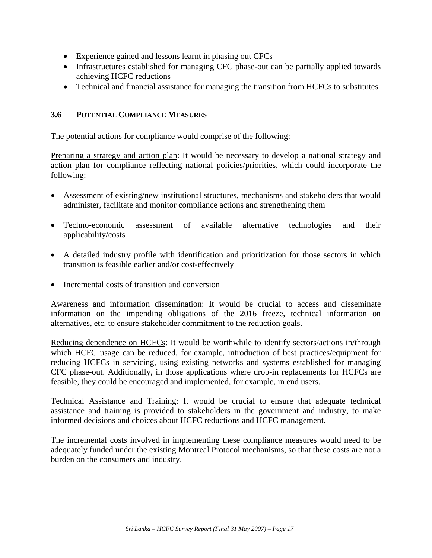- Experience gained and lessons learnt in phasing out CFCs
- Infrastructures established for managing CFC phase-out can be partially applied towards achieving HCFC reductions
- Technical and financial assistance for managing the transition from HCFCs to substitutes

#### **3.6 POTENTIAL COMPLIANCE MEASURES**

The potential actions for compliance would comprise of the following:

Preparing a strategy and action plan: It would be necessary to develop a national strategy and action plan for compliance reflecting national policies/priorities, which could incorporate the following:

- Assessment of existing/new institutional structures, mechanisms and stakeholders that would administer, facilitate and monitor compliance actions and strengthening them
- Techno-economic assessment of available alternative technologies and their applicability/costs
- A detailed industry profile with identification and prioritization for those sectors in which transition is feasible earlier and/or cost-effectively
- Incremental costs of transition and conversion

Awareness and information dissemination: It would be crucial to access and disseminate information on the impending obligations of the 2016 freeze, technical information on alternatives, etc. to ensure stakeholder commitment to the reduction goals.

Reducing dependence on HCFCs: It would be worthwhile to identify sectors/actions in/through which HCFC usage can be reduced, for example, introduction of best practices/equipment for reducing HCFCs in servicing, using existing networks and systems established for managing CFC phase-out. Additionally, in those applications where drop-in replacements for HCFCs are feasible, they could be encouraged and implemented, for example, in end users.

Technical Assistance and Training: It would be crucial to ensure that adequate technical assistance and training is provided to stakeholders in the government and industry, to make informed decisions and choices about HCFC reductions and HCFC management.

The incremental costs involved in implementing these compliance measures would need to be adequately funded under the existing Montreal Protocol mechanisms, so that these costs are not a burden on the consumers and industry.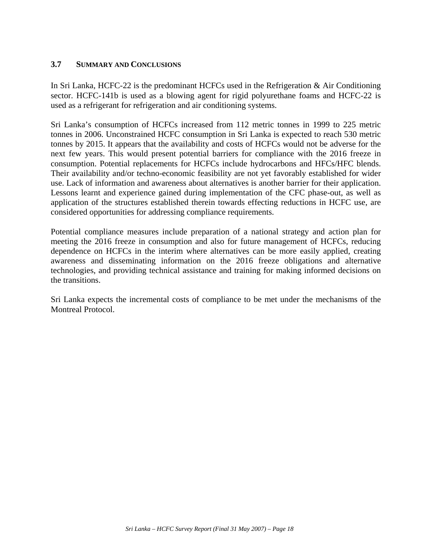#### **3.7 SUMMARY AND CONCLUSIONS**

In Sri Lanka, HCFC-22 is the predominant HCFCs used in the Refrigeration & Air Conditioning sector. HCFC-141b is used as a blowing agent for rigid polyurethane foams and HCFC-22 is used as a refrigerant for refrigeration and air conditioning systems.

Sri Lanka's consumption of HCFCs increased from 112 metric tonnes in 1999 to 225 metric tonnes in 2006. Unconstrained HCFC consumption in Sri Lanka is expected to reach 530 metric tonnes by 2015. It appears that the availability and costs of HCFCs would not be adverse for the next few years. This would present potential barriers for compliance with the 2016 freeze in consumption. Potential replacements for HCFCs include hydrocarbons and HFCs/HFC blends. Their availability and/or techno-economic feasibility are not yet favorably established for wider use. Lack of information and awareness about alternatives is another barrier for their application. Lessons learnt and experience gained during implementation of the CFC phase-out, as well as application of the structures established therein towards effecting reductions in HCFC use, are considered opportunities for addressing compliance requirements.

Potential compliance measures include preparation of a national strategy and action plan for meeting the 2016 freeze in consumption and also for future management of HCFCs, reducing dependence on HCFCs in the interim where alternatives can be more easily applied, creating awareness and disseminating information on the 2016 freeze obligations and alternative technologies, and providing technical assistance and training for making informed decisions on the transitions.

Sri Lanka expects the incremental costs of compliance to be met under the mechanisms of the Montreal Protocol.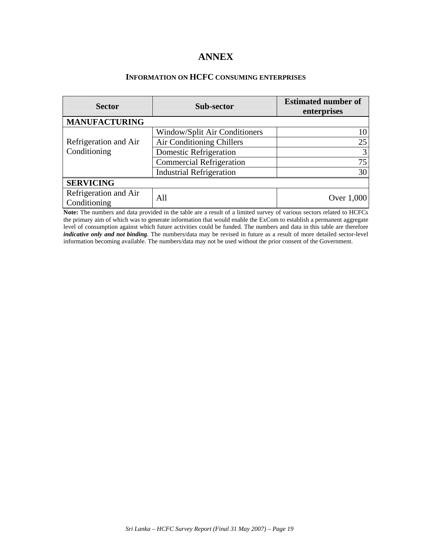# **ANNEX**

### **INFORMATION ON HCFC CONSUMING ENTERPRISES**

| <b>Sector</b>                         | Sub-sector                      | <b>Estimated number of</b><br>enterprises |
|---------------------------------------|---------------------------------|-------------------------------------------|
| <b>MANUFACTURING</b>                  |                                 |                                           |
|                                       | Window/Split Air Conditioners   | 10                                        |
| Refrigeration and Air                 | Air Conditioning Chillers       | 25                                        |
| Conditioning                          | Domestic Refrigeration          | 3                                         |
|                                       | <b>Commercial Refrigeration</b> | 75                                        |
|                                       | <b>Industrial Refrigeration</b> | 30                                        |
| <b>SERVICING</b>                      |                                 |                                           |
| Refrigeration and Air<br>Conditioning | All                             | Over $1,000$                              |

**Note:** The numbers and data provided in the table are a result of a limited survey of various sectors related to HCFCs the primary aim of which was to generate information that would enable the ExCom to establish a permanent aggregate level of consumption against which future activities could be funded. The numbers and data in this table are therefore *indicative only and not binding*. The numbers/data may be revised in future as a result of more detailed sector-level information becoming available. The numbers/data may not be used without the prior consent of the Government.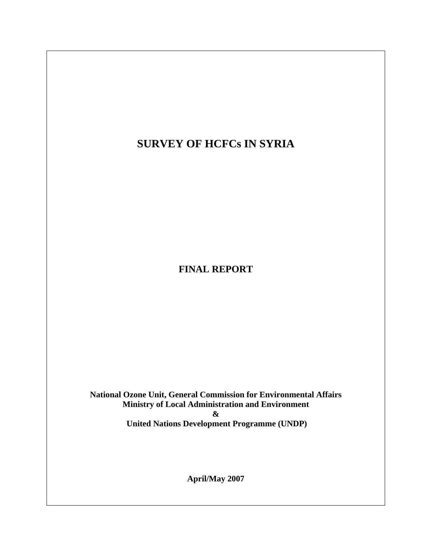# **SURVEY OF HCFCs IN SYRIA**

**FINAL REPORT** 

**National Ozone Unit, General Commission for Environmental Affairs Ministry of Local Administration and Environment & United Nations Development Programme (UNDP)**

**April/May 2007**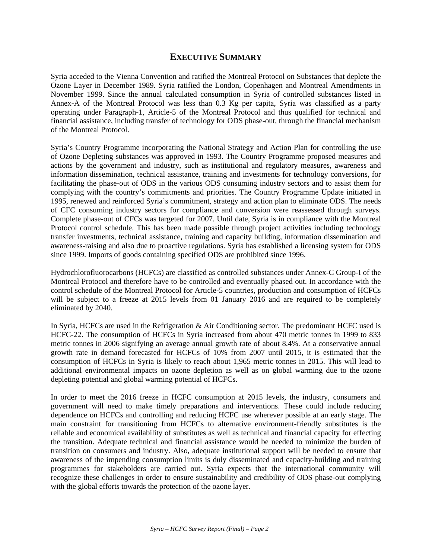### **EXECUTIVE SUMMARY**

Syria acceded to the Vienna Convention and ratified the Montreal Protocol on Substances that deplete the Ozone Layer in December 1989. Syria ratified the London, Copenhagen and Montreal Amendments in November 1999. Since the annual calculated consumption in Syria of controlled substances listed in Annex-A of the Montreal Protocol was less than 0.3 Kg per capita, Syria was classified as a party operating under Paragraph-1, Article-5 of the Montreal Protocol and thus qualified for technical and financial assistance, including transfer of technology for ODS phase-out, through the financial mechanism of the Montreal Protocol.

Syria's Country Programme incorporating the National Strategy and Action Plan for controlling the use of Ozone Depleting substances was approved in 1993. The Country Programme proposed measures and actions by the government and industry, such as institutional and regulatory measures, awareness and information dissemination, technical assistance, training and investments for technology conversions, for facilitating the phase-out of ODS in the various ODS consuming industry sectors and to assist them for complying with the country's commitments and priorities. The Country Programme Update initiated in 1995, renewed and reinforced Syria's commitment, strategy and action plan to eliminate ODS. The needs of CFC consuming industry sectors for compliance and conversion were reassessed through surveys. Complete phase-out of CFCs was targeted for 2007. Until date, Syria is in compliance with the Montreal Protocol control schedule. This has been made possible through project activities including technology transfer investments, technical assistance, training and capacity building, information dissemination and awareness-raising and also due to proactive regulations. Syria has established a licensing system for ODS since 1999. Imports of goods containing specified ODS are prohibited since 1996.

Hydrochlorofluorocarbons (HCFCs) are classified as controlled substances under Annex-C Group-I of the Montreal Protocol and therefore have to be controlled and eventually phased out. In accordance with the control schedule of the Montreal Protocol for Article-5 countries, production and consumption of HCFCs will be subject to a freeze at 2015 levels from 01 January 2016 and are required to be completely eliminated by 2040.

In Syria, HCFCs are used in the Refrigeration & Air Conditioning sector. The predominant HCFC used is HCFC-22. The consumption of HCFCs in Syria increased from about 470 metric tonnes in 1999 to 833 metric tonnes in 2006 signifying an average annual growth rate of about 8.4%. At a conservative annual growth rate in demand forecasted for HCFCs of 10% from 2007 until 2015, it is estimated that the consumption of HCFCs in Syria is likely to reach about 1,965 metric tonnes in 2015. This will lead to additional environmental impacts on ozone depletion as well as on global warming due to the ozone depleting potential and global warming potential of HCFCs.

In order to meet the 2016 freeze in HCFC consumption at 2015 levels, the industry, consumers and government will need to make timely preparations and interventions. These could include reducing dependence on HCFCs and controlling and reducing HCFC use wherever possible at an early stage. The main constraint for transitioning from HCFCs to alternative environment-friendly substitutes is the reliable and economical availability of substitutes as well as technical and financial capacity for effecting the transition. Adequate technical and financial assistance would be needed to minimize the burden of transition on consumers and industry. Also, adequate institutional support will be needed to ensure that awareness of the impending consumption limits is duly disseminated and capacity-building and training programmes for stakeholders are carried out. Syria expects that the international community will recognize these challenges in order to ensure sustainability and credibility of ODS phase-out complying with the global efforts towards the protection of the ozone layer.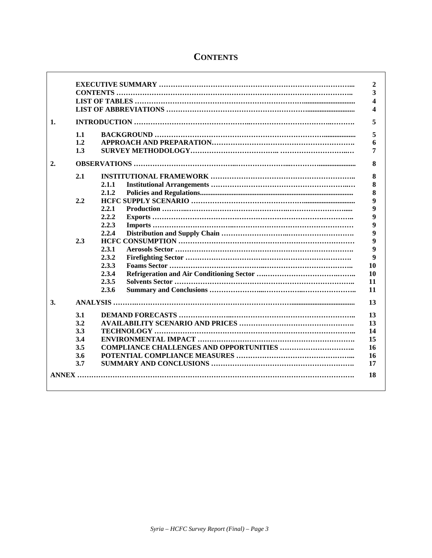|    |     |       | $\mathbf{2}$ |
|----|-----|-------|--------------|
|    |     |       | 3            |
|    |     |       | 4            |
|    |     |       | 4            |
| 1. |     |       | 5            |
|    | 1.1 |       | 5            |
|    | 1.2 |       | 6            |
|    | 1.3 |       | 7            |
| 2. |     |       | 8            |
|    | 2.1 |       | 8            |
|    |     | 2.1.1 | 8            |
|    |     | 2.1.2 | 8            |
|    | 2.2 |       | 9            |
|    |     | 2.2.1 | 9            |
|    |     | 2.2.2 | 9            |
|    |     | 2.2.3 | 9            |
|    |     | 2.2.4 | 9            |
|    | 2.3 |       | 9            |
|    |     | 2.3.1 | 9            |
|    |     | 2.3.2 | 9            |
|    |     | 2.3.3 | 10           |
|    |     | 2.3.4 | 10           |
|    |     | 2.3.5 | 11           |
|    |     | 2.3.6 | 11           |
| 3. |     |       | 13           |
|    | 3.1 |       | 13           |
|    | 3.2 |       | 13           |
|    | 3.3 |       | 14           |
|    | 3.4 |       | 15           |
|    | 3.5 |       | 16           |
|    | 3.6 |       | 16           |
|    | 3.7 |       | 17           |
|    |     |       |              |
|    |     |       | 18           |
|    |     |       |              |

# **CONTENTS**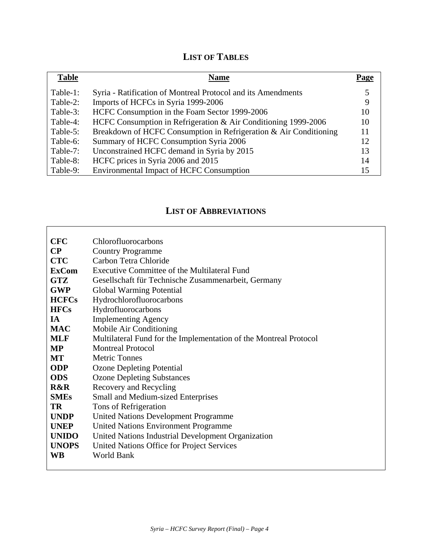# **LIST OF TABLES**

| <b>Table</b> | <b>Name</b>                                                       | Page |
|--------------|-------------------------------------------------------------------|------|
| Table-1:     | Syria - Ratification of Montreal Protocol and its Amendments      |      |
| Table-2:     | Imports of HCFCs in Syria 1999-2006                               | 9    |
| Table-3:     | HCFC Consumption in the Foam Sector 1999-2006                     | 10   |
| Table-4:     | HCFC Consumption in Refrigeration & Air Conditioning 1999-2006    | 10   |
| Table-5:     | Breakdown of HCFC Consumption in Refrigeration & Air Conditioning |      |
| Table-6:     | Summary of HCFC Consumption Syria 2006                            | 12.  |
| Table-7:     | Unconstrained HCFC demand in Syria by 2015                        | 13   |
| Table-8:     | HCFC prices in Syria 2006 and 2015                                | 14   |
| Table-9:     | <b>Environmental Impact of HCFC Consumption</b>                   | 15   |

# **LIST OF ABBREVIATIONS**

| <b>CFC</b>     | Chlorofluorocarbons                                               |
|----------------|-------------------------------------------------------------------|
| $\bf CP$       | <b>Country Programme</b>                                          |
| <b>CTC</b>     | Carbon Tetra Chloride                                             |
| <b>ExCom</b>   | Executive Committee of the Multilateral Fund                      |
| <b>GTZ</b>     | Gesellschaft für Technische Zusammenarbeit, Germany               |
| <b>GWP</b>     | Global Warming Potential                                          |
| <b>HCFCs</b>   | Hydrochlorofluorocarbons                                          |
| <b>HFCs</b>    | Hydrofluorocarbons                                                |
| <b>IA</b>      | <b>Implementing Agency</b>                                        |
| <b>MAC</b>     | Mobile Air Conditioning                                           |
| <b>MLF</b>     | Multilateral Fund for the Implementation of the Montreal Protocol |
| <b>MP</b>      | <b>Montreal Protocol</b>                                          |
| MT             | <b>Metric Tonnes</b>                                              |
| <b>ODP</b>     | <b>Ozone Depleting Potential</b>                                  |
| <b>ODS</b>     | <b>Ozone Depleting Substances</b>                                 |
| <b>R&amp;R</b> | Recovery and Recycling                                            |
| <b>SMEs</b>    | <b>Small and Medium-sized Enterprises</b>                         |
| <b>TR</b>      | Tons of Refrigeration                                             |
| <b>UNDP</b>    | United Nations Development Programme                              |
| <b>UNEP</b>    | <b>United Nations Environment Programme</b>                       |
| <b>UNIDO</b>   | United Nations Industrial Development Organization                |
| <b>UNOPS</b>   | United Nations Office for Project Services                        |
| <b>WB</b>      | <b>World Bank</b>                                                 |
|                |                                                                   |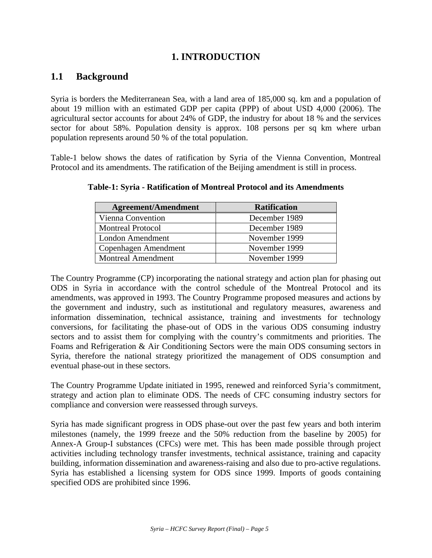# **1. INTRODUCTION**

# **1.1 Background**

Syria is borders the Mediterranean Sea, with a land area of 185,000 sq. km and a population of about 19 million with an estimated GDP per capita (PPP) of about USD 4,000 (2006). The agricultural sector accounts for about 24% of GDP, the industry for about 18 % and the services sector for about 58%. Population density is approx. 108 persons per sq km where urban population represents around 50 % of the total population.

Table-1 below shows the dates of ratification by Syria of the Vienna Convention, Montreal Protocol and its amendments. The ratification of the Beijing amendment is still in process.

| <b>Agreement/Amendment</b> | <b>Ratification</b> |
|----------------------------|---------------------|
| Vienna Convention          | December 1989       |
| <b>Montreal Protocol</b>   | December 1989       |
| London Amendment           | November 1999       |
| Copenhagen Amendment       | November 1999       |
| <b>Montreal Amendment</b>  | November 1999       |

**Table-1: Syria - Ratification of Montreal Protocol and its Amendments** 

The Country Programme (CP) incorporating the national strategy and action plan for phasing out ODS in Syria in accordance with the control schedule of the Montreal Protocol and its amendments, was approved in 1993. The Country Programme proposed measures and actions by the government and industry, such as institutional and regulatory measures, awareness and information dissemination, technical assistance, training and investments for technology conversions, for facilitating the phase-out of ODS in the various ODS consuming industry sectors and to assist them for complying with the country's commitments and priorities. The Foams and Refrigeration & Air Conditioning Sectors were the main ODS consuming sectors in Syria, therefore the national strategy prioritized the management of ODS consumption and eventual phase-out in these sectors.

The Country Programme Update initiated in 1995, renewed and reinforced Syria's commitment, strategy and action plan to eliminate ODS. The needs of CFC consuming industry sectors for compliance and conversion were reassessed through surveys.

Syria has made significant progress in ODS phase-out over the past few years and both interim milestones (namely, the 1999 freeze and the 50% reduction from the baseline by 2005) for Annex-A Group-I substances (CFCs) were met. This has been made possible through project activities including technology transfer investments, technical assistance, training and capacity building, information dissemination and awareness-raising and also due to pro-active regulations. Syria has established a licensing system for ODS since 1999. Imports of goods containing specified ODS are prohibited since 1996.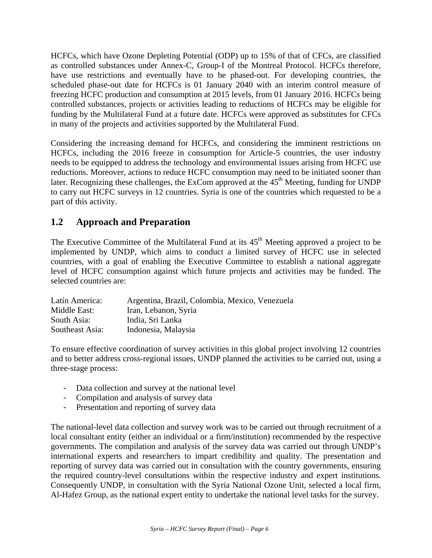HCFCs, which have Ozone Depleting Potential (ODP) up to 15% of that of CFCs, are classified as controlled substances under Annex-C, Group-I of the Montreal Protocol. HCFCs therefore, have use restrictions and eventually have to be phased-out. For developing countries, the scheduled phase-out date for HCFCs is 01 January 2040 with an interim control measure of freezing HCFC production and consumption at 2015 levels, from 01 January 2016. HCFCs being controlled substances, projects or activities leading to reductions of HCFCs may be eligible for funding by the Multilateral Fund at a future date. HCFCs were approved as substitutes for CFCs in many of the projects and activities supported by the Multilateral Fund.

Considering the increasing demand for HCFCs, and considering the imminent restrictions on HCFCs, including the 2016 freeze in consumption for Article-5 countries, the user industry needs to be equipped to address the technology and environmental issues arising from HCFC use reductions. Moreover, actions to reduce HCFC consumption may need to be initiated sooner than later. Recognizing these challenges, the ExCom approved at the  $45<sup>th</sup>$  Meeting, funding for UNDP to carry out HCFC surveys in 12 countries. Syria is one of the countries which requested to be a part of this activity.

# **1.2 Approach and Preparation**

The Executive Committee of the Multilateral Fund at its  $45<sup>th</sup>$  Meeting approved a project to be implemented by UNDP, which aims to conduct a limited survey of HCFC use in selected countries, with a goal of enabling the Executive Committee to establish a national aggregate level of HCFC consumption against which future projects and activities may be funded. The selected countries are:

| Latín America:  | Argentina, Brazil, Colombia, Mexico, Venezuela |
|-----------------|------------------------------------------------|
| Middle East:    | Iran, Lebanon, Syria                           |
| South Asia:     | India, Sri Lanka                               |
| Southeast Asia: | Indonesia, Malaysia                            |

To ensure effective coordination of survey activities in this global project involving 12 countries and to better address cross-regional issues, UNDP planned the activities to be carried out, using a three-stage process:

- Data collection and survey at the national level
- Compilation and analysis of survey data
- Presentation and reporting of survey data

The national-level data collection and survey work was to be carried out through recruitment of a local consultant entity (either an individual or a firm/institution) recommended by the respective governments. The compilation and analysis of the survey data was carried out through UNDP's international experts and researchers to impart credibility and quality. The presentation and reporting of survey data was carried out in consultation with the country governments, ensuring the required country-level consultations within the respective industry and expert institutions. Consequently UNDP, in consultation with the Syria National Ozone Unit, selected a local firm, Al-Hafez Group, as the national expert entity to undertake the national level tasks for the survey.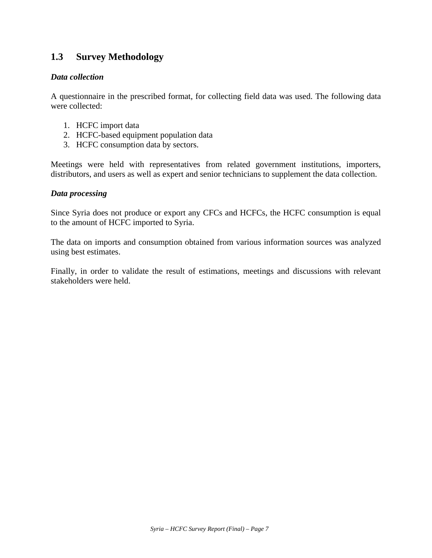# **1.3 Survey Methodology**

#### *Data collection*

A questionnaire in the prescribed format, for collecting field data was used. The following data were collected:

- 1. HCFC import data
- 2. HCFC-based equipment population data
- 3. HCFC consumption data by sectors.

Meetings were held with representatives from related government institutions, importers, distributors, and users as well as expert and senior technicians to supplement the data collection.

#### *Data processing*

Since Syria does not produce or export any CFCs and HCFCs, the HCFC consumption is equal to the amount of HCFC imported to Syria.

The data on imports and consumption obtained from various information sources was analyzed using best estimates.

Finally, in order to validate the result of estimations, meetings and discussions with relevant stakeholders were held.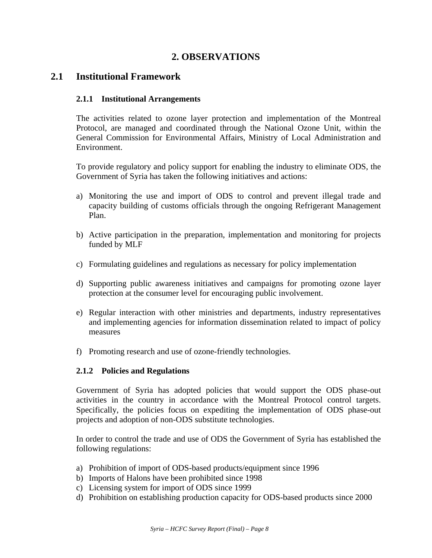# **2. OBSERVATIONS**

### **2.1 Institutional Framework**

#### **2.1.1 Institutional Arrangements**

The activities related to ozone layer protection and implementation of the Montreal Protocol, are managed and coordinated through the National Ozone Unit, within the General Commission for Environmental Affairs, Ministry of Local Administration and Environment.

To provide regulatory and policy support for enabling the industry to eliminate ODS, the Government of Syria has taken the following initiatives and actions:

- a) Monitoring the use and import of ODS to control and prevent illegal trade and capacity building of customs officials through the ongoing Refrigerant Management Plan.
- b) Active participation in the preparation, implementation and monitoring for projects funded by MLF
- c) Formulating guidelines and regulations as necessary for policy implementation
- d) Supporting public awareness initiatives and campaigns for promoting ozone layer protection at the consumer level for encouraging public involvement.
- e) Regular interaction with other ministries and departments, industry representatives and implementing agencies for information dissemination related to impact of policy measures
- f) Promoting research and use of ozone-friendly technologies.

#### **2.1.2 Policies and Regulations**

Government of Syria has adopted policies that would support the ODS phase-out activities in the country in accordance with the Montreal Protocol control targets. Specifically, the policies focus on expediting the implementation of ODS phase-out projects and adoption of non-ODS substitute technologies.

In order to control the trade and use of ODS the Government of Syria has established the following regulations:

- a) Prohibition of import of ODS-based products/equipment since 1996
- b) Imports of Halons have been prohibited since 1998
- c) Licensing system for import of ODS since 1999
- d) Prohibition on establishing production capacity for ODS-based products since 2000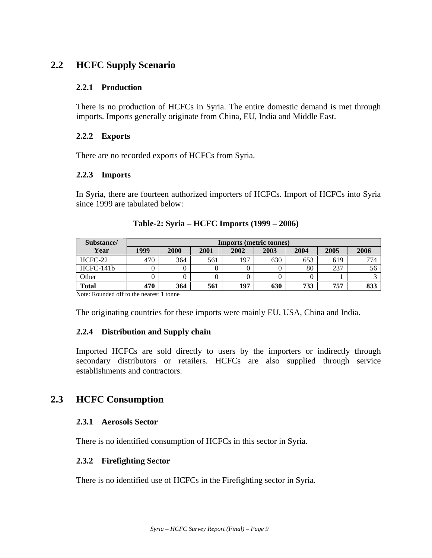# **2.2 HCFC Supply Scenario**

### **2.2.1 Production**

There is no production of HCFCs in Syria. The entire domestic demand is met through imports. Imports generally originate from China, EU, India and Middle East.

### **2.2.2 Exports**

There are no recorded exports of HCFCs from Syria.

#### **2.2.3 Imports**

In Syria, there are fourteen authorized importers of HCFCs. Import of HCFCs into Syria since 1999 are tabulated below:

| Substance/   |      | <b>Imports (metric tonnes)</b> |      |      |      |      |      |      |  |
|--------------|------|--------------------------------|------|------|------|------|------|------|--|
| Year         | 1999 | 2000                           | 2001 | 2002 | 2003 | 2004 | 2005 | 2006 |  |
| HCFC-22      | 470  | 364                            | 561  | 197  | 630  | 653  | 619  | 774  |  |
| $HCFC-141b$  |      |                                |      |      |      | 80   | 237  | 56   |  |
| Other        |      |                                |      |      |      |      |      |      |  |
| <b>Total</b> | 470  | 364                            | 561  | 197  | 630  | 733  | 757  | 833  |  |

| Table-2: Syria – HCFC Imports (1999 – 2006) |  |  |  |  |  |  |
|---------------------------------------------|--|--|--|--|--|--|
|---------------------------------------------|--|--|--|--|--|--|

Note: Rounded off to the nearest 1 tonne

The originating countries for these imports were mainly EU, USA, China and India.

### **2.2.4 Distribution and Supply chain**

Imported HCFCs are sold directly to users by the importers or indirectly through secondary distributors or retailers. HCFCs are also supplied through service establishments and contractors.

# **2.3 HCFC Consumption**

#### **2.3.1 Aerosols Sector**

There is no identified consumption of HCFCs in this sector in Syria.

#### **2.3.2 Firefighting Sector**

There is no identified use of HCFCs in the Firefighting sector in Syria.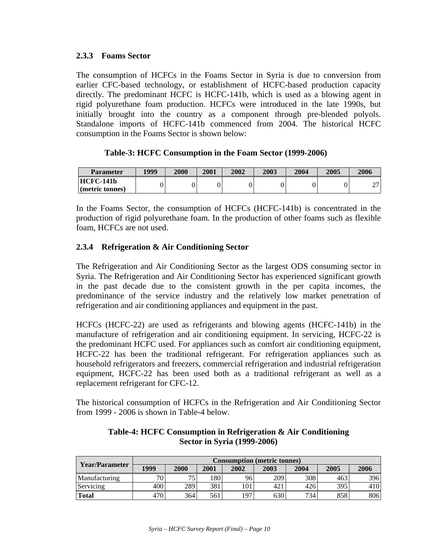### **2.3.3 Foams Sector**

The consumption of HCFCs in the Foams Sector in Syria is due to conversion from earlier CFC-based technology, or establishment of HCFC-based production capacity directly. The predominant HCFC is HCFC-141b, which is used as a blowing agent in rigid polyurethane foam production. HCFCs were introduced in the late 1990s, but initially brought into the country as a component through pre-blended polyols. Standalone imports of HCFC-141b commenced from 2004. The historical HCFC consumption in the Foams Sector is shown below:

### **Table-3: HCFC Consumption in the Foam Sector (1999-2006)**

| <b>Parameter</b>               | 1999 | 2000 | 2001 | 2002 | 2003 | 2004 | 2005 | 2006   |
|--------------------------------|------|------|------|------|------|------|------|--------|
| HCFC-141b                      |      |      |      |      |      |      |      | $\sim$ |
| $\blacksquare$ (metric tonnes) |      |      |      |      |      |      |      | ∼      |

In the Foams Sector, the consumption of HCFCs (HCFC-141b) is concentrated in the production of rigid polyurethane foam. In the production of other foams such as flexible foam, HCFCs are not used.

### **2.3.4 Refrigeration & Air Conditioning Sector**

The Refrigeration and Air Conditioning Sector as the largest ODS consuming sector in Syria. The Refrigeration and Air Conditioning Sector has experienced significant growth in the past decade due to the consistent growth in the per capita incomes, the predominance of the service industry and the relatively low market penetration of refrigeration and air conditioning appliances and equipment in the past.

HCFCs (HCFC-22) are used as refrigerants and blowing agents (HCFC-141b) in the manufacture of refrigeration and air conditioning equipment. In servicing, HCFC-22 is the predominant HCFC used. For appliances such as comfort air conditioning equipment, HCFC-22 has been the traditional refrigerant. For refrigeration appliances such as household refrigerators and freezers, commercial refrigeration and industrial refrigeration equipment, HCFC-22 has been used both as a traditional refrigerant as well as a replacement refrigerant for CFC-12.

The historical consumption of HCFCs in the Refrigeration and Air Conditioning Sector from 1999 - 2006 is shown in Table-4 below.

| Year/Parameter | <b>Consumption (metric tonnes)</b> |      |      |      |      |      |      |      |  |  |
|----------------|------------------------------------|------|------|------|------|------|------|------|--|--|
|                | 1999                               | 2000 | 2001 | 2002 | 2003 | 2004 | 2005 | 2006 |  |  |
| Manufacturing  | 70.                                | 75   | 180  | 96   | 209  | 308  | 463  | 396  |  |  |
| Servicing      | 400                                | 289  | 381  | 101  | 421  | 426  | 395  | 410  |  |  |
| Total          | 470                                | 364  | 561  | 197  | 630  | 734  | 858  | 806  |  |  |

**Table-4: HCFC Consumption in Refrigeration & Air Conditioning Sector in Syria (1999-2006)**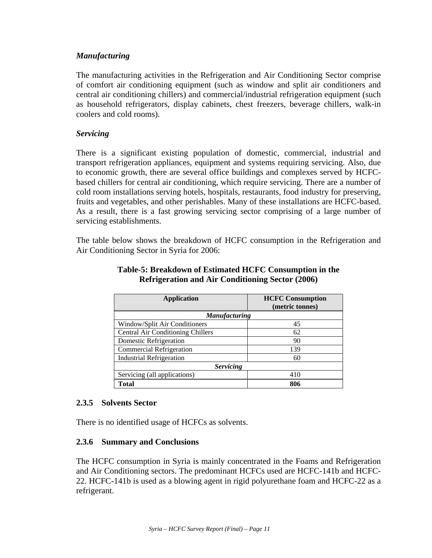### *Manufacturing*

The manufacturing activities in the Refrigeration and Air Conditioning Sector comprise of comfort air conditioning equipment (such as window and split air conditioners and central air conditioning chillers) and commercial/industrial refrigeration equipment (such as household refrigerators, display cabinets, chest freezers, beverage chillers, walk-in coolers and cold rooms).

#### *Servicing*

There is a significant existing population of domestic, commercial, industrial and transport refrigeration appliances, equipment and systems requiring servicing. Also, due to economic growth, there are several office buildings and complexes served by HCFCbased chillers for central air conditioning, which require servicing. There are a number of cold room installations serving hotels, hospitals, restaurants, food industry for preserving, fruits and vegetables, and other perishables. Many of these installations are HCFC-based. As a result, there is a fast growing servicing sector comprising of a large number of servicing establishments.

The table below shows the breakdown of HCFC consumption in the Refrigeration and Air Conditioning Sector in Syria for 2006:

| <b>Application</b>                       | <b>HCFC Consumption</b> |  |  |  |  |  |
|------------------------------------------|-------------------------|--|--|--|--|--|
|                                          | (metric tonnes)         |  |  |  |  |  |
| <b>Manufacturing</b>                     |                         |  |  |  |  |  |
| Window/Split Air Conditioners            | 45                      |  |  |  |  |  |
| <b>Central Air Conditioning Chillers</b> | 62                      |  |  |  |  |  |
| Domestic Refrigeration                   | 90                      |  |  |  |  |  |
| <b>Commercial Refrigeration</b>          | 139                     |  |  |  |  |  |
| <b>Industrial Refrigeration</b>          | 60                      |  |  |  |  |  |
| <b>Servicing</b>                         |                         |  |  |  |  |  |
| Servicing (all applications)             | 410                     |  |  |  |  |  |
| Total                                    | 806                     |  |  |  |  |  |

#### **Table-5: Breakdown of Estimated HCFC Consumption in the Refrigeration and Air Conditioning Sector (2006)**

#### **2.3.5 Solvents Sector**

There is no identified usage of HCFCs as solvents.

#### **2.3.6 Summary and Conclusions**

The HCFC consumption in Syria is mainly concentrated in the Foams and Refrigeration and Air Conditioning sectors. The predominant HCFCs used are HCFC-141b and HCFC-22. HCFC-141b is used as a blowing agent in rigid polyurethane foam and HCFC-22 as a refrigerant.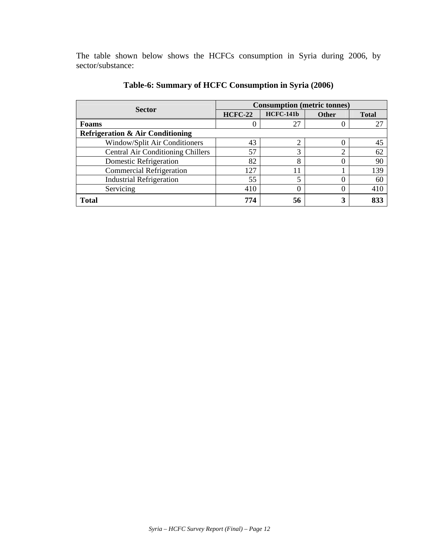The table shown below shows the HCFCs consumption in Syria during 2006, by sector/substance:

| <b>Sector</b>                               | <b>Consumption</b> (metric tonnes) |                  |                |              |
|---------------------------------------------|------------------------------------|------------------|----------------|--------------|
|                                             | <b>HCFC-22</b>                     | <b>HCFC-141b</b> | <b>Other</b>   | <b>Total</b> |
| <b>Foams</b>                                |                                    | 27               |                | 27           |
| <b>Refrigeration &amp; Air Conditioning</b> |                                    |                  |                |              |
| Window/Split Air Conditioners               | 43                                 |                  |                | 45           |
| <b>Central Air Conditioning Chillers</b>    | 57                                 | 3                | $\overline{2}$ | 62           |
| Domestic Refrigeration                      | 82                                 | 8                |                | 90           |
| <b>Commercial Refrigeration</b>             | 127                                |                  |                | 139          |
| <b>Industrial Refrigeration</b>             | 55                                 |                  |                | 60           |
| Servicing                                   | 410                                |                  |                | 410          |
| <b>Total</b>                                | 774                                | 56               | 3              | 833          |

**Table-6: Summary of HCFC Consumption in Syria (2006)**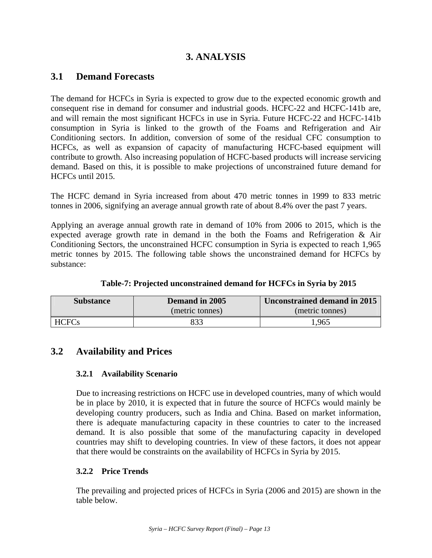# **3. ANALYSIS**

# **3.1 Demand Forecasts**

The demand for HCFCs in Syria is expected to grow due to the expected economic growth and consequent rise in demand for consumer and industrial goods. HCFC-22 and HCFC-141b are, and will remain the most significant HCFCs in use in Syria. Future HCFC-22 and HCFC-141b consumption in Syria is linked to the growth of the Foams and Refrigeration and Air Conditioning sectors. In addition, conversion of some of the residual CFC consumption to HCFCs, as well as expansion of capacity of manufacturing HCFC-based equipment will contribute to growth. Also increasing population of HCFC-based products will increase servicing demand. Based on this, it is possible to make projections of unconstrained future demand for HCFCs until 2015.

The HCFC demand in Syria increased from about 470 metric tonnes in 1999 to 833 metric tonnes in 2006, signifying an average annual growth rate of about 8.4% over the past 7 years.

Applying an average annual growth rate in demand of 10% from 2006 to 2015, which is the expected average growth rate in demand in the both the Foams and Refrigeration & Air Conditioning Sectors, the unconstrained HCFC consumption in Syria is expected to reach 1,965 metric tonnes by 2015. The following table shows the unconstrained demand for HCFCs by substance:

| <b>Substance</b> | Demand in 2005  | Unconstrained demand in 2015 |  |  |
|------------------|-----------------|------------------------------|--|--|
|                  | (metric tonnes) | (metric tonnes)              |  |  |
| <b>HCFCs</b>     |                 | .965                         |  |  |

**Table-7: Projected unconstrained demand for HCFCs in Syria by 2015**

# **3.2 Availability and Prices**

### **3.2.1 Availability Scenario**

Due to increasing restrictions on HCFC use in developed countries, many of which would be in place by 2010, it is expected that in future the source of HCFCs would mainly be developing country producers, such as India and China. Based on market information, there is adequate manufacturing capacity in these countries to cater to the increased demand. It is also possible that some of the manufacturing capacity in developed countries may shift to developing countries. In view of these factors, it does not appear that there would be constraints on the availability of HCFCs in Syria by 2015.

# **3.2.2 Price Trends**

The prevailing and projected prices of HCFCs in Syria (2006 and 2015) are shown in the table below.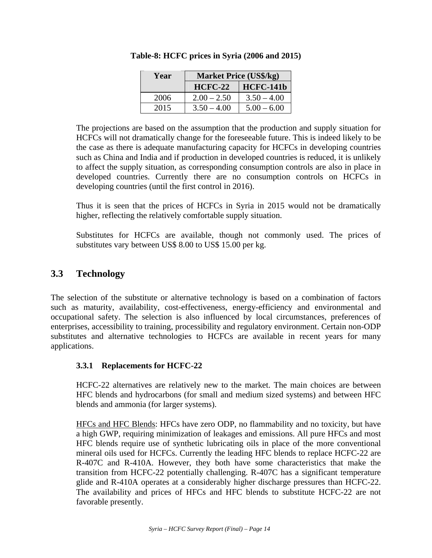| Year | <b>Market Price (US\$/kg)</b> |                  |  |  |  |
|------|-------------------------------|------------------|--|--|--|
|      | $HCFC-22$                     | <b>HCFC-141b</b> |  |  |  |
| 2006 | $2.00 - 2.50$                 | $3.50 - 4.00$    |  |  |  |
| 2015 | $3.50 - 4.00$                 | $5.00 - 6.00$    |  |  |  |

**Table-8: HCFC prices in Syria (2006 and 2015)** 

The projections are based on the assumption that the production and supply situation for HCFCs will not dramatically change for the foreseeable future. This is indeed likely to be the case as there is adequate manufacturing capacity for HCFCs in developing countries such as China and India and if production in developed countries is reduced, it is unlikely to affect the supply situation, as corresponding consumption controls are also in place in developed countries. Currently there are no consumption controls on HCFCs in developing countries (until the first control in 2016).

Thus it is seen that the prices of HCFCs in Syria in 2015 would not be dramatically higher, reflecting the relatively comfortable supply situation.

Substitutes for HCFCs are available, though not commonly used. The prices of substitutes vary between US\$ 8.00 to US\$ 15.00 per kg.

# **3.3 Technology**

The selection of the substitute or alternative technology is based on a combination of factors such as maturity, availability, cost-effectiveness, energy-efficiency and environmental and occupational safety. The selection is also influenced by local circumstances, preferences of enterprises, accessibility to training, processibility and regulatory environment. Certain non-ODP substitutes and alternative technologies to HCFCs are available in recent years for many applications.

### **3.3.1 Replacements for HCFC-22**

HCFC-22 alternatives are relatively new to the market. The main choices are between HFC blends and hydrocarbons (for small and medium sized systems) and between HFC blends and ammonia (for larger systems).

HFCs and HFC Blends: HFCs have zero ODP, no flammability and no toxicity, but have a high GWP, requiring minimization of leakages and emissions. All pure HFCs and most HFC blends require use of synthetic lubricating oils in place of the more conventional mineral oils used for HCFCs. Currently the leading HFC blends to replace HCFC-22 are R-407C and R-410A. However, they both have some characteristics that make the transition from HCFC-22 potentially challenging. R-407C has a significant temperature glide and R-410A operates at a considerably higher discharge pressures than HCFC-22. The availability and prices of HFCs and HFC blends to substitute HCFC-22 are not favorable presently.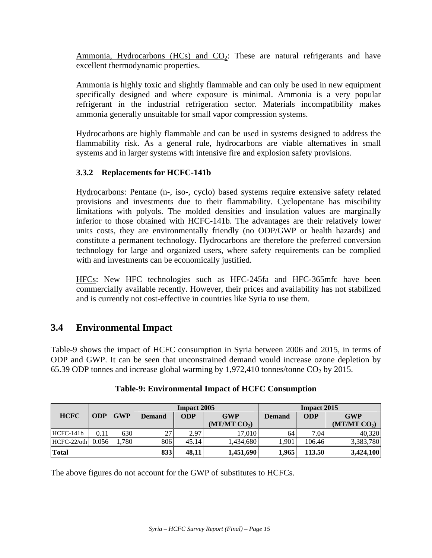Ammonia, Hydrocarbons (HCs) and  $CO<sub>2</sub>$ : These are natural refrigerants and have excellent thermodynamic properties.

Ammonia is highly toxic and slightly flammable and can only be used in new equipment specifically designed and where exposure is minimal. Ammonia is a very popular refrigerant in the industrial refrigeration sector. Materials incompatibility makes ammonia generally unsuitable for small vapor compression systems.

Hydrocarbons are highly flammable and can be used in systems designed to address the flammability risk. As a general rule, hydrocarbons are viable alternatives in small systems and in larger systems with intensive fire and explosion safety provisions.

### **3.3.2 Replacements for HCFC-141b**

Hydrocarbons: Pentane (n-, iso-, cyclo) based systems require extensive safety related provisions and investments due to their flammability. Cyclopentane has miscibility limitations with polyols. The molded densities and insulation values are marginally inferior to those obtained with HCFC-141b. The advantages are their relatively lower units costs, they are environmentally friendly (no ODP/GWP or health hazards) and constitute a permanent technology. Hydrocarbons are therefore the preferred conversion technology for large and organized users, where safety requirements can be complied with and investments can be economically justified.

HFCs: New HFC technologies such as HFC-245fa and HFC-365mfc have been commercially available recently. However, their prices and availability has not stabilized and is currently not cost-effective in countries like Syria to use them.

# **3.4 Environmental Impact**

Table-9 shows the impact of HCFC consumption in Syria between 2006 and 2015, in terms of ODP and GWP. It can be seen that unconstrained demand would increase ozone depletion by 65.39 ODP tonnes and increase global warming by 1,972,410 tonnes/tonne  $CO<sub>2</sub>$  by 2015.

|              |            |            | <b>Impact 2005</b>   |            |                          | <b>Impact 2015</b> |            |                          |
|--------------|------------|------------|----------------------|------------|--------------------------|--------------------|------------|--------------------------|
| <b>HCFC</b>  | <b>ODP</b> | <b>GWP</b> | Demand               | <b>ODP</b> | <b>GWP</b>               | <b>Demand</b>      | <b>ODP</b> | <b>GWP</b>               |
|              |            |            |                      |            | (MT/MT CO <sub>2</sub> ) |                    |            | (MT/MT CO <sub>2</sub> ) |
| HCFC-141b    | 0.11       | 630        | າາ<br>$\overline{L}$ | 2.97       | 17.010                   | 64                 | 7.04       | 40,320                   |
| HCFC-22/oth  | 0.056      | 1,780      | 806                  | 45.14      | 1.434.680                | 1,901              | 106.46     | 3,383,780                |
| <b>Total</b> |            |            | 833                  | 48,11      | 1,451,690                | 1,965              | 113.50     | 3,424,100                |

### **Table-9: Environmental Impact of HCFC Consumption**

The above figures do not account for the GWP of substitutes to HCFCs.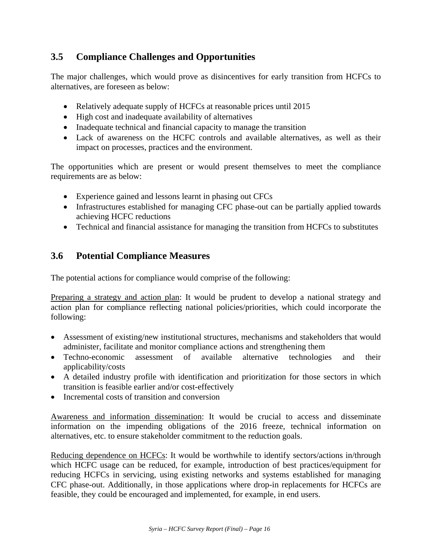# **3.5 Compliance Challenges and Opportunities**

The major challenges, which would prove as disincentives for early transition from HCFCs to alternatives, are foreseen as below:

- Relatively adequate supply of HCFCs at reasonable prices until 2015
- High cost and inadequate availability of alternatives
- Inadequate technical and financial capacity to manage the transition
- Lack of awareness on the HCFC controls and available alternatives, as well as their impact on processes, practices and the environment.

The opportunities which are present or would present themselves to meet the compliance requirements are as below:

- Experience gained and lessons learnt in phasing out CFCs
- Infrastructures established for managing CFC phase-out can be partially applied towards achieving HCFC reductions
- Technical and financial assistance for managing the transition from HCFCs to substitutes

# **3.6 Potential Compliance Measures**

The potential actions for compliance would comprise of the following:

Preparing a strategy and action plan: It would be prudent to develop a national strategy and action plan for compliance reflecting national policies/priorities, which could incorporate the following:

- Assessment of existing/new institutional structures, mechanisms and stakeholders that would administer, facilitate and monitor compliance actions and strengthening them
- Techno-economic assessment of available alternative technologies and their applicability/costs
- A detailed industry profile with identification and prioritization for those sectors in which transition is feasible earlier and/or cost-effectively
- Incremental costs of transition and conversion

Awareness and information dissemination: It would be crucial to access and disseminate information on the impending obligations of the 2016 freeze, technical information on alternatives, etc. to ensure stakeholder commitment to the reduction goals.

Reducing dependence on HCFCs: It would be worthwhile to identify sectors/actions in/through which HCFC usage can be reduced, for example, introduction of best practices/equipment for reducing HCFCs in servicing, using existing networks and systems established for managing CFC phase-out. Additionally, in those applications where drop-in replacements for HCFCs are feasible, they could be encouraged and implemented, for example, in end users.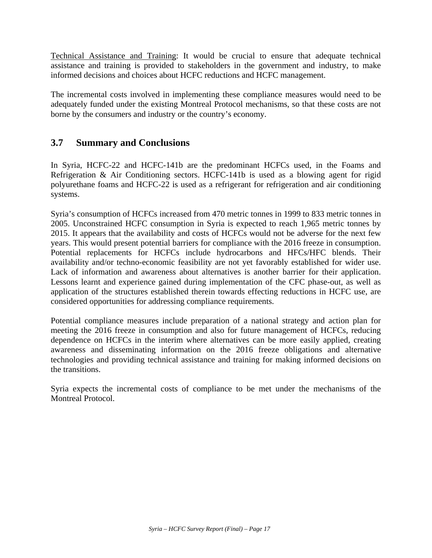Technical Assistance and Training: It would be crucial to ensure that adequate technical assistance and training is provided to stakeholders in the government and industry, to make informed decisions and choices about HCFC reductions and HCFC management.

The incremental costs involved in implementing these compliance measures would need to be adequately funded under the existing Montreal Protocol mechanisms, so that these costs are not borne by the consumers and industry or the country's economy.

# **3.7 Summary and Conclusions**

In Syria, HCFC-22 and HCFC-141b are the predominant HCFCs used, in the Foams and Refrigeration & Air Conditioning sectors. HCFC-141b is used as a blowing agent for rigid polyurethane foams and HCFC-22 is used as a refrigerant for refrigeration and air conditioning systems.

Syria's consumption of HCFCs increased from 470 metric tonnes in 1999 to 833 metric tonnes in 2005. Unconstrained HCFC consumption in Syria is expected to reach 1,965 metric tonnes by 2015. It appears that the availability and costs of HCFCs would not be adverse for the next few years. This would present potential barriers for compliance with the 2016 freeze in consumption. Potential replacements for HCFCs include hydrocarbons and HFCs/HFC blends. Their availability and/or techno-economic feasibility are not yet favorably established for wider use. Lack of information and awareness about alternatives is another barrier for their application. Lessons learnt and experience gained during implementation of the CFC phase-out, as well as application of the structures established therein towards effecting reductions in HCFC use, are considered opportunities for addressing compliance requirements.

Potential compliance measures include preparation of a national strategy and action plan for meeting the 2016 freeze in consumption and also for future management of HCFCs, reducing dependence on HCFCs in the interim where alternatives can be more easily applied, creating awareness and disseminating information on the 2016 freeze obligations and alternative technologies and providing technical assistance and training for making informed decisions on the transitions.

Syria expects the incremental costs of compliance to be met under the mechanisms of the Montreal Protocol.